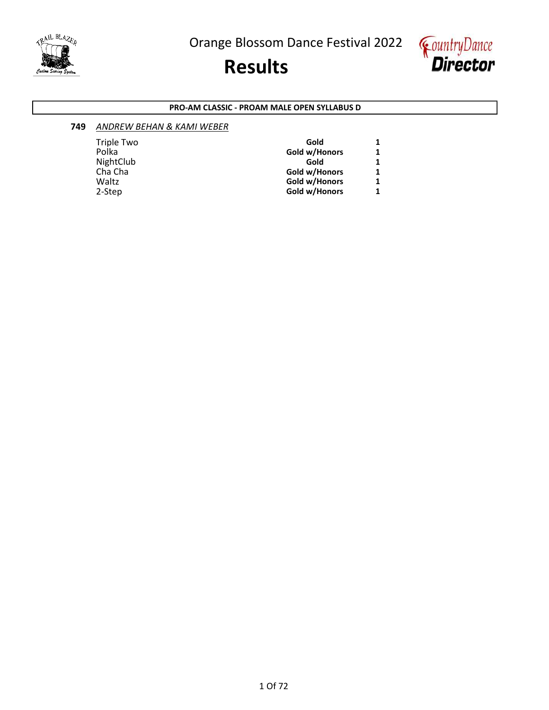





### PRO-AM CLASSIC - PROAM MALE OPEN SYLLABUS D

### 749 ANDREW BEHAN & KAMI WEBER

| <b>Triple Two</b> | Gold          |  |
|-------------------|---------------|--|
| Polka             | Gold w/Honors |  |
| NightClub         | Gold          |  |
| Cha Cha           | Gold w/Honors |  |
| Waltz             | Gold w/Honors |  |
| 2-Step            | Gold w/Honors |  |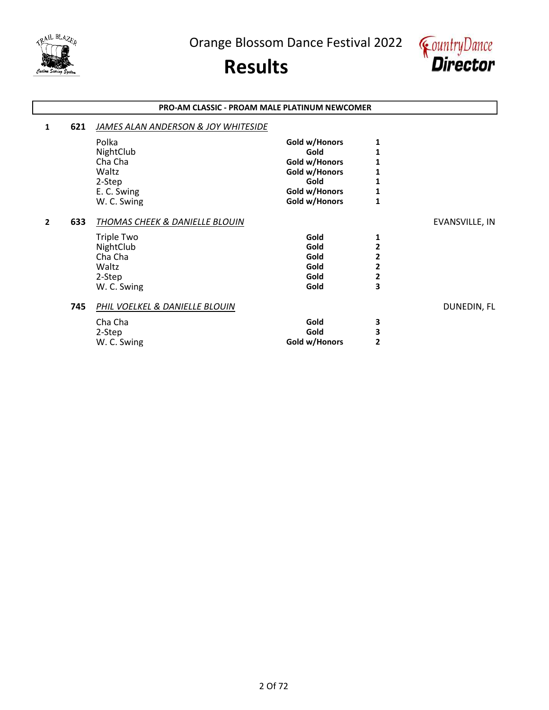



### PRO-AM CLASSIC - PROAM MALE PLATINUM NEWCOMER

| 1              | 621 | JAMES ALAN ANDERSON & JOY WHITESIDE                                  |                                                                                  |                                         |                |
|----------------|-----|----------------------------------------------------------------------|----------------------------------------------------------------------------------|-----------------------------------------|----------------|
|                |     | Polka<br>NightClub<br>Cha Cha<br>Waltz<br>2-Step<br>E. C. Swing      | Gold w/Honors<br>Gold<br>Gold w/Honors<br>Gold w/Honors<br>Gold<br>Gold w/Honors | 1<br>1<br>1<br>1<br>1<br>1              |                |
|                |     | W. C. Swing                                                          | Gold w/Honors                                                                    | 1                                       |                |
| $\overline{2}$ | 633 | THOMAS CHEEK & DANIELLE BLOUIN                                       |                                                                                  |                                         | EVANSVILLE, IN |
|                |     | Triple Two<br>NightClub<br>Cha Cha<br>Waltz<br>2-Step<br>W. C. Swing | Gold<br>Gold<br>Gold<br>Gold<br>Gold<br>Gold                                     | 1<br>$\overline{2}$<br>2<br>2<br>2<br>3 |                |
|                | 745 | PHIL VOELKEL & DANIELLE BLOUIN                                       |                                                                                  |                                         | DUNEDIN, FL    |
|                |     | Cha Cha<br>2-Step<br>W. C. Swing                                     | Gold<br>Gold<br>Gold w/Honors                                                    | 3<br>3<br>2                             |                |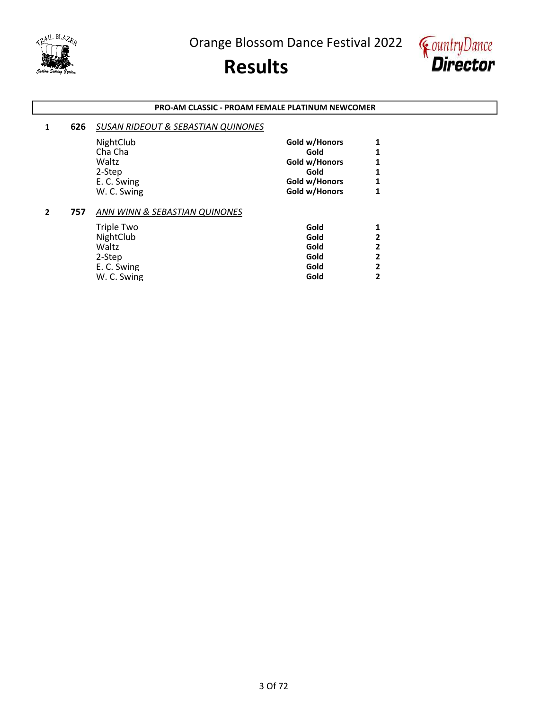





### PRO-AM CLASSIC - PROAM FEMALE PLATINUM NEWCOMER

| 1 | 626 | <b>SUSAN RIDEOUT &amp; SEBASTIAN QUINONES</b> |               |   |
|---|-----|-----------------------------------------------|---------------|---|
|   |     | NightClub                                     | Gold w/Honors | 1 |
|   |     | Cha Cha                                       | Gold          | 1 |
|   |     | Waltz                                         | Gold w/Honors | 1 |
|   |     | 2-Step                                        | Gold          | 1 |
|   |     | E. C. Swing                                   | Gold w/Honors | 1 |
|   |     | W. C. Swing                                   | Gold w/Honors | 1 |
|   |     |                                               |               |   |
| 2 | 757 | ANN WINN & SEBASTIAN QUINONES                 |               |   |
|   |     |                                               | Gold          | 1 |
|   |     | Triple Two                                    | Gold          | 2 |
|   |     | NightClub<br>Waltz                            | Gold          | 2 |
|   |     | 2-Step                                        | Gold          | 2 |
|   |     | E. C. Swing                                   | Gold          | 2 |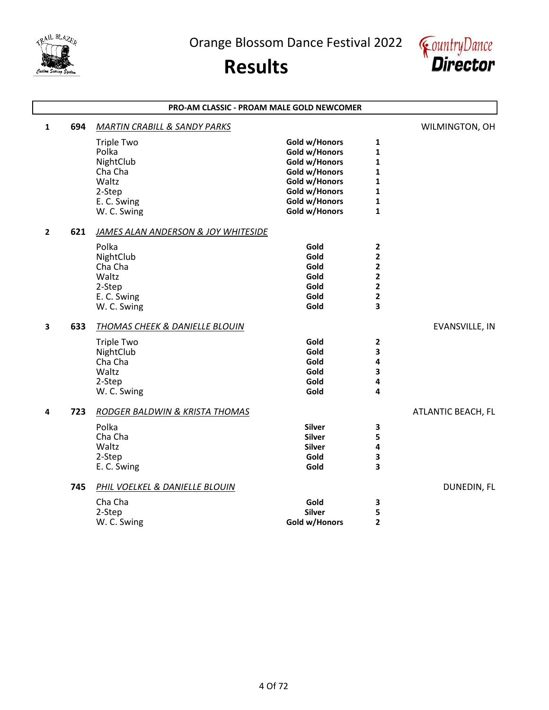

## Results



### 1 694 MARTIN CRABILL & SANDY PARKS WILMINGTON, OH Triple Two **Gold w/Honors** 1<br>Polka **Police College College College Colle**<br>**Gold w/Honors** 1 Polka **Gold w/Honors** 1<br>
NightClub **Gold w/Honors** 1 NightClub Gold w/Honors 1 Cha Cha Gold w/Honors 1 Waltz Gold w/Honors 1 2-Step **Gold w/Honors** 1<br>
E. C. Swing **E. C. Swing** E. C. Swing Carrier Collection Collection Collection Collection Collection Collection Collection Collection Collection Collection Collection Collection Collection Collection Collection Collection Collection Collection Coll Gold w/Honors 2 621 JAMES ALAN ANDERSON & JOY WHITESIDE Polka 2012 and 2012 and 2012 and 2012 and 2012 and 2012 and 2012 and 2012 and 2012 and 2012 and 2013 and 2013 NightClub and 2 and 2 and 2 and 2 and 2 and 2 and 2 and 2 and 2 and 2 and 2 and 2 and 2 and 2 and 2 and 2 and 2 and 2 and 2 and 2 and 2 and 2 and 2 and 2 and 2 and 2 and 2 and 2 and 2 and 2 and 2 and 2 and 2 and 2 and 2 an Cha Cha Waltz **Contract Contract Contract Contract Contract Contract Contract Contract Contract Contract Contract Contract Contract Contract Contract Contract Contract Contract Contract Contract Contract Contract Contract Contract** 2-Step 2012 2013 2014 E. C. Swing Contact Contact Contact Contact Contact Contact Contact Contact Contact Contact Contact Contact Contact Contact Contact Contact Contact Contact Contact Contact Contact Contact Contact Contact Contact Contact Co W. C. Swing 3 633 <u>THOMAS CHEEK & DANIELLE BLOUIN</u> EVANSVILLE, IN Triple Two Gold 2 NightClub 3<br>Cha Cha and 2011 - Cha Cha and 2014 - Gold 4 Cha Cha **Andrea** Gold **4** Waltz **3** 2-Step and the contract of the Gold and the Gold and the Gold and the Gold and the Gold and the Gold and the Gold and  $4$ W. C. Swing Gold 4 4 723 RODGER BALDWIN & KRISTA THOMAS AND ANNOUNCEMENT ATLANTIC BEACH, FL Polka 3 Cha Cha Silver 5 Waltz Silver 4 2-Step 3 E. C. Swing 3 **745** PHIL VOELKEL & DANIELLE BLOUIN Cha Cha Gold 3 2-Step 5 W. C. Swing **Collaction Collaction Collaction Collaction Collaction Collaction Collaction Collaction Collaction Collaction Collaction Collaction Collaction Collaction Collaction Collaction Collaction Collaction Collaction** PRO-AM CLASSIC - PROAM MALE GOLD NEWCOMER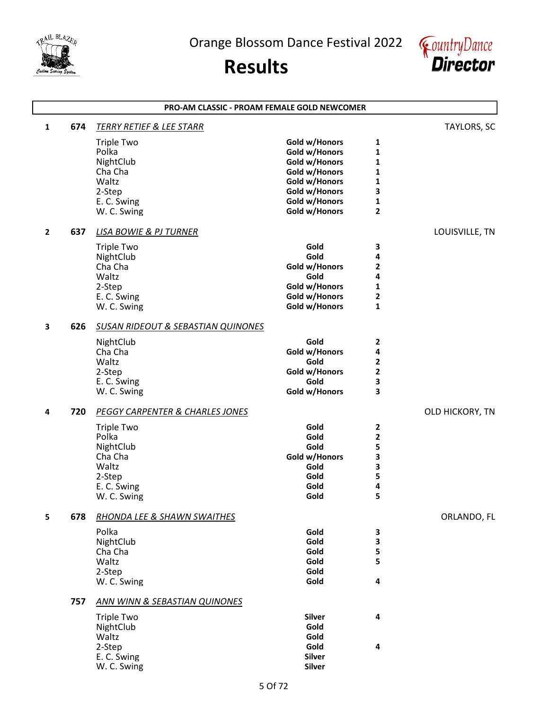

# Results



|              |     | <b>PRO-AM CLASSIC - PROAM FEMALE GOLD NEWCOMER</b> |               |                              |                 |
|--------------|-----|----------------------------------------------------|---------------|------------------------------|-----------------|
| $\mathbf{1}$ | 674 | <b>TERRY RETIEF &amp; LEE STARR</b>                |               |                              | TAYLORS, SC     |
|              |     | <b>Triple Two</b>                                  | Gold w/Honors | 1                            |                 |
|              |     | Polka                                              | Gold w/Honors | 1                            |                 |
|              |     | NightClub                                          | Gold w/Honors | 1                            |                 |
|              |     | Cha Cha                                            | Gold w/Honors | 1                            |                 |
|              |     | Waltz                                              | Gold w/Honors | 1                            |                 |
|              |     | 2-Step                                             | Gold w/Honors | 3                            |                 |
|              |     | E. C. Swing                                        | Gold w/Honors | 1                            |                 |
|              |     | W. C. Swing                                        | Gold w/Honors | 2                            |                 |
| $\mathbf{2}$ | 637 | <b>LISA BOWIE &amp; PJ TURNER</b>                  |               |                              | LOUISVILLE, TN  |
|              |     | <b>Triple Two</b>                                  | Gold          | 3                            |                 |
|              |     | NightClub                                          | Gold          | 4                            |                 |
|              |     | Cha Cha                                            | Gold w/Honors | 2                            |                 |
|              |     | Waltz                                              | Gold          | 4                            |                 |
|              |     | 2-Step                                             | Gold w/Honors | 1                            |                 |
|              |     | E. C. Swing                                        | Gold w/Honors | $\overline{\mathbf{c}}$<br>1 |                 |
|              |     | W. C. Swing                                        | Gold w/Honors |                              |                 |
| 3            | 626 | <b>SUSAN RIDEOUT &amp; SEBASTIAN QUINONES</b>      |               |                              |                 |
|              |     | NightClub                                          | Gold          | 2                            |                 |
|              |     | Cha Cha                                            | Gold w/Honors | 4                            |                 |
|              |     | Waltz                                              | Gold          | 2                            |                 |
|              |     | 2-Step                                             | Gold w/Honors | $\overline{\mathbf{c}}$      |                 |
|              |     | E. C. Swing                                        | Gold          | 3                            |                 |
|              |     | W. C. Swing                                        | Gold w/Honors | 3                            |                 |
| 4            | 720 | <b>PEGGY CARPENTER &amp; CHARLES JONES</b>         |               |                              | OLD HICKORY, TN |
|              |     | <b>Triple Two</b>                                  | Gold          | 2                            |                 |
|              |     | Polka                                              | Gold          | 2                            |                 |
|              |     | NightClub                                          | Gold          | 5                            |                 |
|              |     | Cha Cha                                            | Gold w/Honors | 3                            |                 |
|              |     | Waltz                                              | Gold          | 3                            |                 |
|              |     | 2-Step                                             | Gold          | 5                            |                 |
|              |     | E. C. Swing<br>W. C. Swing                         | Gold<br>Gold  | 4<br>5                       |                 |
|              |     |                                                    |               |                              |                 |
| 5            | 678 | RHONDA LEE & SHAWN SWAITHES                        |               |                              | ORLANDO, FL     |
|              |     | Polka                                              | Gold          | 3                            |                 |
|              |     | NightClub                                          | Gold          | 3                            |                 |
|              |     | Cha Cha                                            | Gold          | 5                            |                 |
|              |     | Waltz                                              | Gold          | 5                            |                 |
|              |     | 2-Step<br>W. C. Swing                              | Gold<br>Gold  | 4                            |                 |
|              |     |                                                    |               |                              |                 |
|              | 757 | ANN WINN & SEBASTIAN QUINONES                      |               |                              |                 |
|              |     | <b>Triple Two</b>                                  | <b>Silver</b> | 4                            |                 |
|              |     | NightClub                                          | Gold          |                              |                 |
|              |     | Waltz                                              | Gold          |                              |                 |
|              |     | 2-Step                                             | Gold          | 4                            |                 |
|              |     | E. C. Swing                                        | <b>Silver</b> |                              |                 |
|              |     | W. C. Swing                                        | <b>Silver</b> |                              |                 |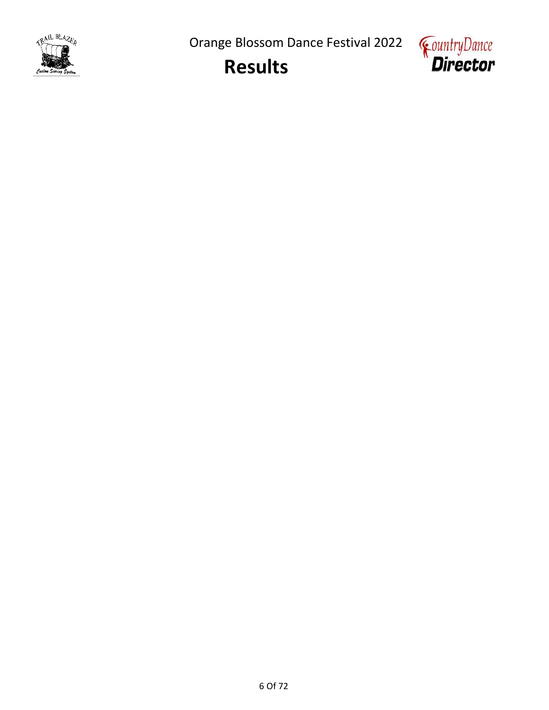

# Results

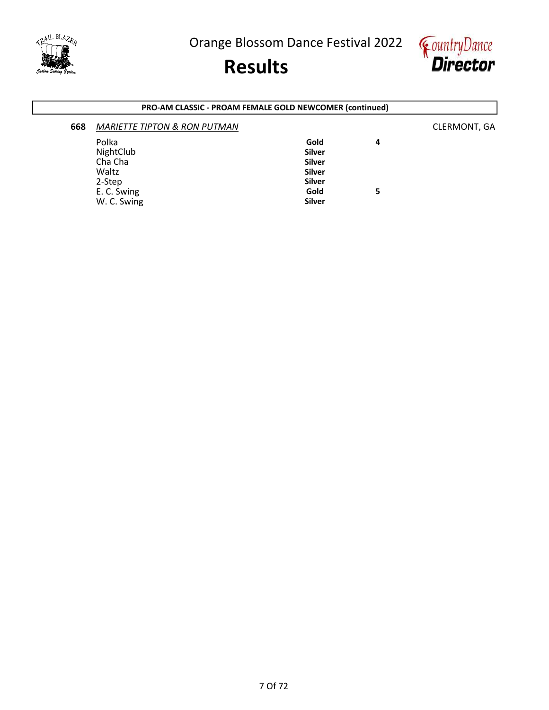

# Results



### PRO-AM CLASSIC - PROAM FEMALE GOLD NEWCOMER (continued)

| 668 | <b>MARIETTE TIPTON &amp; RON PUTMAN</b> |               |   | CLERMONT, GA |
|-----|-----------------------------------------|---------------|---|--------------|
|     | Polka                                   | Gold          | 4 |              |
|     | NightClub                               | <b>Silver</b> |   |              |
|     | Cha Cha                                 | <b>Silver</b> |   |              |
|     | Waltz                                   | <b>Silver</b> |   |              |
|     | 2-Step                                  | <b>Silver</b> |   |              |
|     | E. C. Swing                             | Gold          | 5 |              |
|     | W. C. Swing                             | <b>Silver</b> |   |              |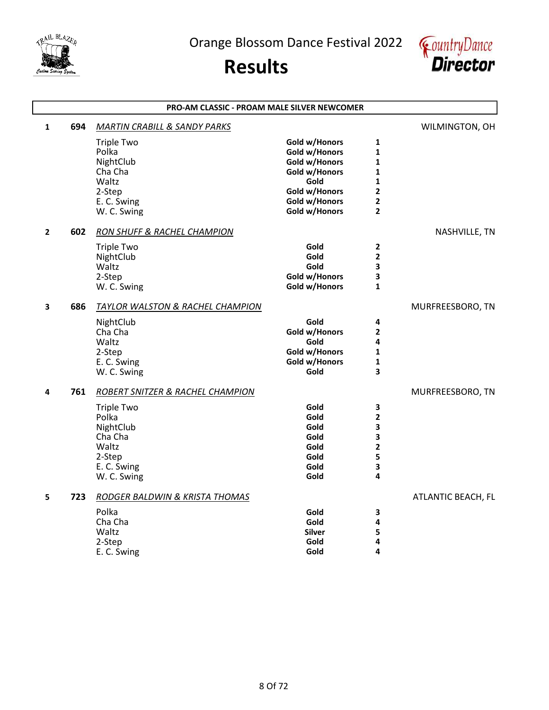

## Results



### 1 694 MARTIN CRABILL & SANDY PARKS WILMINGTON, OH Triple Two **Gold w/Honors** 1<br>Polka **Pole Republic Cold w/Honors** 1 Polka **Gold w/Honors** 1<br>
NightClub **Gold w/Honors** 1 NightClub Gold w/Honors 1 Gold w/Honors<br>Gold Waltz **Contract Contract Contract Contract Contract Contract Contract Contract Contract Contract Contract Contract Contract Contract Contract Contract Contract Contract Contract Contract Contract Contract Contract Contract** 2-Step 2<br>
E. C. Swing Collection Collection Collection Collection Collection Collection Collection Collection Collection<br>
2 E. C. Swing Carrier Collection Collection Collection Collection Collection Collection Collection Collection Co<br>
Collection Collection Collection Collection Collection Collection Collection Collection Collection Collection<br> Gold w/Honors 2 602 RON SHUFF & RACHEL CHAMPION NASHVILLE, TN Triple Two Gold 2 NightClub Gold 2 Waltz **3** 2-Step **Gold w/Honors** 3<br>
W. C. Swing **Gold w/Honors** 3 Gold w/Honors 1 3 686 TAYLOR WALSTON & RACHEL CHAMPION MURTREESBORO, TN NightClub Gold 4 Cha Cha Gold w/Honors 2 Waltz **Alternative Collection Collection Collection Collection Collection Collection Collection Collection Collection Collection Collection Collection Collection Collection Collection Collection Collection Collection Colle** 2-Step Gold w/Honors and 2-Step Gold with the Gold with the Collection of the Collection of the Collection of the Collection of the Collection of the Collection of the Collection of the Collection of the Collection of the E. C. Swing the C. Swing term of the C. Swing term of the C. Swing of the C. Swing of the C. Swing of the C. S<br>
C. Swing the C. Swing term of the C. Swing of the C. Swing of the C. Swing of the C. Swing of the C. S. S. S. W. C. Swing 4 761 ROBERT SNITZER & RACHEL CHAMPION MURFREESBORO, TN Triple Two Gold 3 Polka **College College College College College College College College College College College College College** NightClub 3<br>Cha Cha 3 and 3 and 4 and 4 and 5 and 5 and 5 and 5 and 4 and 5 and 5 and 5 and 4 and 5 and 4 and 5 and 4 and 5 Cha Cha **Gold** 3 Waltz **Contract Contract Contract Contract Contract Contract Contract Contract Contract Contract Contract Contract Contract Contract Contract Contract Contract Contract Contract Contract Contract Contract Contract Contract** 2-Step 5 E. C. Swing Contact Contact Contact Contact Contact Contact Contact Contact Contact Contact Contact Contact Contact Contact Contact Contact Contact Contact Contact Contact Contact Contact Contact Contact Contact Contact Co W. C. Swing 5 723 RODGER BALDWIN & KRISTA THOMAS AND ANNOUNCED ATLANTIC BEACH, FL Polka 3 Cha Cha **Andrea** Gold **4** Waltz **Silver** 5 2-Step and the contract of the Gold and the Gold and the Gold and the Gold and the Contract of the Gold and the Contract of the Gold and the Contract of the Contract of the Contract of the Contract of the Contract of the C E. C. Swing **4** PRO-AM CLASSIC - PROAM MALE SILVER NEWCOMER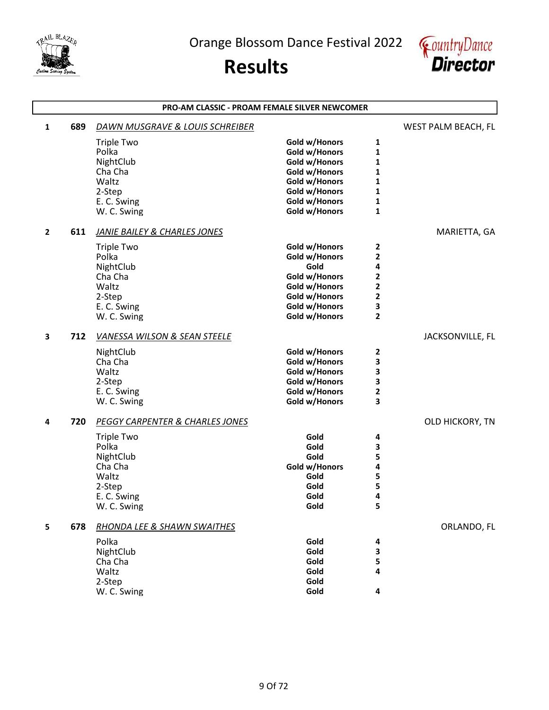

# Results



### PRO-AM CLASSIC - PROAM FEMALE SILVER NEWCOMER

| $\mathbf{1}$ | 689 | DAWN MUSGRAVE & LOUIS SCHREIBER            |               |                | WEST PALM BEACH, FL |
|--------------|-----|--------------------------------------------|---------------|----------------|---------------------|
|              |     | <b>Triple Two</b>                          | Gold w/Honors | 1              |                     |
|              |     | Polka                                      | Gold w/Honors | 1              |                     |
|              |     | NightClub                                  | Gold w/Honors | 1              |                     |
|              |     | Cha Cha                                    | Gold w/Honors | 1              |                     |
|              |     | Waltz                                      | Gold w/Honors | 1              |                     |
|              |     | 2-Step                                     | Gold w/Honors | 1              |                     |
|              |     | E. C. Swing                                | Gold w/Honors | 1              |                     |
|              |     | W. C. Swing                                | Gold w/Honors | 1              |                     |
|              |     |                                            |               |                |                     |
| $\mathbf{2}$ | 611 | JANIE BAILEY & CHARLES JONES               |               |                | MARIETTA, GA        |
|              |     | <b>Triple Two</b>                          | Gold w/Honors | 2              |                     |
|              |     | Polka                                      | Gold w/Honors | 2              |                     |
|              |     | NightClub                                  | Gold          | 4              |                     |
|              |     | Cha Cha                                    | Gold w/Honors | 2              |                     |
|              |     | Waltz                                      | Gold w/Honors | 2              |                     |
|              |     | 2-Step                                     | Gold w/Honors | 2              |                     |
|              |     | E. C. Swing                                | Gold w/Honors | З              |                     |
|              |     | W. C. Swing                                | Gold w/Honors | $\overline{2}$ |                     |
| 3            | 712 | VANESSA WILSON & SEAN STEELE               |               |                | JACKSONVILLE, FL    |
|              |     | NightClub                                  | Gold w/Honors | 2              |                     |
|              |     | Cha Cha                                    | Gold w/Honors | 3              |                     |
|              |     | Waltz                                      | Gold w/Honors | 3              |                     |
|              |     | 2-Step                                     | Gold w/Honors | 3              |                     |
|              |     | E. C. Swing                                | Gold w/Honors | 2              |                     |
|              |     | W. C. Swing                                | Gold w/Honors | 3              |                     |
|              |     |                                            |               |                |                     |
| 4            | 720 | <b>PEGGY CARPENTER &amp; CHARLES JONES</b> |               |                | OLD HICKORY, TN     |
|              |     | <b>Triple Two</b>                          | Gold          | 4              |                     |
|              |     | Polka                                      | Gold          | З              |                     |
|              |     | NightClub                                  | Gold          | 5              |                     |
|              |     | Cha Cha                                    | Gold w/Honors | 4              |                     |
|              |     | Waltz                                      | Gold          | 5              |                     |
|              |     | 2-Step                                     | Gold          | 5              |                     |
|              |     | E. C. Swing                                | Gold          | 4              |                     |
|              |     | W. C. Swing                                | Gold          | 5              |                     |
| 5            | 678 | <b>RHONDA LEE &amp; SHAWN SWAITHES</b>     |               |                | ORLANDO, FL         |
|              |     | Polka                                      | Gold          | 4              |                     |
|              |     | NightClub                                  | Gold          | 3              |                     |
|              |     | Cha Cha                                    | Gold          | 5              |                     |
|              |     | Waltz                                      | Gold          | 4              |                     |
|              |     | 2-Step                                     | Gold          |                |                     |
|              |     | W. C. Swing                                | Gold          | 4              |                     |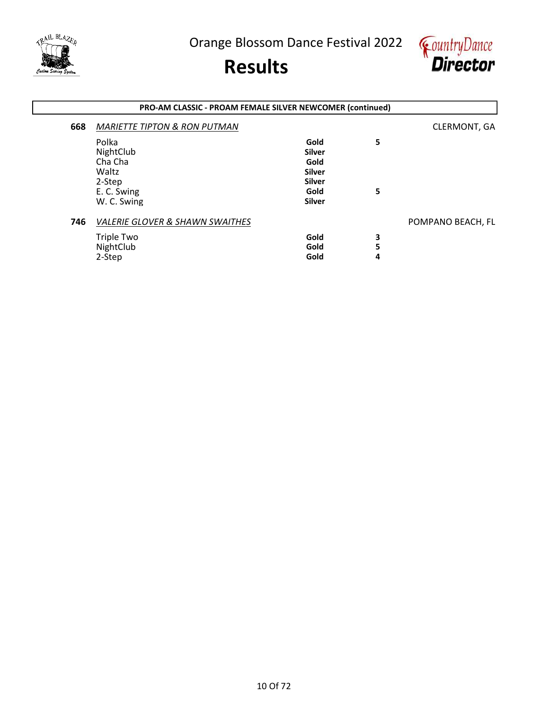

# Results



| <b>PRO-AM CLASSIC - PROAM FEMALE SILVER NEWCOMER (continued)</b>               |                                                                                          |        |                   |  |  |
|--------------------------------------------------------------------------------|------------------------------------------------------------------------------------------|--------|-------------------|--|--|
| <b>MARIETTE TIPTON &amp; RON PUTMAN</b>                                        |                                                                                          |        | CLERMONT, GA      |  |  |
| Polka<br>NightClub<br>Cha Cha<br>Waltz<br>2-Step<br>E. C. Swing<br>W. C. Swing | Gold<br><b>Silver</b><br>Gold<br><b>Silver</b><br><b>Silver</b><br>Gold<br><b>Silver</b> | 5<br>5 |                   |  |  |
| <b>VALERIE GLOVER &amp; SHAWN SWAITHES</b><br>Triple Two<br>NightClub          | Gold<br>Gold                                                                             | 3<br>5 | POMPANO BEACH, FL |  |  |
|                                                                                | 2-Step                                                                                   | Gold   | 4                 |  |  |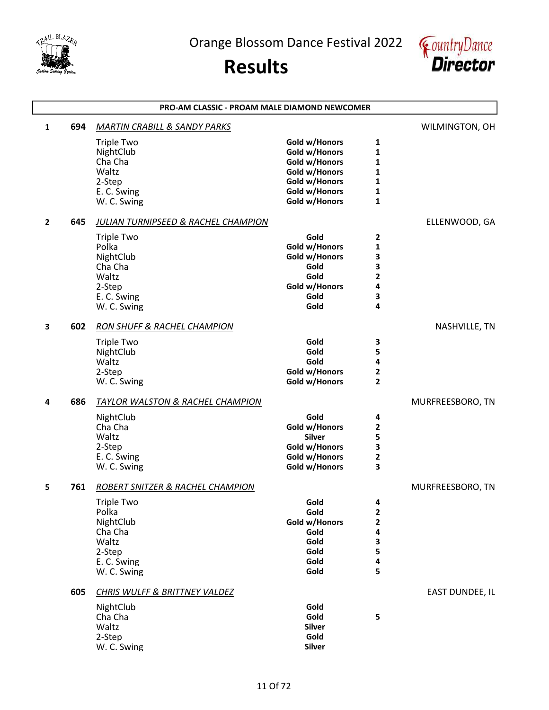RAIL BLAZEA

Orange Blossom Dance Festival 2022

# Results



### PRO-AM CLASSIC - PROAM MALE DIAMOND NEWCOMER

| 1            | 694 | <b>MARTIN CRABILL &amp; SANDY PARKS</b>     |               |                | WILMINGTON, OH   |
|--------------|-----|---------------------------------------------|---------------|----------------|------------------|
|              |     | <b>Triple Two</b>                           | Gold w/Honors | 1              |                  |
|              |     | NightClub                                   | Gold w/Honors | 1              |                  |
|              |     | Cha Cha                                     | Gold w/Honors | 1              |                  |
|              |     | Waltz                                       | Gold w/Honors | 1              |                  |
|              |     | 2-Step                                      | Gold w/Honors | 1              |                  |
|              |     | E. C. Swing                                 | Gold w/Honors | 1              |                  |
|              |     | W. C. Swing                                 | Gold w/Honors | 1              |                  |
| $\mathbf{2}$ | 645 | JULIAN TURNIPSEED & RACHEL CHAMPION         |               |                | ELLENWOOD, GA    |
|              |     | <b>Triple Two</b>                           | Gold          | 2              |                  |
|              |     | Polka                                       | Gold w/Honors | 1              |                  |
|              |     | NightClub                                   | Gold w/Honors | 3              |                  |
|              |     | Cha Cha                                     | Gold          | 3              |                  |
|              |     | Waltz                                       | Gold          | 2              |                  |
|              |     | 2-Step                                      | Gold w/Honors | 4              |                  |
|              |     | E. C. Swing                                 | Gold          | 3              |                  |
|              |     | W. C. Swing                                 | Gold          | 4              |                  |
| 3            | 602 | RON SHUFF & RACHEL CHAMPION                 |               |                | NASHVILLE, TN    |
|              |     | <b>Triple Two</b>                           | Gold          | 3              |                  |
|              |     | NightClub                                   | Gold          | 5              |                  |
|              |     | Waltz                                       | Gold          | 4              |                  |
|              |     | 2-Step                                      | Gold w/Honors | 2              |                  |
|              |     | W. C. Swing                                 | Gold w/Honors | $\overline{2}$ |                  |
| 4            | 686 | <b>TAYLOR WALSTON &amp; RACHEL CHAMPION</b> |               |                | MURFREESBORO, TN |
|              |     | NightClub                                   | Gold          | 4              |                  |
|              |     | Cha Cha                                     | Gold w/Honors | 2              |                  |
|              |     | Waltz                                       | <b>Silver</b> | 5              |                  |
|              |     | 2-Step                                      | Gold w/Honors | 3              |                  |
|              |     | E. C. Swing                                 | Gold w/Honors | 2              |                  |
|              |     | W. C. Swing                                 | Gold w/Honors | 3              |                  |
| 5            | 761 | <b>ROBERT SNITZER &amp; RACHEL CHAMPION</b> |               |                | MURFREESBORO, TN |
|              |     | <b>Triple Two</b>                           | Gold          | 4              |                  |
|              |     | Polka                                       | Gold          | 2              |                  |
|              |     | NightClub                                   | Gold w/Honors | 2              |                  |
|              |     | Cha Cha                                     | Gold          | 4              |                  |
|              |     | Waltz                                       | Gold          | 3              |                  |
|              |     | 2-Step                                      | Gold          | 5              |                  |
|              |     | E. C. Swing                                 | Gold          | 4              |                  |
|              |     | W. C. Swing                                 | Gold          | 5              |                  |
|              | 605 | <b>CHRIS WULFF &amp; BRITTNEY VALDEZ</b>    |               |                | EAST DUNDEE, IL  |
|              |     | NightClub                                   | Gold          |                |                  |
|              |     | Cha Cha                                     | Gold          | 5              |                  |
|              |     | Waltz                                       | <b>Silver</b> |                |                  |
|              |     | 2-Step                                      | Gold          |                |                  |
|              |     | W. C. Swing                                 | Silver        |                |                  |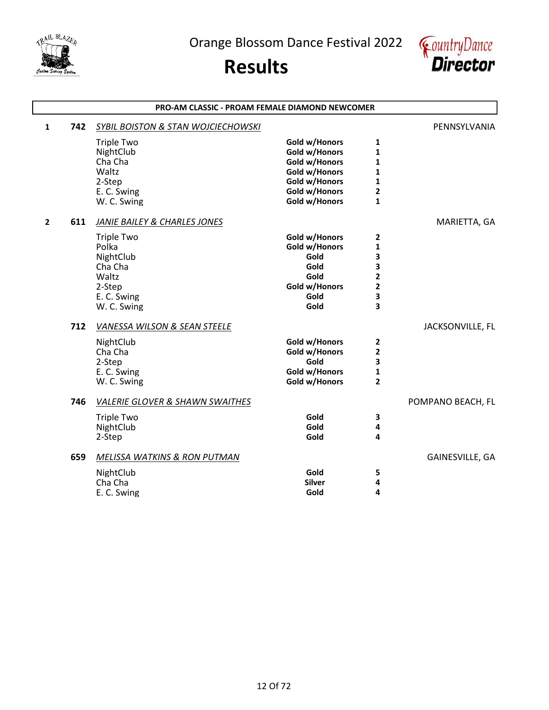RAIL BLAZEA

Orange Blossom Dance Festival 2022

# Results



### PRO-AM CLASSIC - PROAM FEMALE DIAMOND NEWCOMER

| 1 | 742 | SYBIL BOISTON & STAN WOJCIECHOWSKI         |               |                         | PENNSYLVANIA      |
|---|-----|--------------------------------------------|---------------|-------------------------|-------------------|
|   |     | <b>Triple Two</b>                          | Gold w/Honors | 1                       |                   |
|   |     | NightClub                                  | Gold w/Honors | $\mathbf{1}$            |                   |
|   |     | Cha Cha                                    | Gold w/Honors | $\mathbf{1}$            |                   |
|   |     | Waltz                                      | Gold w/Honors | 1                       |                   |
|   |     | 2-Step                                     | Gold w/Honors | $\mathbf 1$             |                   |
|   |     | E. C. Swing                                | Gold w/Honors | $\mathbf{2}$            |                   |
|   |     | W. C. Swing                                | Gold w/Honors | $\mathbf{1}$            |                   |
| 2 | 611 | <b>JANIE BAILEY &amp; CHARLES JONES</b>    |               |                         | MARIETTA, GA      |
|   |     | <b>Triple Two</b>                          | Gold w/Honors | 2                       |                   |
|   |     | Polka                                      | Gold w/Honors | $\mathbf 1$             |                   |
|   |     | NightClub                                  | Gold          | 3                       |                   |
|   |     | Cha Cha                                    | Gold          | 3                       |                   |
|   |     | Waltz                                      | Gold          | $\mathbf{2}$            |                   |
|   |     | 2-Step                                     | Gold w/Honors | $\overline{\mathbf{2}}$ |                   |
|   |     | E. C. Swing                                | Gold          | 3                       |                   |
|   |     | W. C. Swing                                | Gold          | 3                       |                   |
|   | 712 | VANESSA WILSON & SEAN STEELE               |               |                         | JACKSONVILLE, FL  |
|   |     | NightClub                                  | Gold w/Honors | 2                       |                   |
|   |     | Cha Cha                                    | Gold w/Honors | $\mathbf{2}$            |                   |
|   |     | 2-Step                                     | Gold          | 3                       |                   |
|   |     | E. C. Swing                                | Gold w/Honors | 1                       |                   |
|   |     | W. C. Swing                                | Gold w/Honors | $\mathbf{2}$            |                   |
|   | 746 | <b>VALERIE GLOVER &amp; SHAWN SWAITHES</b> |               |                         | POMPANO BEACH, FL |
|   |     | <b>Triple Two</b>                          | Gold          | 3                       |                   |
|   |     | NightClub                                  | Gold          | 4                       |                   |
|   |     | 2-Step                                     | Gold          | 4                       |                   |
|   | 659 | <b>MELISSA WATKINS &amp; RON PUTMAN</b>    |               |                         | GAINESVILLE, GA   |
|   |     | NightClub                                  | Gold          | 5                       |                   |
|   |     | Cha Cha                                    | <b>Silver</b> | 4                       |                   |
|   |     | E. C. Swing                                | Gold          | 4                       |                   |
|   |     |                                            |               |                         |                   |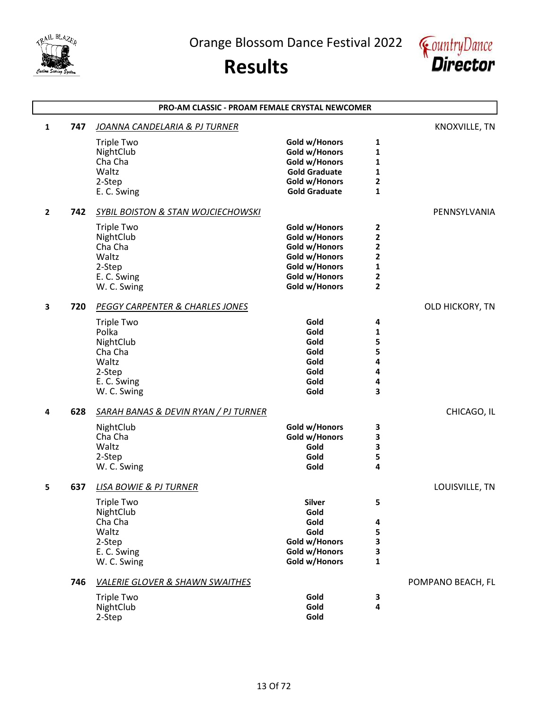

# Results



### PRO-AM CLASSIC - PROAM FEMALE CRYSTAL NEWCOMER

| 1              | 747 | JOANNA CANDELARIA & PJ TURNER        |                      |                         | KNOXVILLE, TN     |
|----------------|-----|--------------------------------------|----------------------|-------------------------|-------------------|
|                |     | <b>Triple Two</b>                    | Gold w/Honors        | 1                       |                   |
|                |     | NightClub                            | Gold w/Honors        | 1                       |                   |
|                |     | Cha Cha                              | Gold w/Honors        | 1                       |                   |
|                |     | Waltz                                | <b>Gold Graduate</b> | 1                       |                   |
|                |     | 2-Step                               | Gold w/Honors        | 2                       |                   |
|                |     |                                      | <b>Gold Graduate</b> | 1                       |                   |
|                |     | E. C. Swing                          |                      |                         |                   |
| $\overline{2}$ | 742 | SYBIL BOISTON & STAN WOJCIECHOWSKI   |                      |                         | PENNSYLVANIA      |
|                |     | <b>Triple Two</b>                    | Gold w/Honors        | 2                       |                   |
|                |     | NightClub                            | Gold w/Honors        | 2                       |                   |
|                |     | Cha Cha                              | Gold w/Honors        | 2                       |                   |
|                |     | Waltz                                | Gold w/Honors        | 2                       |                   |
|                |     | 2-Step                               | Gold w/Honors        | 1                       |                   |
|                |     | E. C. Swing                          | Gold w/Honors        | 2                       |                   |
|                |     | W. C. Swing                          | Gold w/Honors        | $\overline{\mathbf{2}}$ |                   |
|                |     |                                      |                      |                         |                   |
| 3              | 720 | PEGGY CARPENTER & CHARLES JONES      |                      |                         | OLD HICKORY, TN   |
|                |     | <b>Triple Two</b>                    | Gold                 | 4                       |                   |
|                |     | Polka                                | Gold                 | 1                       |                   |
|                |     | NightClub                            | Gold                 | 5                       |                   |
|                |     | Cha Cha                              | Gold                 | 5                       |                   |
|                |     | Waltz                                | Gold                 | 4                       |                   |
|                |     | 2-Step                               | Gold                 | 4                       |                   |
|                |     | E. C. Swing                          | Gold                 | 4                       |                   |
|                |     | W. C. Swing                          | Gold                 | 3                       |                   |
|                |     |                                      |                      |                         |                   |
| 4              | 628 | SARAH BANAS & DEVIN RYAN / PJ TURNER |                      |                         | CHICAGO, IL       |
|                |     | NightClub                            | Gold w/Honors        | 3                       |                   |
|                |     | Cha Cha                              | Gold w/Honors        | 3                       |                   |
|                |     | Waltz                                | Gold                 | 3                       |                   |
|                |     | 2-Step                               | Gold                 | 5                       |                   |
|                |     | W. C. Swing                          | Gold                 | 4                       |                   |
|                |     |                                      |                      |                         |                   |
| 5              | 637 | <b>LISA BOWIE &amp; PJ TURNER</b>    |                      |                         | LOUISVILLE, TN    |
|                |     | <b>Triple Two</b>                    | <b>Silver</b>        | 5                       |                   |
|                |     | NightClub                            | Gold                 |                         |                   |
|                |     | Cha Cha                              | Gold                 | 4                       |                   |
|                |     | Waltz                                | Gold                 | 5                       |                   |
|                |     | 2-Step                               | Gold w/Honors        | 3                       |                   |
|                |     | E. C. Swing                          | Gold w/Honors        | 3                       |                   |
|                |     | W. C. Swing                          | Gold w/Honors        | 1                       |                   |
|                | 746 | VALERIE GLOVER & SHAWN SWAITHES      |                      |                         | POMPANO BEACH, FL |
|                |     |                                      |                      |                         |                   |
|                |     | <b>Triple Two</b>                    | Gold                 | 3                       |                   |
|                |     | NightClub                            | Gold                 | 4                       |                   |
|                |     | 2-Step                               | Gold                 |                         |                   |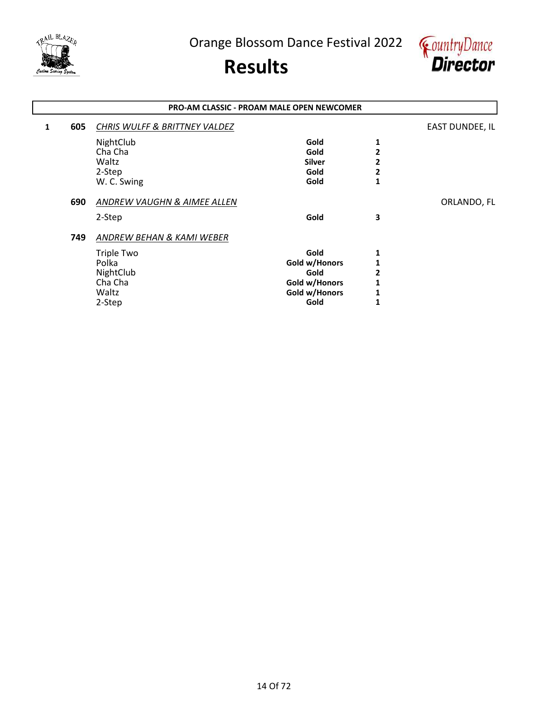



L

# Results



٦

|   | <b>PRO-AM CLASSIC - PROAM MALE OPEN NEWCOMER</b> |                                          |               |   |                 |  |
|---|--------------------------------------------------|------------------------------------------|---------------|---|-----------------|--|
| 1 | 605                                              | <b>CHRIS WULFF &amp; BRITTNEY VALDEZ</b> |               |   | EAST DUNDEE, IL |  |
|   |                                                  | NightClub                                | Gold          | 1 |                 |  |
|   |                                                  | Cha Cha                                  | Gold          | 2 |                 |  |
|   |                                                  | Waltz                                    | <b>Silver</b> | 2 |                 |  |
|   |                                                  | 2-Step                                   | Gold          | 2 |                 |  |
|   |                                                  | W. C. Swing                              | Gold          | 1 |                 |  |
|   | 690                                              | ANDREW VAUGHN & AIMEE ALLEN              |               |   | ORLANDO, FL     |  |
|   |                                                  | 2-Step                                   | Gold          | 3 |                 |  |
|   | 749                                              | ANDREW BEHAN & KAMI WEBER                |               |   |                 |  |
|   |                                                  | <b>Triple Two</b>                        | Gold          | 1 |                 |  |
|   |                                                  | Polka                                    | Gold w/Honors |   |                 |  |
|   |                                                  | NightClub                                | Gold          | 2 |                 |  |
|   |                                                  | Cha Cha                                  | Gold w/Honors |   |                 |  |
|   |                                                  | Waltz                                    | Gold w/Honors |   |                 |  |
|   |                                                  | 2-Step                                   | Gold          |   |                 |  |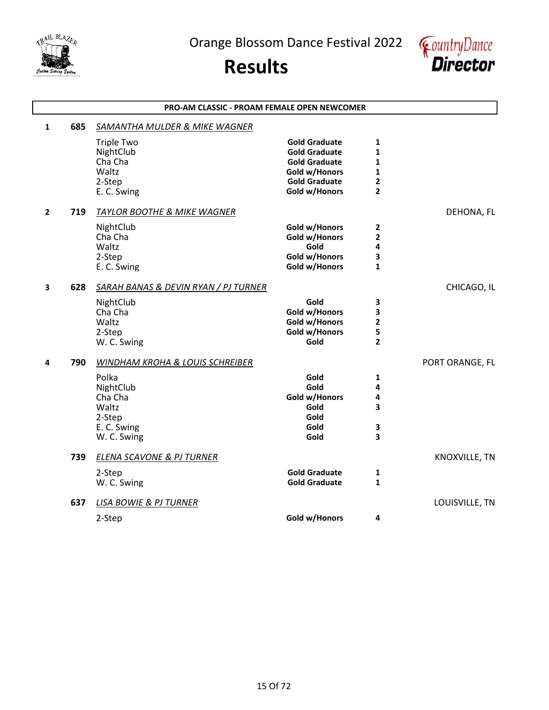

# Results



### PRO-AM CLASSIC - PROAM FEMALE OPEN NEWCOMER

| 1 | 685 | SAMANTHA MULDER & MIKE WAGNER              |                      |                |                 |
|---|-----|--------------------------------------------|----------------------|----------------|-----------------|
|   |     | <b>Triple Two</b>                          | <b>Gold Graduate</b> | 1              |                 |
|   |     | NightClub                                  | <b>Gold Graduate</b> | $\mathbf{1}$   |                 |
|   |     | Cha Cha                                    | <b>Gold Graduate</b> | 1              |                 |
|   |     | Waltz                                      | Gold w/Honors        | 1              |                 |
|   |     | 2-Step                                     | <b>Gold Graduate</b> | 2              |                 |
|   |     | E. C. Swing                                | Gold w/Honors        | $\overline{2}$ |                 |
| 2 | 719 | TAYLOR BOOTHE & MIKE WAGNER                |                      |                | DEHONA, FL      |
|   |     | NightClub                                  | Gold w/Honors        | 2              |                 |
|   |     | Cha Cha                                    | Gold w/Honors        | 2              |                 |
|   |     | Waltz                                      | Gold                 | 4              |                 |
|   |     | 2-Step                                     | Gold w/Honors        | 3              |                 |
|   |     | E. C. Swing                                | Gold w/Honors        | $\mathbf{1}$   |                 |
| 3 | 628 | SARAH BANAS & DEVIN RYAN / PJ TURNER       |                      |                | CHICAGO, IL     |
|   |     | NightClub                                  | Gold                 | 3              |                 |
|   |     | Cha Cha                                    | Gold w/Honors        | 3              |                 |
|   |     | Waltz                                      | Gold w/Honors        | $\mathbf{2}$   |                 |
|   |     | 2-Step                                     | Gold w/Honors        | 5              |                 |
|   |     | W. C. Swing                                | Gold                 | $\overline{2}$ |                 |
| 4 | 790 | <b>WINDHAM KROHA &amp; LOUIS SCHREIBER</b> |                      |                | PORT ORANGE, FL |
|   |     | Polka                                      | Gold                 | 1              |                 |
|   |     | NightClub                                  | Gold                 | 4              |                 |
|   |     | Cha Cha                                    | Gold w/Honors        | 4              |                 |
|   |     | Waltz                                      | Gold                 | 3              |                 |
|   |     | 2-Step                                     | Gold                 |                |                 |
|   |     | E. C. Swing                                | Gold                 | 3              |                 |
|   |     | W. C. Swing                                | Gold                 | 3              |                 |
|   | 739 | <b>ELENA SCAVONE &amp; PJ TURNER</b>       |                      |                | KNOXVILLE, TN   |
|   |     | 2-Step                                     | <b>Gold Graduate</b> | 1              |                 |
|   |     | W. C. Swing                                | <b>Gold Graduate</b> | 1              |                 |
|   | 637 | <b>LISA BOWIE &amp; PJ TURNER</b>          |                      |                | LOUISVILLE, TN  |
|   |     | 2-Step                                     | Gold w/Honors        | 4              |                 |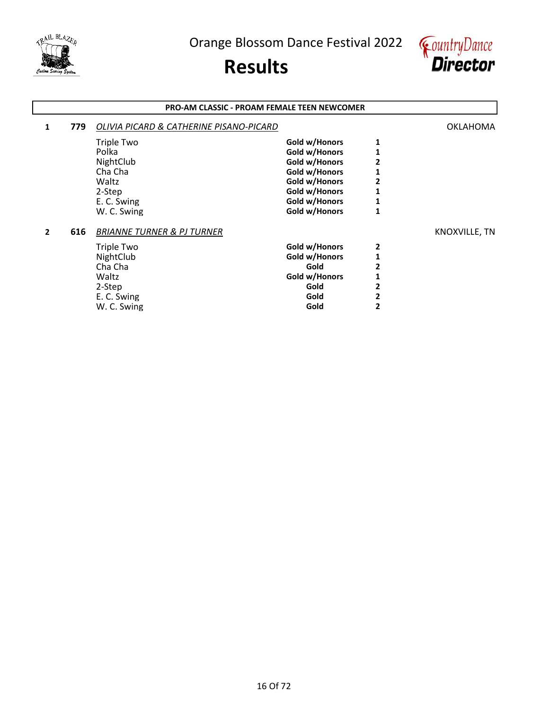

# Results



### PRO-AM CLASSIC - PROAM FEMALE TEEN NEWCOMER

| 1 | 779 | OLIVIA PICARD & CATHERINE PISANO-PICARD |               |   | <b>OKLAHOMA</b> |
|---|-----|-----------------------------------------|---------------|---|-----------------|
|   |     | Triple Two                              | Gold w/Honors | 1 |                 |
|   |     | Polka                                   | Gold w/Honors |   |                 |
|   |     | NightClub                               | Gold w/Honors |   |                 |
|   |     | Cha Cha                                 | Gold w/Honors |   |                 |
|   |     | Waltz                                   | Gold w/Honors |   |                 |
|   |     | 2-Step                                  | Gold w/Honors |   |                 |
|   |     | E. C. Swing                             | Gold w/Honors |   |                 |
|   |     | W. C. Swing                             | Gold w/Honors |   |                 |
| 2 | 616 | <b>BRIANNE TURNER &amp; PJ TURNER</b>   |               |   | KNOXVILLE, TN   |
|   |     | Triple Two                              | Gold w/Honors | 2 |                 |
|   |     | NightClub                               | Gold w/Honors |   |                 |
|   |     | Cha Cha                                 | Gold          |   |                 |
|   |     | Waltz                                   | Gold w/Honors |   |                 |
|   |     | 2-Step                                  | Gold          |   |                 |
|   |     | E. C. Swing                             | Gold          |   |                 |
|   |     | W. C. Swing                             | Gold          |   |                 |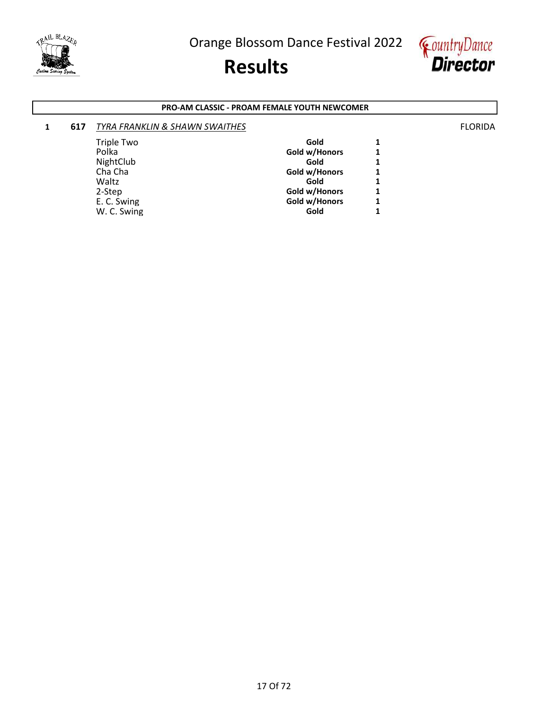



### PRO-AM CLASSIC - PROAM FEMALE YOUTH NEWCOMER

### 1 617 TYRA FRANKLIN & SHAWN SWAITHES **FLORIDA**

| <b>Triple Two</b> | Gold          | 1 |
|-------------------|---------------|---|
| Polka             | Gold w/Honors | 1 |
| NightClub         | Gold          | 1 |
| Cha Cha           | Gold w/Honors | 1 |
| Waltz             | Gold          | 1 |
| 2-Step            | Gold w/Honors | 1 |
| E. C. Swing       | Gold w/Honors | 1 |
| W. C. Swing       | Gold          | 1 |
|                   |               |   |

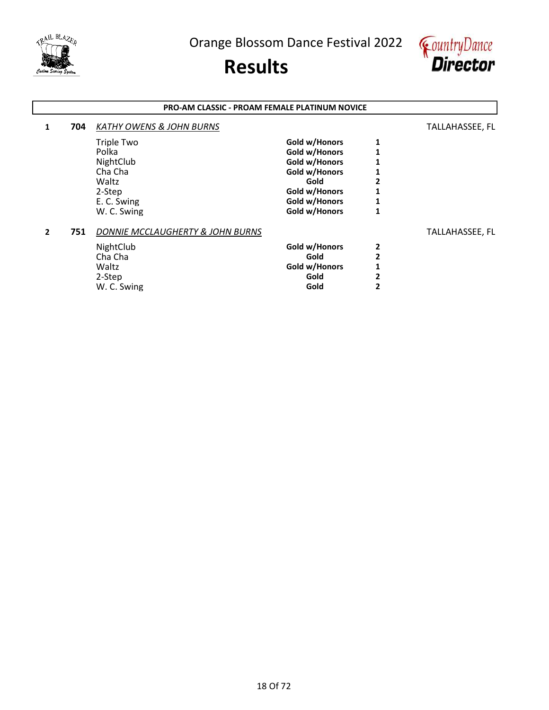

# Results



### PRO-AM CLASSIC - PROAM FEMALE PLATINUM NOVICE

### 1 704 KATHY OWENS & JOHN BURNS TALLAHASSEE, FL Triple Two **Gold w/Honors** 1<br>Polka **1** Cold w/Honors 1 Polka **Gold w/Honors** 1<br>
NightClub **Gold w/Honors** 1 NightClub Gold w/Honors 1<br>
Cha Cha **Gold w/Honors** 1 Cha Cha Gold w/Honors 1 Waltz **Contract Contract Contract Contract Contract Contract Contract Contract Contract Contract Contract Contract Contract Contract Contract Contract Contract Contract Contract Contract Contract Contract Contract Contract** 2-Step Gold w/Honors 1<br>
2. C. Swing Cold and Cold w/Honors 2 E. C. Swing Gold w/Honors 1<br>
W. C. Swing Gold w/Honors 1 Gold w/Honors 2 751 DONNIE MCCLAUGHERTY & JOHN BURNS TALLAHASSEE, FL NightClub Gold w/Honors 2 Cha Cha Gold 2 Gold w/Honors<br>Gold 2-Step 2014 2 W. C. Swing 2002 2004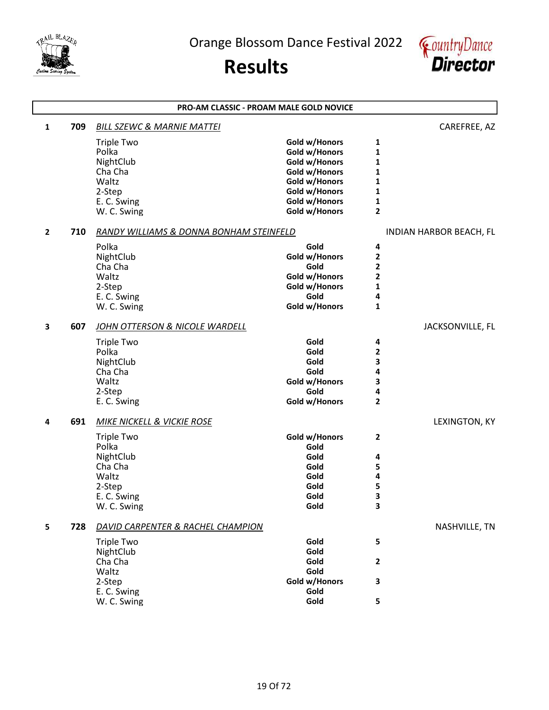

### Results



### 1 709 BILL SZEWC & MARNIE MATTEI CAREFREE, AZ Triple Two **Gold w/Honors** 1<br>Polka **Pole Republic Cold w/Honors** 1 Polka **Gold w/Honors** 1<br>
NightClub **Gold w/Honors** 1 NightClub Gold w/Honors 1 Gold w/Honors Waltz Gold w/Honors 1 2-Step **Gold w/Honors** 1<br>
E. C. Swing **E. C. Swing** E. C. Swing Carrier Collection Collection Collection Collection Collection Collection Collection Collection Collection Collection Collection Collection Collection Collection Collection Collection Collection Collection Coll Gold w/Honors 2 710 RANDY WILLIAMS & DONNA BONHAM STEINFELD INDIAN HARBOR BEACH, FL Polka **Andrea** Gold **4** NightClub Gold w/Honors 2 Cha Cha Gold 2 Waltz Gold w/Honors 2 2-Sold w/Honors 1<br>Gold 4 E. C. Swing Gold and C. Swing C. C. Swing C. C. Swing C. C. Swing C. C. Swing C. C. Swing C. C. Swing C. C. Swing C. C. Swing C. C. Swing C. C. Swing C. C. Swing C. C. S. C. S. C. C. S. C. C. C. S. C. C. C. C. C. C. C. C. W. C. Swing Gold w/Honors 3 607 JOHN OTTERSON & NICOLE WARDELL **SEEMING A SEAL OF STATISTIC ACCOUNT OF STATISTIC** FL Triple Two Gold 4 Polka 2012 and 2012 and 2014 and 2014 and 2014 and 2014 and 2014 and 2014 and 2014 and 2014 and 2014 and 2014 and 2014 and 2014 and 2014 and 2014 and 2014 and 2014 and 2014 and 2014 and 2014 and 2014 and 2014 and 2014 and NightClub Gold 3 Cha Cha **Andrea** Cha Gold **4** Waltz Gold w/Honors 3 2-Step and the contract of the Gold and the Gold and the Gold and the Gold and the Contract of the Gold and the Contract of the Gold and the Contract of the Contract of the Contract of the Contract of the Contract of the C E. C. Swing **E. C. Swing 2 4 691** MIKE NICKELL & VICKIE ROSE LEXINGTON, KY Triple Two **Gold w/Honors** 2 Polka Gold and Controller and Controller and Controller and Controller and Controller and Controller and Controller NightClub Gold 4 Cha Cha Gold **5** Waltz **Alternative Collection Collection Collection Collection Collection Collection Collection Collection Collection Collection Collection Collection Collection Collection Collection Collection Collection Collection Colle** 2-Step 5 E. C. Swing 3 W. C. Swing 3 5 728 DAVID CARPENTER & RACHEL CHAMPION NASHVILLE, TN Triple Two Gold 5 NightClub Gold Cha Cha Gold 2 Waltz **Gold** 2-Step **Gold w/Honors** 3<br>
E. C. Swing C. C. Swing E. C. Swing Gold<br>
W. C. Swing Gold Gold Communication Cold Gold W. C. Swing **Strategies Collection Collection** Collection Strategies Collection Strategies Collection Strategies Strategies Strategies Strategies Strategies Strategies Strategies Strategies Strategies Strategies Strategies PRO-AM CLASSIC - PROAM MALE GOLD NOVICE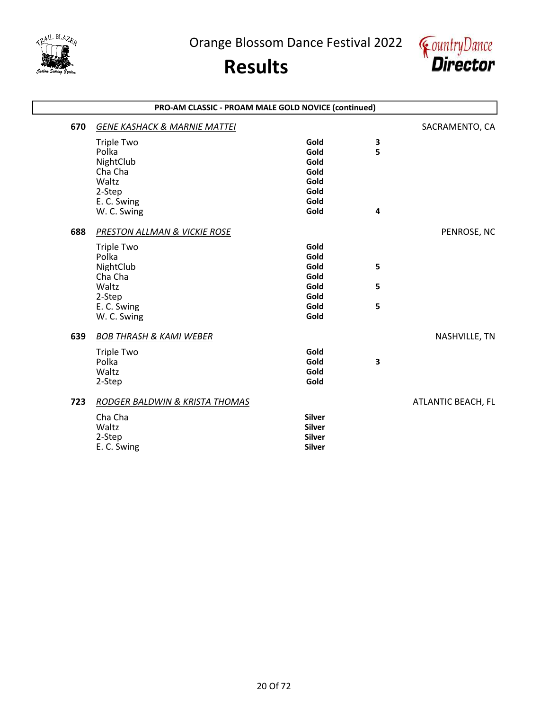

# Results



|     | PRO-AM CLASSIC - PROAM MALE GOLD NOVICE (continued) |               |   |                    |  |
|-----|-----------------------------------------------------|---------------|---|--------------------|--|
| 670 | <b>GENE KASHACK &amp; MARNIE MATTEI</b>             |               |   | SACRAMENTO, CA     |  |
|     | <b>Triple Two</b>                                   | Gold          | 3 |                    |  |
|     | Polka                                               | Gold          | 5 |                    |  |
|     | NightClub                                           | Gold          |   |                    |  |
|     | Cha Cha                                             | Gold          |   |                    |  |
|     | Waltz                                               | Gold          |   |                    |  |
|     | 2-Step                                              | Gold          |   |                    |  |
|     | E. C. Swing                                         | Gold          |   |                    |  |
|     | W. C. Swing                                         | Gold          | 4 |                    |  |
| 688 | <b>PRESTON ALLMAN &amp; VICKIE ROSE</b>             |               |   | PENROSE, NC        |  |
|     | <b>Triple Two</b>                                   | Gold          |   |                    |  |
|     | Polka                                               | Gold          |   |                    |  |
|     | NightClub                                           | Gold          | 5 |                    |  |
|     | Cha Cha                                             | Gold          |   |                    |  |
|     | Waltz                                               | Gold          | 5 |                    |  |
|     | 2-Step                                              | Gold          |   |                    |  |
|     | E. C. Swing                                         | Gold          | 5 |                    |  |
|     | W. C. Swing                                         | Gold          |   |                    |  |
| 639 | <b>BOB THRASH &amp; KAMI WEBER</b>                  |               |   | NASHVILLE, TN      |  |
|     | <b>Triple Two</b>                                   | Gold          |   |                    |  |
|     | Polka                                               | Gold          | 3 |                    |  |
|     | Waltz                                               | Gold          |   |                    |  |
|     | 2-Step                                              | Gold          |   |                    |  |
| 723 | RODGER BALDWIN & KRISTA THOMAS                      |               |   | ATLANTIC BEACH, FL |  |
|     | Cha Cha                                             | <b>Silver</b> |   |                    |  |
|     | Waltz                                               | <b>Silver</b> |   |                    |  |
|     | 2-Step                                              | <b>Silver</b> |   |                    |  |
|     | E. C. Swing                                         | <b>Silver</b> |   |                    |  |
|     |                                                     |               |   |                    |  |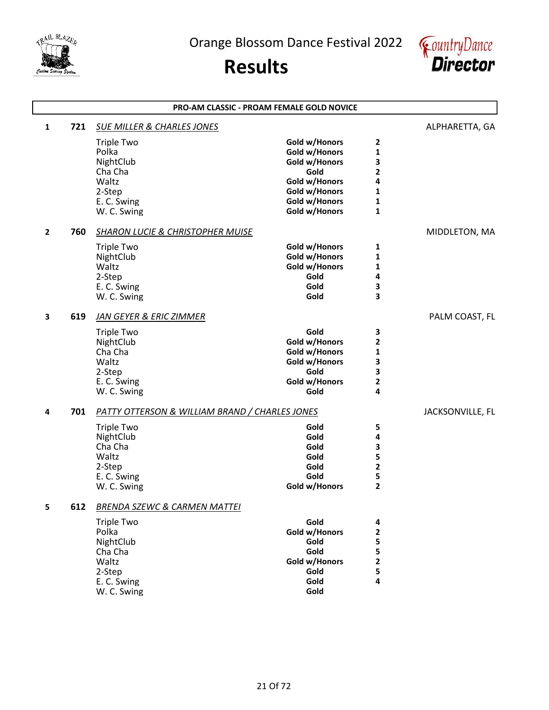IL BLAZ<sub>ED</sub>

Orange Blossom Dance Festival 2022

## Results



### 1 721 SUE MILLER & CHARLES JONES ALPHARETTA, GA Triple Two **Gold w/Honors** 2<br>Polka **Polician Collection Collection Collection**<br>The Gold w/Honors 2 Polka **Gold w/Honors** 1<br>
NightClub **Gold w/Honors** 3 NightClub Gold w/Honors 3 Cha Cha Gold 2 Waltz Gold w/Honors 4 2-Step **Gold w/Honors** 1<br>
E. C. Swing **E. C. Swing** E. C. Swing Carrier Collection Collection Collection Collection Collection Collection Collection Collection Collection Collection Collection Collection Collection Collection Collection Collection Collection Collection Coll Gold w/Honors 2 760 SHARON LUCIE & CHRISTOPHER MUISE MIDDLETON, MA Triple Two Gold w/Honors 1 Gold w/Honors 1<br>Gold w/Honors 1 Waltz **Gold w/Honors Gold w/Honors** 2-Step and the contract of the Gold and the Gold and the Gold and the Gold and the Gold and the Gold and the Gold and  $4$ E. C. Swing Contact Contact Contact Contact Contact Contact Contact Contact Contact Contact Contact Contact Contact Contact Contact Contact Contact Contact Contact Contact Contact Contact Contact Contact Contact Contact Co W. C. Swing 3 619 JAN GEYER & ERIC ZIMMER **PALM COAST, FL** Triple Two Gold 3 NightClub Gold w/Honors 2 Gold w/Honors 1<br>
Gold w/Honors 3 Waltz Gold w/Honors 3 2-Step 3 E. C. Swing **E. C. Swing Solution** Cold with the Second Cold with Cold at the Second Cold Cold Cold Cold 4 W. C. Swing **4** 4 701 PATTY OTTERSON & WILLIAM BRAND / CHARLES JONES JACKSONVILLE, FL Triple Two Gold 5 NightClub Gold 4 Cha Cha **Gold** 3 Waltz **Sand Collection Collection Collection Collection Collection Collection Collection Collection Collection Co** 2-Step 2014 2 E. C. Swing Cold E. C. Swing Cold C. Swing Cold C. Swing Cold C. C. Swing Cold C. C. Swing C. C. Swing C. C. Swing C. S. C. Swing C. S. C. S. C. S. C. S. C. S. C. S. C. S. C. S. C. S. C. S. C. S. C. C. S. C. S. C. S. C. S. W. C. Swing Gold w/Honors 5 612 BRENDA SZEWC & CARMEN MATTEI Triple Two Gold 4 Pold w/Honors 2<br>Gold 5 NightClub Gold 5 Cha Cha Gold **5** Waltz Gold w/Honors 2 2-Step 5 E. C. Swing **4** W. C. Swing Gold PRO-AM CLASSIC - PROAM FEMALE GOLD NOVICE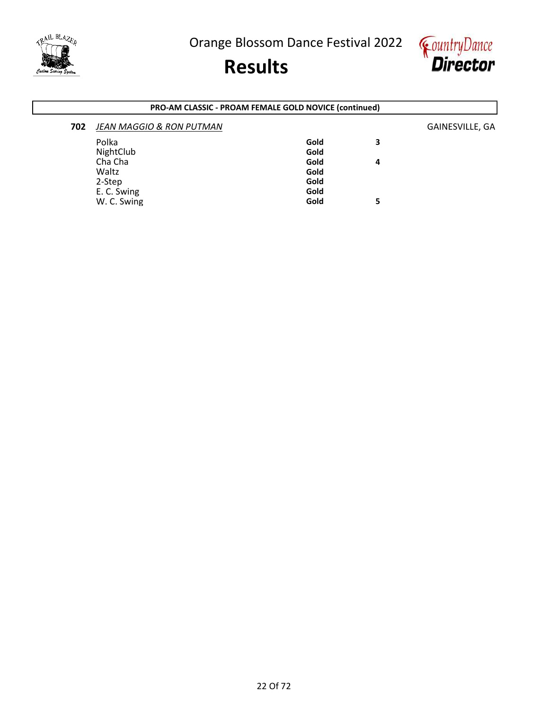

# Results



### PRO-AM CLASSIC - PROAM FEMALE GOLD NOVICE (continued)

| 702 | <b>JEAN MAGGIO &amp; RON PUTMAN</b> |      |   | GAINESVILLE, GA |
|-----|-------------------------------------|------|---|-----------------|
|     | Polka                               | Gold | 3 |                 |
|     | NightClub                           | Gold |   |                 |
|     | Cha Cha                             | Gold | 4 |                 |
|     | Waltz                               | Gold |   |                 |
|     | 2-Step                              | Gold |   |                 |
|     | E. C. Swing                         | Gold |   |                 |
|     | W. C. Swing                         | Gold |   |                 |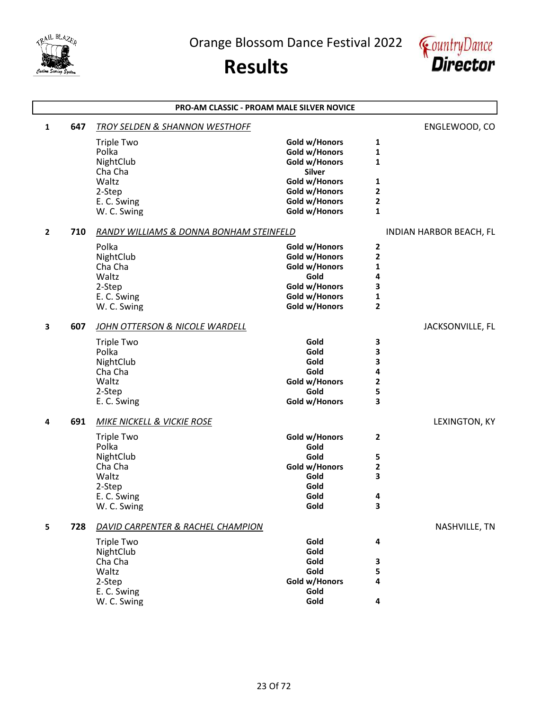



PRO-AM CLASSIC - PROAM MALE SILVER NOVICE



### 1 647 TROY SELDEN & SHANNON WESTHOFF **ENGLEWOOD, CO** Triple Two **Gold w/Honors** 1<br>Polka **Pole Republic Cold w/Honors** 1 Polka **Gold w/Honors** 1<br>
NightClub **Gold w/Honors** 1 Gold w/Honors<br>Silver Cha Cha Waltz Gold w/Honors 1 2-Step 2<br>
E. C. Swing Collection Collection Collection Collection Collection Collection Collection Collection Collection<br>
2 E. C. Swing Carrier Collection Collection Collection Collection Collection Collection Collection Collection Collection Collection Collection Collection Collection Collection Collection Collection Collection Collection Coll Gold w/Honors 2 710 RANDY WILLIAMS & DONNA BONHAM STEINFELD INDIAN HARBOR BEACH, FL Polka **Polen Collect Collect Collect Collect Collect Collect Collect Collect Collect Collect Collect Collect Co<br>
Polen Collect Collect Collect Collect Collect Collect Collect Collect Collect Collect Collect Collect Collect** Gold w/Honors 2<br>Gold w/Honors 2 Cha Cha **Gold w/Honors** 1999 Cha Cha Gold w/Honors 1999 Cha Cha Gold w/Honors 1999 Cha Gold w/Honors 1999 Cha Gold w/Honors 1999 Cha Gold w/Honors 1999 Cha Gold w/Honors 1999 Cha Gold w/Honors 1999 Cha Gold w/Honors 1999 C Waltz **Alternative Collection Collection Collection Collection Collection Collection Collection Collection Collection Collection Collection Collection Collection Collection Collection Collection Collection Collection Colle** 2-Step 3<br>
E. C. Swing Collection Collection Cold w/Honors 3<br>
Gold w/Honors 3 E. Gold w/Honors 1<br>Gold w/Honors 2 W. C. Swing Gold w/Honors 3 607 JOHN OTTERSON & NICOLE WARDELL **SEEMING A SEAL OF STATISTIC ACCOUNT OF STATISTIC** FL Triple Two Gold 3 Polka 3 NightClub Gold 3 Cha Cha **Andrea** Cha Gold **4** Waltz Gold w/Honors 2 2-Step 5 E. C. Swing **Gold w/Honors** 3 **4 691** MIKE NICKELL & VICKIE ROSE LEXINGTON, KY Triple Two **Gold w/Honors** 2 Polka Gold and Controller and Controller and Controller and Controller and Controller and Controller and Controller NightClub Gold 5 Cha Cha Gold w/Honors 2 Waltz **3** 2-Step Gold E. C. Swing Contact Contact Contact Contact Contact Contact Contact Contact Contact Contact Contact Contact Co<br>
But C. Swing Contact Contact Contact Contact Contact Contact Contact Contact Contact Contact Contact Contact C W. C. Swing 3 5 728 DAVID CARPENTER & RACHEL CHAMPION NASHVILLE, TN Triple Two Gold 4 NightClub Gold Cha Cha **Gold** 3 Waltz **Gold** 5 2-Step **Gold w/Honors** 4<br>
E. C. Swing Communication Cold Gold E. C. Swing Gold<br>
W. C. Swing Gold Gold Communication Cold Gold W. C. Swing Gold 4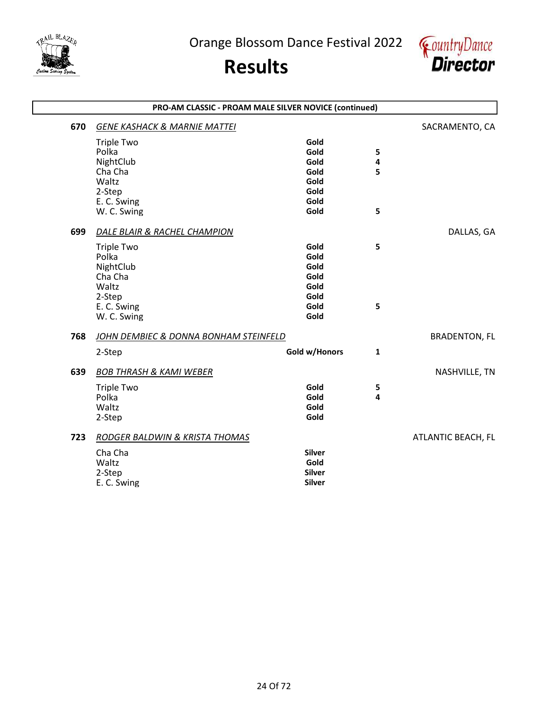

# Results



|     | PRO-AM CLASSIC - PROAM MALE SILVER NOVICE (continued) |               |             |                      |
|-----|-------------------------------------------------------|---------------|-------------|----------------------|
| 670 | <b>GENE KASHACK &amp; MARNIE MATTEI</b>               |               |             | SACRAMENTO, CA       |
|     | <b>Triple Two</b>                                     | Gold          |             |                      |
|     | Polka                                                 | Gold          | 5           |                      |
|     | NightClub                                             | Gold          | 4           |                      |
|     | Cha Cha                                               | Gold          | 5           |                      |
|     | Waltz                                                 | Gold          |             |                      |
|     | 2-Step                                                | Gold          |             |                      |
|     | E. C. Swing                                           | Gold          |             |                      |
|     | W. C. Swing                                           | Gold          | 5           |                      |
| 699 | DALE BLAIR & RACHEL CHAMPION                          |               |             | DALLAS, GA           |
|     | <b>Triple Two</b>                                     | Gold          | 5           |                      |
|     | Polka                                                 | Gold          |             |                      |
|     | NightClub                                             | Gold          |             |                      |
|     | Cha Cha                                               | Gold          |             |                      |
|     | Waltz                                                 | Gold          |             |                      |
|     | 2-Step                                                | Gold          |             |                      |
|     | E. C. Swing                                           | Gold          | 5           |                      |
|     | W. C. Swing                                           | Gold          |             |                      |
| 768 | JOHN DEMBIEC & DONNA BONHAM STEINFELD                 |               |             | <b>BRADENTON, FL</b> |
|     | 2-Step                                                | Gold w/Honors | $\mathbf 1$ |                      |
| 639 | <b>BOB THRASH &amp; KAMI WEBER</b>                    |               |             | NASHVILLE, TN        |
|     | <b>Triple Two</b>                                     | Gold          | 5           |                      |
|     | Polka                                                 | Gold          | 4           |                      |
|     | Waltz                                                 | Gold          |             |                      |
|     | 2-Step                                                | Gold          |             |                      |
| 723 | RODGER BALDWIN & KRISTA THOMAS                        |               |             | ATLANTIC BEACH, FL   |
|     | Cha Cha                                               | <b>Silver</b> |             |                      |
|     | Waltz                                                 | Gold          |             |                      |
|     | 2-Step                                                | <b>Silver</b> |             |                      |
|     | E. C. Swing                                           | <b>Silver</b> |             |                      |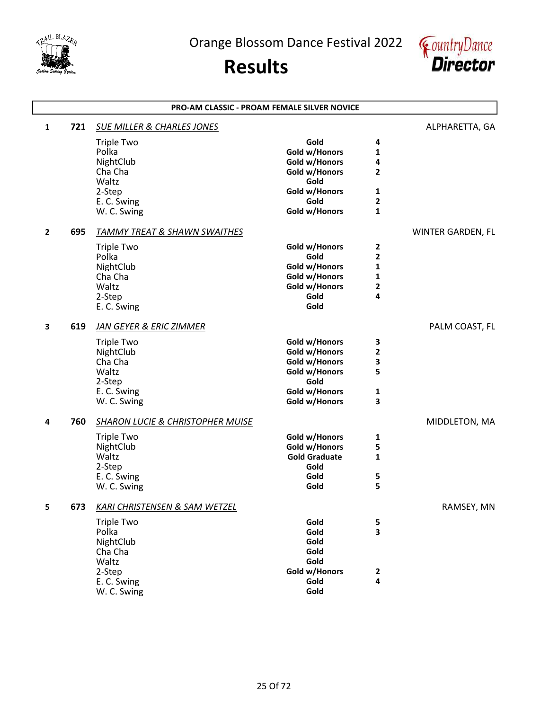AIL BLAZED

Orange Blossom Dance Festival 2022

## Results



### 1 721 SUE MILLER & CHARLES JONES ALPHARETTA, GA Triple Two Gold 4 Polka **Gold w/Honors** 1<br>
NightClub **Gold w/Honors** 1 NightClub **Gold w/Honors** 4<br>
Cha Cha **Gold w/Honors** 2 Gold w/Honors Waltz **Gold** 2-Step 1 and 2 and 2 and 2 and 2 and 2 and 2 and 2 and 2 and 2 and 2 and 2 and 2 and 2 and 2 and 2 and 2 and 2 and 2 and 2 and 2 and 2 and 2 and 2 and 2 and 2 and 2 and 2 and 2 and 2 and 2 and 2 and 2 and 2 and 2 and 2 and E. C. Swing Gold 2<br>
W. C. Swing Gold Collection Collection Collection Collection Collection Collection Collection Collection Collection Collection Collection Collection Collection Collection Collection Collection Collectio Gold w/Honors 2 695 TAMMY TREAT & SHAWN SWAITHES WINTER GARDEN, FL Triple Two **Gold w/Honors** 2<br>Polka **Gold 2** Polka **College College College College College College College College College College College College College** NightClub Gold w/Honors and 1 Cha Cha Gold w/Honors 1 Waltz Gold w/Honors 2 2-Step and the contract of the Gold and the Gold and the Gold and the Gold and the Contract of the Gold and the Contract of the Gold and the Contract of the Contract of the Contract of the Contract of the Contract of the C E. C. Swing Gold 3 619 JAN GEYER & ERIC ZIMMER **PALM COAST, FL** Triple Two Gold w/Honors 3 Gold w/Honors 2<br>Gold w/Honors 3 Cha Cha Gold w/Honors 3 Gold w/Honors<br>Gold 2-Step Gold E. C. Swing the C. Swing term of the C. Swing of the C. Swing of the C. Swing of the C. Swing of the C. Swing o<br>
Gold w/Honors 3 W. C. Swing Gold w/Honors 4 760 SHARON LUCIE & CHRISTOPHER MUISE NUMBER MIDDLETON, MA Triple Two **Gold w/Honors** 1 NightClub Gold w/Honors 5 Waltz Gold Graduate 1 2-Step Gold E. C. Swing Contact Contact Contact Contact Contact Contact Contact Contact Contact Contact Contact Contact Contact Contact Contact Contact Contact Contact Contact Contact Contact Contact Contact Contact Contact Contact Co W. C. Swing Gold 5 and 5 and 5 and 5 and 5 and 5 and 5 and 5 and 5 and 5 and 5 and 5 and 5 and 5 and 5 and 5 and 5 and 5 and 5 and 5 and 5 and 5 and 5 and 5 and 5 and 5 and 5 and 5 and 5 and 5 and 5 and 5 and 5 and 5 and 5 5 673 KARI CHRISTENSEN & SAM WETZEL **South and Service Contract Contract Contract Contract Contract Contract Contract Contract Contract Contract Contract Contract Contract Contract Contract Contract Contract Contract Contr** Triple Two Gold 5 Polka 3 NightClub Gold<br>Cha Cha Gold Gold Gold Gold Gold Cha Cha Gold Waltz **Gold** 2-Step **Gold w/Honors** 2<br>
E. C. Swing **COLOUT COLOUT COLOUT COLOUT 2** E. C. Swing W. C. Swing Gold PRO-AM CLASSIC - PROAM FEMALE SILVER NOVICE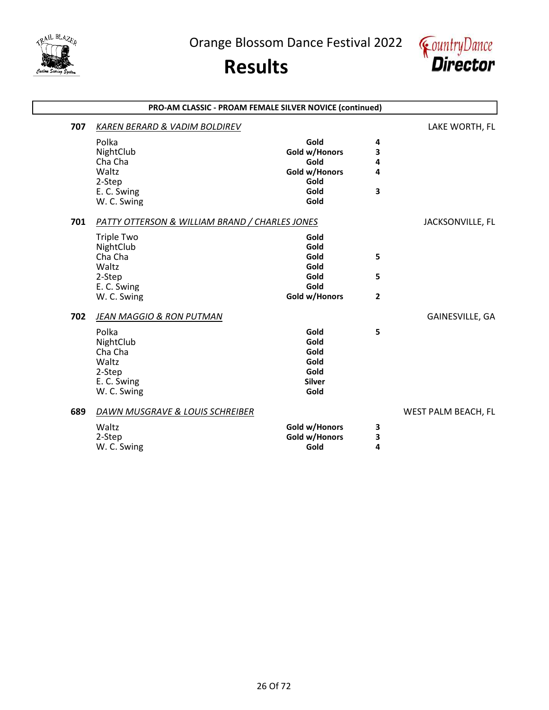

# Results



|     | PRO-AM CLASSIC - PROAM FEMALE SILVER NOVICE (continued) |               |                         |                     |  |  |
|-----|---------------------------------------------------------|---------------|-------------------------|---------------------|--|--|
| 707 | KAREN BERARD & VADIM BOLDIREV                           |               |                         | LAKE WORTH, FL      |  |  |
|     | Polka                                                   | Gold          | 4                       |                     |  |  |
|     | NightClub                                               | Gold w/Honors | 3                       |                     |  |  |
|     | Cha Cha                                                 | Gold          | 4                       |                     |  |  |
|     | Waltz                                                   | Gold w/Honors | 4                       |                     |  |  |
|     | 2-Step                                                  | Gold          |                         |                     |  |  |
|     | E. C. Swing                                             | Gold          | 3                       |                     |  |  |
|     | W. C. Swing                                             | Gold          |                         |                     |  |  |
| 701 | PATTY OTTERSON & WILLIAM BRAND / CHARLES JONES          |               |                         | JACKSONVILLE, FL    |  |  |
|     | <b>Triple Two</b>                                       | Gold          |                         |                     |  |  |
|     | NightClub                                               | Gold          |                         |                     |  |  |
|     | Cha Cha                                                 | Gold          | 5                       |                     |  |  |
|     | Waltz                                                   | Gold          |                         |                     |  |  |
|     | 2-Step                                                  | Gold          | 5                       |                     |  |  |
|     | E. C. Swing                                             | Gold          |                         |                     |  |  |
|     | W. C. Swing                                             | Gold w/Honors | $\overline{\mathbf{2}}$ |                     |  |  |
| 702 | <b>JEAN MAGGIO &amp; RON PUTMAN</b>                     |               |                         | GAINESVILLE, GA     |  |  |
|     | Polka                                                   | Gold          | 5                       |                     |  |  |
|     | NightClub                                               | Gold          |                         |                     |  |  |
|     | Cha Cha                                                 | Gold          |                         |                     |  |  |
|     | Waltz                                                   | Gold          |                         |                     |  |  |
|     | 2-Step                                                  | Gold          |                         |                     |  |  |
|     | E. C. Swing                                             | <b>Silver</b> |                         |                     |  |  |
|     | W. C. Swing                                             | Gold          |                         |                     |  |  |
| 689 | DAWN MUSGRAVE & LOUIS SCHREIBER                         |               |                         | WEST PALM BEACH, FL |  |  |
|     | Waltz                                                   | Gold w/Honors | 3                       |                     |  |  |
|     | 2-Step                                                  | Gold w/Honors | 3                       |                     |  |  |
|     | W. C. Swing                                             | Gold          | 4                       |                     |  |  |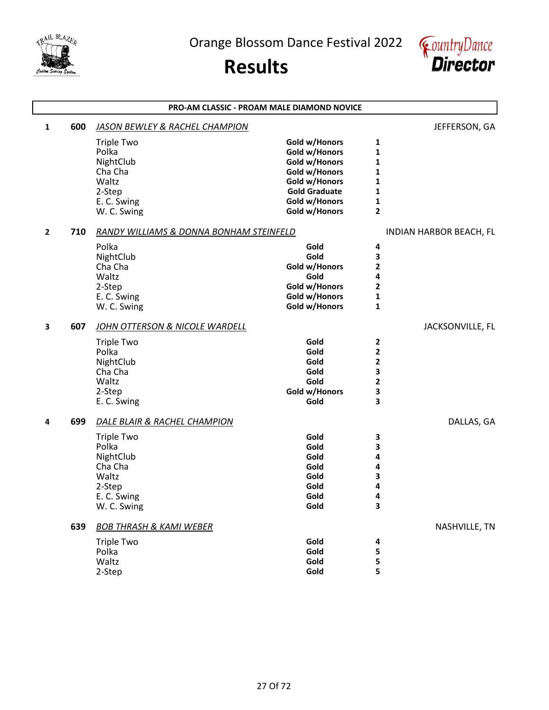

## Results



### 1 600 JASON BEWLEY & RACHEL CHAMPION **1** 600 JASON BEWLEY & RACHEL CHAMPION Triple Two **Gold w/Honors** 1<br>Polka **Pole Republic Cold w/Honors** 1 Polka **Gold w/Honors** 1<br>
NightClub **Gold w/Honors** 1 NightClub Gold w/Honors 1 Gold w/Honors Waltz Gold w/Honors 1 2-Step 2-Step Gold Graduate 1<br>
E. C. Swing Collection Cold We Gold W/Honors 2 E. C. Swing Carrier Collection Collection Collection Collection Collection Collection Collection Collection Collection Collection Collection Collection Collection Collection Collection Collection Collection Collection Coll Gold w/Honors 2 710 RANDY WILLIAMS & DONNA BONHAM STEINFELD INDIAN HARBOR BEACH, FL Polka **Andrea** Gold **4** NightClub Gold 3 Cha Cha **Gold w/Honors** 2014 Cha Gold w/Honors 2014 Cha Gold w/Honors 2014 Cha Gold w/Honors 2014 Cha Gold w/Honors 2014 Cha Gold w/Honors 2014 Cha Gold w/Honors 2014 Cha Gold w/Honors 2014 Cha Gold w/Honors 2014 Cha Gold Waltz **Alternative Collection Collection Collection Collection Collection Collection Collection Collection Collection Collection Collection Collection Collection Collection Collection Collection Collection Collection Colle** 2-Step 2<br>
E. C. Swing Collection Collection Cold w/Honors 2<br>
Gold w/Honors 2 Gold w/Honors W. C. Swing **Gold w/Honors** 1 3 607 JOHN OTTERSON & NICOLE WARDELL **SEEMING A SEAL OF STATISTIC ACCOUNT OF STATISTIC** FL Triple Two Gold 2 Polka 2012 and 2012 and 2014 and 2014 and 2014 and 2014 and 2014 and 2014 and 2014 and 2014 and 2014 and 2014 and 2014 and 2014 and 2014 and 2014 and 2014 and 2014 and 2014 and 2014 and 2014 and 2014 and 2014 and 2014 and NightClub 2<br>Cha Cha 2 and 2 and 2 and 2 and 2 and 2 and 2 and 2 and 2 and 2 and 2 and 2 and 2 and 2 and 2 and 2 and 2 and 2 Cha Cha **Gold** 3 Waltz **Contract Contract Contract Contract Contract Contract Contract Contract Contract Contract Contract Contract Contract Contract Contract Contract Contract Contract Contract Contract Contract Contract Contract Contract** 2-Step **Gold w/Honors** 3<br>
E. C. Swing **Gold Step College College College College College College College College College College College** 3 E. C. Swing 4 699 DALE BLAIR & RACHEL CHAMPION **DALLAS AND A SERVICE ASSAULT A** DALLAS, GA Triple Two 3 Polka and 3 and 3 and 3 and 3 and 3 and 3 and 3 and 3 and 3 and 3 and 3 and 3 and 3 and 3 and 3 and 3 and 3 and 3 and 3 and 3 and 3 and 3 and 3 and 3 and 3 and 3 and 3 and 3 and 3 and 3 and 3 and 3 and 3 and 3 and 3 and 3 NightClub Gold 4 Cha Cha **Andrea** Gold **4** Waltz **3** 2-Step and the contract of the Gold and the Gold and the Gold and the Gold and the Gold and the Gold and the Gold and  $4$ E. C. Swing Contact Contact Contact Contact Contact Contact Contact Contact Contact Contact Contact Contact Contact Contact Contact Contact Contact Contact Contact Contact Contact Contact Contact Contact Contact Contact Co W. C. Swing Gold 3. The Second Second 3. The Second 3. Second 3. Second 3. Second 3. Second 3. Second 3. Second 3. Second 3. Second 3. Second 3. Second 3. Second 3. Second 3. Second 3. Second 3. Second 3. Second 3. Second 639 BOB THRASH & KAMI WEBER NASHVILLE, TN Triple Two Gold 4 Polka **Gold** 5 Waltz **Sand Collection Collection Collection Collection Collection Collection Collection Collection Collection Co** 2-Step 5 PRO-AM CLASSIC - PROAM MALE DIAMOND NOVICE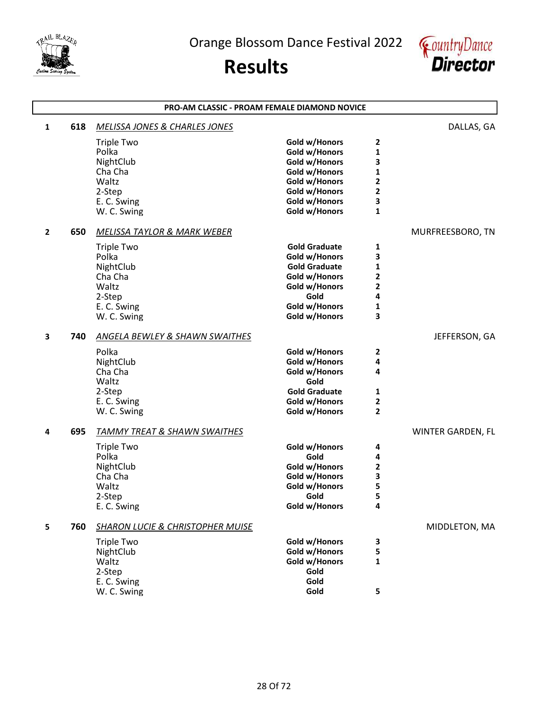

### Results



### 1 618 MELISSA JONES & CHARLES JONES **1998 120 MELISSA AUGUST 2018** DALLAS, GA Triple Two **Gold w/Honors** 2<br>Polka **Polician Collection Collection Collection**<br>The Gold w/Honors 2 Polka 1 Cold with Gold with Collection Collection Collection Collection Collection Collection Collection Colle<br>
Gold with Gold with Collection Collection Collection Collection Collection Collection Collection Collection C NightClub **Gold w/Honors** 3<br>
Cha Cha **Gold w/Honors** 1 Gold w/Honors 1<br>Gold w/Honors 2 Waltz Gold w/Honors 2 2-Step Cold w/Honors 2<br>
2 Gold w/Honors 2<br>
2 Gold w/Honors 3 E. C. Swing Gold w/Honors 3<br>
W. C. Swing Gold w/Honors 1 Gold w/Honors 2 650 MELISSA TAYLOR & MARK WEBER MURTREESBORO, TN Triple Two **Gold Graduate** 1 and Gold Graduate 1 and Gold Graduate 1 and Gold Graduate 1 and Gold Graduate 1 and Gold Graduate 1 and Gold Graduate 1 and Gold Graduate 1 and Gold Graduate 1 and Gold Graduate 1 and Gold Grad Polka **Bandary Collection Collection Collection**<br>
Cold Graduate 1<br>
Gold Graduate 1 **Gold Graduate** Cha Cha Gold w/Honors 2 Waltz Gold w/Honors 2 2-Step and the contract of the Gold and the Gold and the Gold and the Gold and the Contract of the Gold and the Contract of the Gold and the Contract of the Contract of the Contract of the Contract of the Contract of the C E. C. Swing Carrier Collection Cold w/Honors 1<br>
W. C. Swing Cold w/Honors 3 W. C. Swing Gold w/Honors 3 740 ANGELA BEWLEY & SHAWN SWAITHES **SECULIARY SECULAR SECULAR SECULAR SECULAR SECULAR SECULAR SECULAR SECULAR S** Polka Gold w/Honors 2 NightClub **Gold w/Honors 4**<br>Cha Cha **Gold w/Honors** 4 Cha Cha Gold w/Honors 4 Waltz **Gold** 2-Step 2012 Cold Graduate 2014<br>
2. C. Swing Cold Graduate 2014 Cold W/Honors E. C. Swing Collection Collection Collection Collection Collection Collection Collection Collection Collection Collection Collection Collection Collection Collection Collection Collection Collection Collection Collection C W. C. Swing **Gold w/Honors** 2008 4 695 *TAMMY TREAT & SHAWN SWAITHES* WINTER GARDEN, FL Triple Two **Gold w/Honors** 4 Polka **Andrea** Gold **4** NightClub Gold w/Honors 2 Gold w/Honors 3<br>Gold w/Honors 5 Waltz **Gold w/Honors** 600 Main was seen as a set of the Gold with the Gold with the Second Second Second Second Second Second Second Second Second Second Second Second Second Second Second Second Second Second Second Secon 2-Step 5 E. C. Swing **Gold w/Honors 4** 5 760 SHARON LUCIE & CHRISTOPHER MUISE MANUSE AND THE MIDDLETON, MA Triple Two **Gold w/Honors** 3<br>
NightClub **Gold w/Honors** 5 NightClub Gold w/Honors 5 Gold w/Honors<br>Gold 2-Step Gold<br>
E. C. Swing Gold Communications of Gold Gold E. C. Swing W. C. Swing **Strategies Collection Collection** Collection Strategies Collection Strategies Collection Strategies Strategies Strategies Strategies Strategies Strategies Strategies Strategies Strategies Strategies Strategies PRO-AM CLASSIC - PROAM FEMALE DIAMOND NOVICE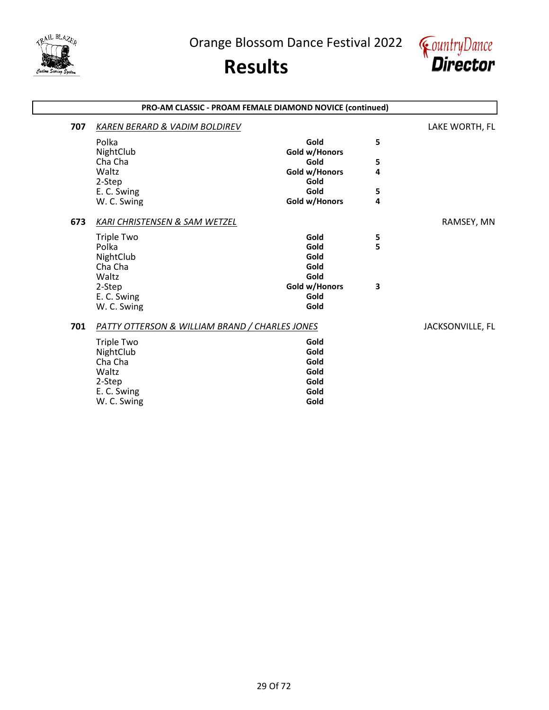

# Results



### PRO-AM CLASSIC - PROAM FEMALE DIAMOND NOVICE (continued)

| 707 | <b>KAREN BERARD &amp; VADIM BOLDIREV</b>       |               |   | LAKE WORTH, FL   |
|-----|------------------------------------------------|---------------|---|------------------|
|     | Polka                                          | Gold          | 5 |                  |
|     | NightClub                                      | Gold w/Honors |   |                  |
|     | Cha Cha                                        | Gold          | 5 |                  |
|     | Waltz                                          | Gold w/Honors | 4 |                  |
|     | 2-Step                                         | Gold          |   |                  |
|     | E. C. Swing                                    | Gold          | 5 |                  |
|     | W. C. Swing                                    | Gold w/Honors | 4 |                  |
| 673 | KARI CHRISTENSEN & SAM WETZEL                  |               |   | RAMSEY, MN       |
|     | <b>Triple Two</b>                              | Gold          | 5 |                  |
|     | Polka                                          | Gold          | 5 |                  |
|     | NightClub                                      | Gold          |   |                  |
|     | Cha Cha                                        | Gold          |   |                  |
|     | Waltz                                          | Gold          |   |                  |
|     | 2-Step                                         | Gold w/Honors | 3 |                  |
|     | E. C. Swing                                    | Gold          |   |                  |
|     | W. C. Swing                                    | Gold          |   |                  |
| 701 | PATTY OTTERSON & WILLIAM BRAND / CHARLES JONES |               |   | JACKSONVILLE, FL |
|     | <b>Triple Two</b>                              | Gold          |   |                  |
|     | NightClub                                      | Gold          |   |                  |
|     | Cha Cha                                        | Gold          |   |                  |
|     | Waltz                                          | Gold          |   |                  |
|     | 2-Step                                         | Gold          |   |                  |
|     | E. C. Swing                                    | Gold          |   |                  |
|     | W. C. Swing                                    | Gold          |   |                  |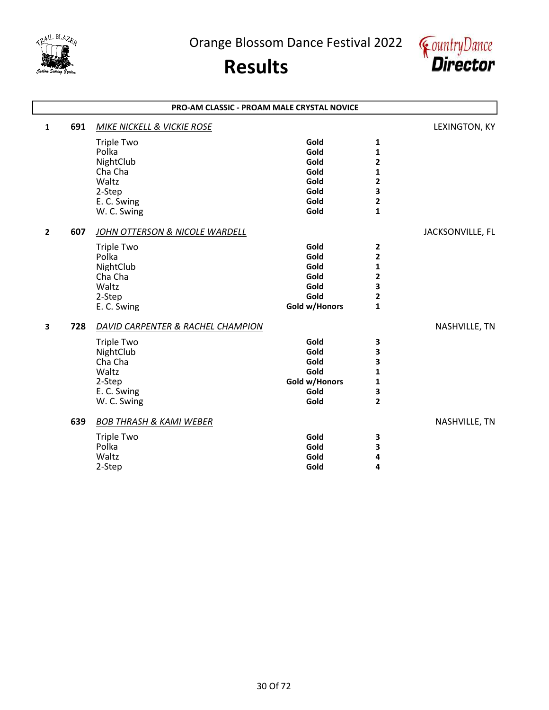

# Results



|                | PRO-AM CLASSIC - PROAM MALE CRYSTAL NOVICE |                                       |               |                         |                  |  |
|----------------|--------------------------------------------|---------------------------------------|---------------|-------------------------|------------------|--|
| $\mathbf{1}$   | 691                                        | <b>MIKE NICKELL &amp; VICKIE ROSE</b> |               |                         | LEXINGTON, KY    |  |
|                |                                            | <b>Triple Two</b>                     | Gold          | 1                       |                  |  |
|                |                                            | Polka                                 | Gold          | 1                       |                  |  |
|                |                                            | NightClub                             | Gold          | 2                       |                  |  |
|                |                                            | Cha Cha                               | Gold          | 1                       |                  |  |
|                |                                            | Waltz                                 | Gold          | $\overline{\mathbf{c}}$ |                  |  |
|                |                                            | 2-Step                                | Gold          | 3                       |                  |  |
|                |                                            | E. C. Swing                           | Gold          | 2                       |                  |  |
|                |                                            | W. C. Swing                           | Gold          | $\mathbf{1}$            |                  |  |
| $\overline{2}$ | 607                                        | JOHN OTTERSON & NICOLE WARDELL        |               |                         | JACKSONVILLE, FL |  |
|                |                                            | <b>Triple Two</b>                     | Gold          | 2                       |                  |  |
|                |                                            | Polka                                 | Gold          | $\overline{\mathbf{2}}$ |                  |  |
|                |                                            | NightClub                             | Gold          | 1                       |                  |  |
|                |                                            | Cha Cha                               | Gold          | 2                       |                  |  |
|                |                                            | Waltz                                 | Gold          | 3                       |                  |  |
|                |                                            | 2-Step                                | Gold          | $\overline{\mathbf{2}}$ |                  |  |
|                |                                            | E. C. Swing                           | Gold w/Honors | $\mathbf{1}$            |                  |  |
| 3              | 728                                        | DAVID CARPENTER & RACHEL CHAMPION     |               |                         | NASHVILLE, TN    |  |
|                |                                            | <b>Triple Two</b>                     | Gold          | 3                       |                  |  |
|                |                                            | NightClub                             | Gold          | 3                       |                  |  |
|                |                                            | Cha Cha                               | Gold          | 3                       |                  |  |
|                |                                            | Waltz                                 | Gold          | 1                       |                  |  |
|                |                                            | 2-Step                                | Gold w/Honors | 1                       |                  |  |
|                |                                            | E. C. Swing                           | Gold          | 3                       |                  |  |
|                |                                            | W. C. Swing                           | Gold          | $\overline{2}$          |                  |  |
|                | 639                                        | <b>BOB THRASH &amp; KAMI WEBER</b>    |               |                         | NASHVILLE, TN    |  |
|                |                                            | <b>Triple Two</b>                     | Gold          | 3                       |                  |  |
|                |                                            | Polka                                 | Gold          | 3                       |                  |  |
|                |                                            | Waltz                                 | Gold          | 4                       |                  |  |
|                |                                            | 2-Step                                | Gold          | 4                       |                  |  |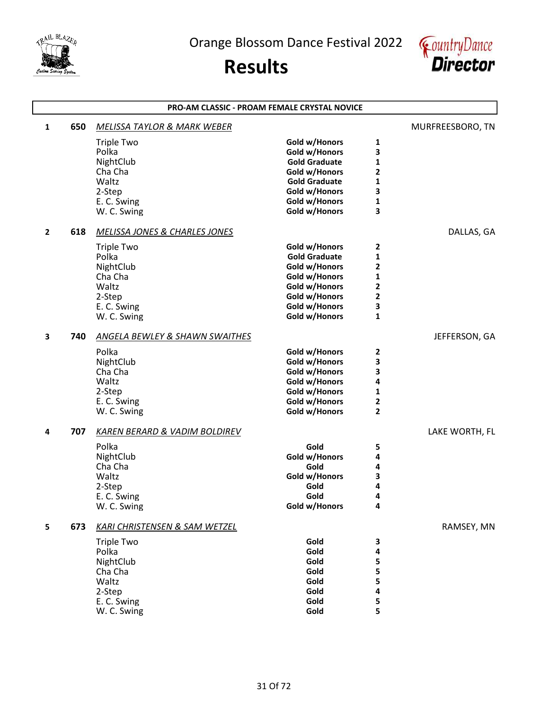

# Results



### PRO-AM CLASSIC - PROAM FEMALE CRYSTAL NOVICE

| $\mathbf{1}$   | 650 | <b>MELISSA TAYLOR &amp; MARK WEBER</b>    |                      |                | MURFREESBORO, TN |
|----------------|-----|-------------------------------------------|----------------------|----------------|------------------|
|                |     | <b>Triple Two</b>                         | Gold w/Honors        | 1              |                  |
|                |     | Polka                                     | Gold w/Honors        | 3              |                  |
|                |     | NightClub                                 | <b>Gold Graduate</b> | 1              |                  |
|                |     | Cha Cha                                   | Gold w/Honors        | 2              |                  |
|                |     | Waltz                                     | <b>Gold Graduate</b> | 1              |                  |
|                |     | 2-Step                                    | Gold w/Honors        | 3              |                  |
|                |     | E. C. Swing                               | Gold w/Honors        | 1              |                  |
|                |     | W. C. Swing                               | Gold w/Honors        | 3              |                  |
|                |     |                                           |                      |                |                  |
| $\overline{2}$ | 618 | <b>MELISSA JONES &amp; CHARLES JONES</b>  |                      |                | DALLAS, GA       |
|                |     | <b>Triple Two</b>                         | Gold w/Honors        | 2              |                  |
|                |     | Polka                                     | <b>Gold Graduate</b> | 1              |                  |
|                |     | NightClub                                 | Gold w/Honors        | 2              |                  |
|                |     | Cha Cha                                   | Gold w/Honors        | 1              |                  |
|                |     | Waltz                                     | Gold w/Honors        | 2              |                  |
|                |     | 2-Step                                    | Gold w/Honors        | 2              |                  |
|                |     | E. C. Swing                               | Gold w/Honors        | 3              |                  |
|                |     | W. C. Swing                               | Gold w/Honors        | $\mathbf{1}$   |                  |
|                |     |                                           |                      |                |                  |
| 3              | 740 | <b>ANGELA BEWLEY &amp; SHAWN SWAITHES</b> |                      |                | JEFFERSON, GA    |
|                |     | Polka                                     | Gold w/Honors        | 2              |                  |
|                |     | NightClub                                 | Gold w/Honors        | 3              |                  |
|                |     | Cha Cha                                   | Gold w/Honors        | 3              |                  |
|                |     | Waltz                                     | Gold w/Honors        | 4              |                  |
|                |     | 2-Step                                    | Gold w/Honors        | 1              |                  |
|                |     | E. C. Swing                               | Gold w/Honors        | 2              |                  |
|                |     | W. C. Swing                               | Gold w/Honors        | $\overline{2}$ |                  |
| 4              | 707 | <b>KAREN BERARD &amp; VADIM BOLDIREV</b>  |                      |                | LAKE WORTH, FL   |
|                |     |                                           |                      |                |                  |
|                |     | Polka                                     | Gold                 | 5              |                  |
|                |     | NightClub                                 | Gold w/Honors        | 4              |                  |
|                |     | Cha Cha                                   | Gold                 | 4              |                  |
|                |     | Waltz                                     | Gold w/Honors        | 3              |                  |
|                |     | 2-Step                                    | Gold                 | $\pmb{4}$      |                  |
|                |     | E. C. Swing                               | Gold                 | 4              |                  |
|                |     | W. C. Swing                               | Gold w/Honors        | 4              |                  |
| 5              | 673 | <b>KARI CHRISTENSEN &amp; SAM WETZEL</b>  |                      |                | RAMSEY, MN       |
|                |     | <b>Triple Two</b>                         | Gold                 | 3              |                  |
|                |     | Polka                                     | Gold                 | 4              |                  |
|                |     | NightClub                                 | Gold                 | 5              |                  |
|                |     | Cha Cha                                   | Gold                 | 5              |                  |
|                |     | Waltz                                     | Gold                 | 5              |                  |
|                |     | 2-Step                                    | Gold                 | 4              |                  |
|                |     | E. C. Swing                               | Gold                 | 5              |                  |
|                |     | W. C. Swing                               | Gold                 | 5              |                  |
|                |     |                                           |                      |                |                  |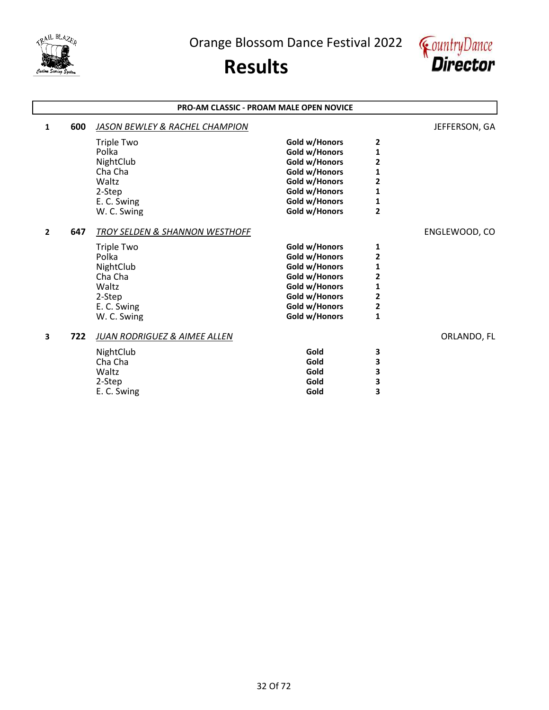RAIL BLAZEA

Orange Blossom Dance Festival 2022

# Results



### PRO-AM CLASSIC - PROAM MALE OPEN NOVICE

| $\mathbf{1}$   | 600 | <b>JASON BEWLEY &amp; RACHEL CHAMPION</b> |               |                         | JEFFERSON, GA |
|----------------|-----|-------------------------------------------|---------------|-------------------------|---------------|
|                |     | <b>Triple Two</b>                         | Gold w/Honors | 2                       |               |
|                |     | Polka                                     | Gold w/Honors | 1                       |               |
|                |     | NightClub                                 | Gold w/Honors | 2                       |               |
|                |     | Cha Cha                                   | Gold w/Honors | 1                       |               |
|                |     | Waltz                                     | Gold w/Honors | 2                       |               |
|                |     | 2-Step                                    | Gold w/Honors | 1                       |               |
|                |     | E. C. Swing                               | Gold w/Honors | 1                       |               |
|                |     | W. C. Swing                               | Gold w/Honors | $\mathbf{2}$            |               |
| $\overline{2}$ | 647 | TROY SELDEN & SHANNON WESTHOFF            |               |                         | ENGLEWOOD, CO |
|                |     | <b>Triple Two</b>                         | Gold w/Honors | 1                       |               |
|                |     | Polka                                     | Gold w/Honors | $\overline{\mathbf{2}}$ |               |
|                |     | NightClub                                 | Gold w/Honors | 1                       |               |
|                |     | Cha Cha                                   | Gold w/Honors | 2                       |               |
|                |     | Waltz                                     | Gold w/Honors | 1                       |               |
|                |     | 2-Step                                    | Gold w/Honors | 2                       |               |
|                |     | E. C. Swing                               | Gold w/Honors | 2                       |               |
|                |     | W. C. Swing                               | Gold w/Honors | $\mathbf{1}$            |               |
| 3              | 722 | <b>JUAN RODRIGUEZ &amp; AIMEE ALLEN</b>   |               |                         | ORLANDO, FL   |
|                |     | NightClub                                 | Gold          | З                       |               |
|                |     | Cha Cha                                   | Gold          | 3                       |               |
|                |     | Waltz                                     | Gold          | 3                       |               |
|                |     | 2-Step                                    | Gold          | 3                       |               |
|                |     | E. C. Swing                               | Gold          | $\overline{\mathbf{3}}$ |               |
|                |     |                                           |               |                         |               |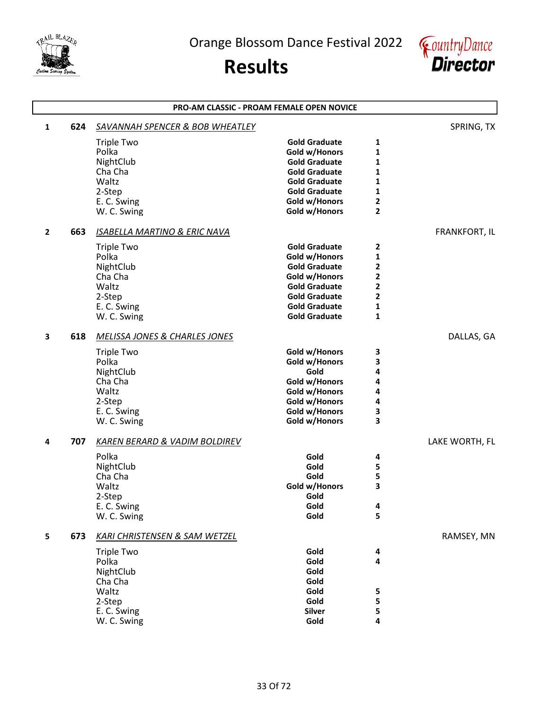RAIL BLAZEA

Orange Blossom Dance Festival 2022

# Results



### PRO-AM CLASSIC - PROAM FEMALE OPEN NOVICE

| $\mathbf{1}$ | 624 | SAVANNAH SPENCER & BOB WHEATLEY          |                      |   | SPRING, TX     |
|--------------|-----|------------------------------------------|----------------------|---|----------------|
|              |     | <b>Triple Two</b>                        | <b>Gold Graduate</b> | 1 |                |
|              |     | Polka                                    | Gold w/Honors        | 1 |                |
|              |     | NightClub                                | <b>Gold Graduate</b> | 1 |                |
|              |     |                                          | <b>Gold Graduate</b> |   |                |
|              |     | Cha Cha<br>Waltz                         | <b>Gold Graduate</b> | 1 |                |
|              |     |                                          |                      | 1 |                |
|              |     | 2-Step                                   | <b>Gold Graduate</b> | 1 |                |
|              |     | E. C. Swing                              | Gold w/Honors        | 2 |                |
|              |     | W. C. Swing                              | Gold w/Honors        | 2 |                |
| $\mathbf{2}$ | 663 | <b>ISABELLA MARTINO &amp; ERIC NAVA</b>  |                      |   | FRANKFORT, IL  |
|              |     | <b>Triple Two</b>                        | <b>Gold Graduate</b> | 2 |                |
|              |     | Polka                                    | Gold w/Honors        | 1 |                |
|              |     | NightClub                                | <b>Gold Graduate</b> | 2 |                |
|              |     | Cha Cha                                  | Gold w/Honors        | 2 |                |
|              |     | Waltz                                    | <b>Gold Graduate</b> | 2 |                |
|              |     | 2-Step                                   | <b>Gold Graduate</b> | 2 |                |
|              |     | E. C. Swing                              | <b>Gold Graduate</b> | 1 |                |
|              |     | W. C. Swing                              | <b>Gold Graduate</b> | 1 |                |
|              |     |                                          |                      |   |                |
| 3            | 618 | <b>MELISSA JONES &amp; CHARLES JONES</b> |                      |   | DALLAS, GA     |
|              |     | <b>Triple Two</b>                        | Gold w/Honors        | 3 |                |
|              |     | Polka                                    | Gold w/Honors        | 3 |                |
|              |     | NightClub                                | Gold                 | 4 |                |
|              |     | Cha Cha                                  | Gold w/Honors        | 4 |                |
|              |     | Waltz                                    | Gold w/Honors        | 4 |                |
|              |     | 2-Step                                   | Gold w/Honors        | 4 |                |
|              |     | E. C. Swing                              | Gold w/Honors        | 3 |                |
|              |     | W. C. Swing                              | Gold w/Honors        | 3 |                |
|              |     |                                          |                      |   |                |
| 4            | 707 | <b>KAREN BERARD &amp; VADIM BOLDIREV</b> |                      |   | LAKE WORTH, FL |
|              |     | Polka                                    | Gold                 | 4 |                |
|              |     | NightClub                                | Gold                 | 5 |                |
|              |     | Cha Cha                                  | Gold                 | 5 |                |
|              |     | Waltz                                    | Gold w/Honors        | 3 |                |
|              |     | 2-Step                                   | Gold                 |   |                |
|              |     | E. C. Swing                              | Gold                 | 4 |                |
|              |     | W. C. Swing                              | Gold                 | 5 |                |
| 5            | 673 | KARI CHRISTENSEN & SAM WETZEL            |                      |   | RAMSEY, MN     |
|              |     | <b>Triple Two</b>                        | Gold                 | 4 |                |
|              |     | Polka                                    | Gold                 | 4 |                |
|              |     | NightClub                                | Gold                 |   |                |
|              |     | Cha Cha                                  | Gold                 |   |                |
|              |     | Waltz                                    | Gold                 | 5 |                |
|              |     | 2-Step                                   | Gold                 | 5 |                |
|              |     | E. C. Swing                              | Silver               | 5 |                |
|              |     | W. C. Swing                              | Gold                 | 4 |                |
|              |     |                                          |                      |   |                |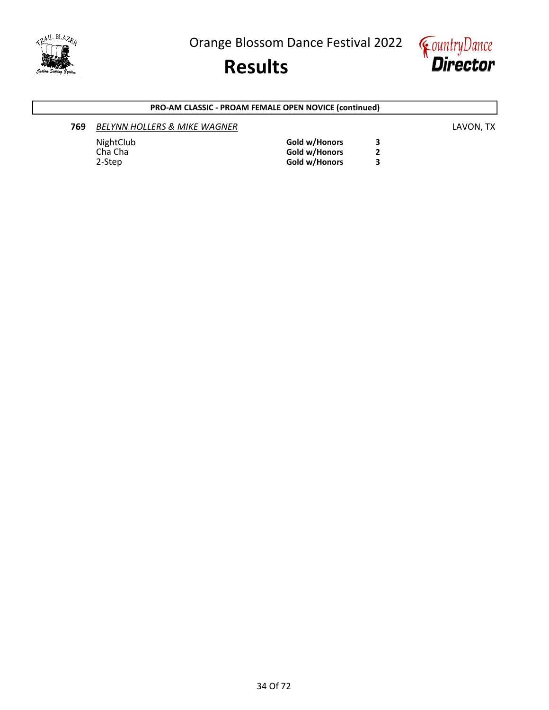



### PRO-AM CLASSIC - PROAM FEMALE OPEN NOVICE (continued)

### **769** BELYNN HOLLERS & MIKE WAGNER

#### NightClub Gold w/Honors 3<br>
Cha Cha **Gold w/Honors** 2 Cha Cha Gold w/Honors 2 Gold w/Honors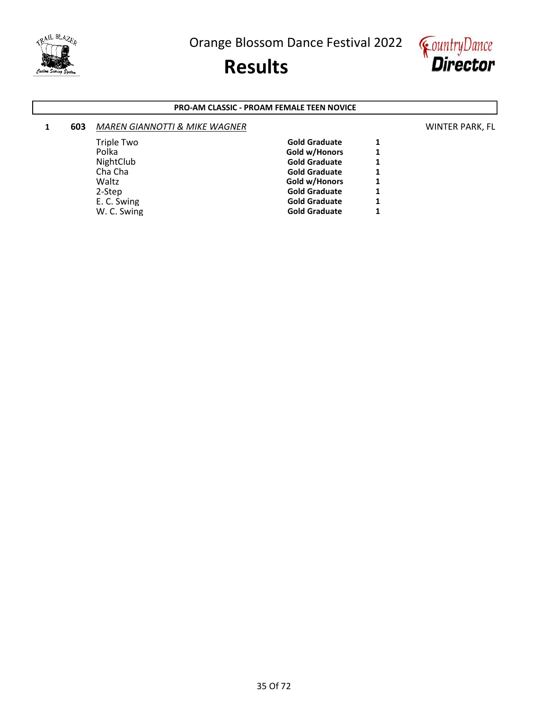



### PRO-AM CLASSIC - PROAM FEMALE TEEN NOVICE

### 1 603 MAREN GIANNOTTI & MIKE WAGNER WINTER PARK, FL Triple Two **Gold Graduate** 1<br>Polka **1 Gold W**/Honors 1 Polka **Gold w/Honors** 1<br>
NightClub **Gold Graduate** 1 NightClub **Gold Graduate** 1<br>
Cha Cha **Gold Graduate** 1 Cha Cha Gold Graduate 1

Waltz Gold w/Honors 1 2-Step Gold Graduate 1<br>
2. C. Swing Collection Cold Graduate 1 E. C. Swing Carrier Cold Graduate Cold Graduate Law. C. Swing Cold Graduate Cold Graduate Cold Graduate Cold Graduate Law. 2012 **Gold Graduate**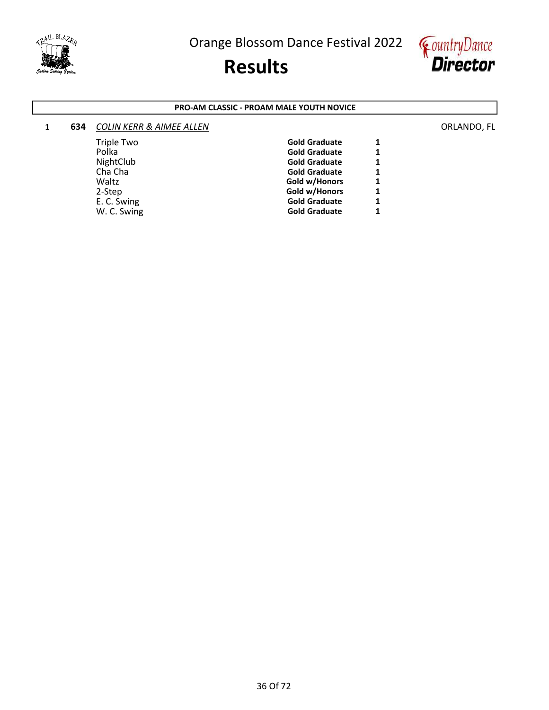

# Results



### PRO-AM CLASSIC - PROAM MALE YOUTH NOVICE

### 1 634 COLIN KERR & AIMEE ALLEN CONTROLLER CORLANDO, FL

| <b>Triple Two</b> | <b>Gold Graduate</b> | 1 |
|-------------------|----------------------|---|
| Polka             | <b>Gold Graduate</b> | 1 |
| NightClub         | <b>Gold Graduate</b> | 1 |
| Cha Cha           | <b>Gold Graduate</b> | 1 |
| Waltz             | Gold w/Honors        | 1 |
| 2-Step            | Gold w/Honors        | 1 |
| E. C. Swing       | <b>Gold Graduate</b> | 1 |
| W. C. Swing       | <b>Gold Graduate</b> | 1 |
|                   |                      |   |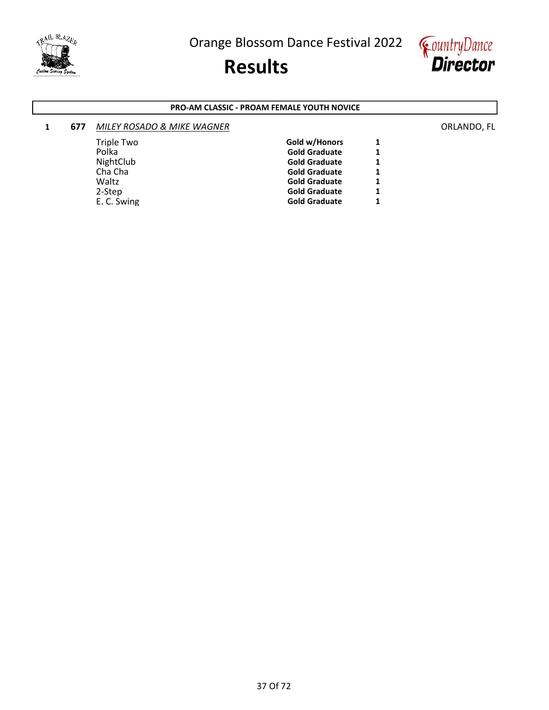





### PRO-AM CLASSIC - PROAM FEMALE YOUTH NOVICE

## 1 677 MILEY ROSADO & MIKE WAGNER CONTROLLER CONTROLLER CONTROLLER CONTROLLER ORLANDO, FL Triple Two<br>Polka

NightClub Cha Cha<br>Waltz E. C. Swing

| Triple Two  | Gold w/Honors        | 1 |
|-------------|----------------------|---|
| Polka       | <b>Gold Graduate</b> | 1 |
| NightClub   | <b>Gold Graduate</b> | 1 |
| Cha Cha     | <b>Gold Graduate</b> | 1 |
| Waltz       | <b>Gold Graduate</b> | 1 |
| 2-Step      | <b>Gold Graduate</b> | 1 |
| E. C. Swing | <b>Gold Graduate</b> |   |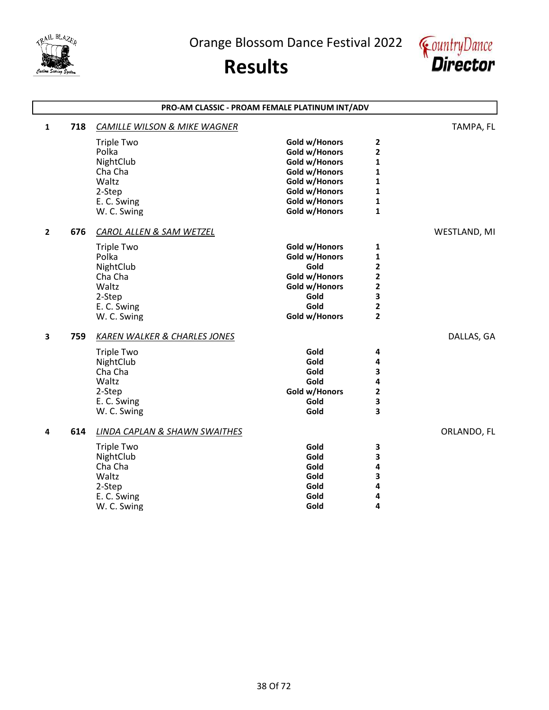RAIL BLAZEA

Orange Blossom Dance Festival 2022

# Results



### PRO-AM CLASSIC - PROAM FEMALE PLATINUM INT/ADV

| $\mathbf{1}$   | 718 | <b>CAMILLE WILSON &amp; MIKE WAGNER</b>  |               |                | TAMPA, FL    |
|----------------|-----|------------------------------------------|---------------|----------------|--------------|
|                |     | <b>Triple Two</b>                        | Gold w/Honors | 2              |              |
|                |     | Polka                                    | Gold w/Honors | 2              |              |
|                |     | NightClub                                | Gold w/Honors | 1              |              |
|                |     | Cha Cha                                  | Gold w/Honors | 1              |              |
|                |     | Waltz                                    | Gold w/Honors | 1              |              |
|                |     | 2-Step                                   | Gold w/Honors | 1              |              |
|                |     | E. C. Swing                              | Gold w/Honors | 1              |              |
|                |     | W. C. Swing                              | Gold w/Honors | $\mathbf{1}$   |              |
| $\overline{2}$ | 676 | <b>CAROL ALLEN &amp; SAM WETZEL</b>      |               |                | WESTLAND, MI |
|                |     | <b>Triple Two</b>                        | Gold w/Honors | 1              |              |
|                |     | Polka                                    | Gold w/Honors | 1              |              |
|                |     | NightClub                                | Gold          | 2              |              |
|                |     | Cha Cha                                  | Gold w/Honors | 2              |              |
|                |     | Waltz                                    | Gold w/Honors | 2              |              |
|                |     | 2-Step                                   | Gold          | 3              |              |
|                |     | E. C. Swing                              | Gold          | 2              |              |
|                |     | W. C. Swing                              | Gold w/Honors | $\overline{2}$ |              |
| 3              | 759 | <b>KAREN WALKER &amp; CHARLES JONES</b>  |               |                | DALLAS, GA   |
|                |     | <b>Triple Two</b>                        | Gold          | 4              |              |
|                |     | NightClub                                | Gold          | 4              |              |
|                |     | Cha Cha                                  | Gold          | 3              |              |
|                |     | Waltz                                    | Gold          | 4              |              |
|                |     | 2-Step                                   | Gold w/Honors | 2              |              |
|                |     | E. C. Swing                              | Gold          | 3              |              |
|                |     | W. C. Swing                              | Gold          | 3              |              |
| 4              | 614 | <b>LINDA CAPLAN &amp; SHAWN SWAITHES</b> |               |                | ORLANDO, FL  |
|                |     | <b>Triple Two</b>                        | Gold          | 3              |              |
|                |     | NightClub                                | Gold          | 3              |              |
|                |     | Cha Cha                                  | Gold          | 4              |              |
|                |     | Waltz                                    | Gold          | 3              |              |
|                |     | 2-Step                                   | Gold          | 4              |              |
|                |     | E. C. Swing                              | Gold          | 4              |              |
|                |     | W. C. Swing                              | Gold          | 4              |              |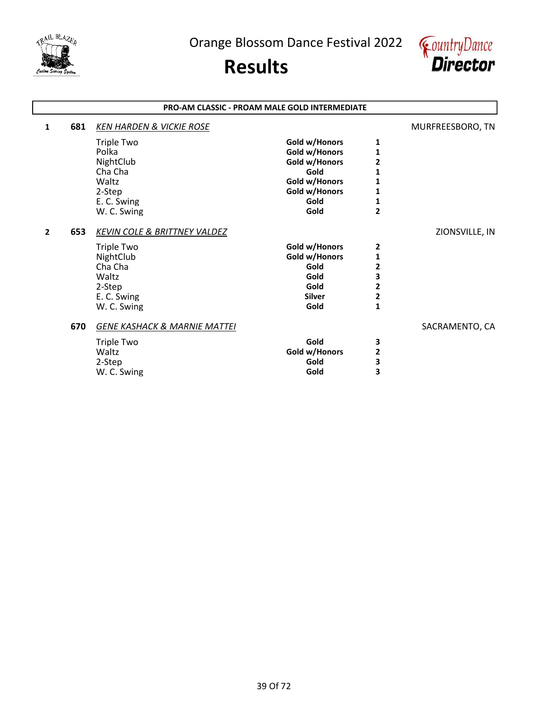

# Results



### 1 681 KEN HARDEN & VICKIE ROSE NEWSTAND STREET STREET MURFREESBORO, TN Triple Two **Gold w/Honors** 1<br>Polka **Police College College College Colle**<br>**Gold w/Honors** 1 Polka **Gold w/Honors** 1<br>
NightClub **Gold w/Honors** 2 Gold w/Honors 2<br>Gold 1 Cha Cha<br>Waltz Waltz Gold w/Honors 1 3-Step Gold w/Honors<br>
2-Step Gold 1 E. C. Swing the C. Swing of the C. Swing of the C. Swing of the C. Swing of the C. Swing of the C. Swing of the C. S. S. A. S. A. S. A. S. A. S. A. S. A. S. A. S. A. S. A. S. A. S. A. S. A. S. A. S. A. S. A. S. A. S. A. S. W. C. Swing 2 653 KEVIN COLE & BRITTNEY VALDEZ **AUGUST 2008** ZIONSVILLE, IN Triple Two **Gold w/Honors** 2<br>
NightClub **Collection Collection Cold W/Honors** 2 Gold w/Honors 1<br>Gold 2 Cha Cha Gold 2 Waltz **3** 2-Step 2012 2013 2014 E. C. Swing The C. Swing Silver 2 and 2 and 2 and 2 and 2 and 2 and 2 and 2 and 2 and 2 and 2 and 2 and 2 and 2 and 2 and 2 and 2 and 2 and 2 and 2 and 2 and 2 and 2 and 2 and 2 and 2 and 2 and 2 and 2 and 2 and 2 and 2 an W. C. Swing 670 GENE KASHACK & MARNIE MATTEI SACRAMENTO, CA Triple Two Gold 3 Gold w/Honors 2<br>Gold 3 2-Step 3 W. C. Swing **3** PRO-AM CLASSIC - PROAM MALE GOLD INTERMEDIATE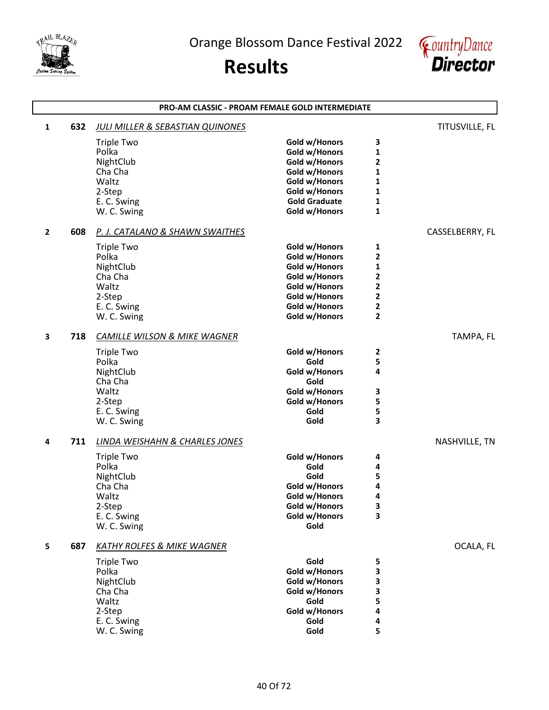RAIL BLAZEA

Orange Blossom Dance Festival 2022

# Results



### PRO-AM CLASSIC - PROAM FEMALE GOLD INTERMEDIATE

| 1              | 632 | JULI MILLER & SEBASTIAN QUINONES        |                      |                | TITUSVILLE, FL  |
|----------------|-----|-----------------------------------------|----------------------|----------------|-----------------|
|                |     | <b>Triple Two</b>                       | Gold w/Honors        | 3              |                 |
|                |     | Polka                                   | Gold w/Honors        | 1              |                 |
|                |     | NightClub                               | Gold w/Honors        | 2              |                 |
|                |     | Cha Cha                                 | Gold w/Honors        | 1              |                 |
|                |     | Waltz                                   | Gold w/Honors        | 1              |                 |
|                |     | 2-Step                                  | Gold w/Honors        | 1              |                 |
|                |     | E. C. Swing                             | <b>Gold Graduate</b> | 1              |                 |
|                |     | W. C. Swing                             | Gold w/Honors        | 1              |                 |
|                |     |                                         |                      |                |                 |
| $\overline{2}$ | 608 | P. J. CATALANO & SHAWN SWAITHES         |                      |                | CASSELBERRY, FL |
|                |     | <b>Triple Two</b>                       | Gold w/Honors        | 1              |                 |
|                |     | Polka                                   | Gold w/Honors        | 2              |                 |
|                |     | NightClub                               | Gold w/Honors        | 1              |                 |
|                |     | Cha Cha                                 | Gold w/Honors        | 2              |                 |
|                |     | Waltz                                   | Gold w/Honors        | 2              |                 |
|                |     | 2-Step                                  | Gold w/Honors        | 2              |                 |
|                |     | E. C. Swing                             | Gold w/Honors        | $\mathbf{2}$   |                 |
|                |     | W. C. Swing                             | Gold w/Honors        | $\overline{2}$ |                 |
|                |     |                                         |                      |                |                 |
| 3              | 718 | <b>CAMILLE WILSON &amp; MIKE WAGNER</b> |                      |                | TAMPA, FL       |
|                |     | <b>Triple Two</b>                       | Gold w/Honors        | 2              |                 |
|                |     | Polka                                   | Gold                 | 5              |                 |
|                |     | NightClub                               | Gold w/Honors        | 4              |                 |
|                |     | Cha Cha                                 | Gold                 |                |                 |
|                |     | Waltz                                   | Gold w/Honors        | 3              |                 |
|                |     | 2-Step                                  | Gold w/Honors        | 5              |                 |
|                |     | E. C. Swing                             | Gold                 | 5              |                 |
|                |     | W. C. Swing                             | Gold                 | 3              |                 |
|                |     |                                         |                      |                |                 |
| 4              | 711 | LINDA WEISHAHN & CHARLES JONES          |                      |                | NASHVILLE, TN   |
|                |     | <b>Triple Two</b>                       | Gold w/Honors        | 4              |                 |
|                |     | Polka                                   | Gold                 | 4              |                 |
|                |     | NightClub                               | Gold                 | 5              |                 |
|                |     | Cha Cha                                 | Gold w/Honors        | 4              |                 |
|                |     | Waltz                                   | Gold w/Honors        | 4              |                 |
|                |     | 2-Step                                  | Gold w/Honors        | 3              |                 |
|                |     | E. C. Swing                             | Gold w/Honors        | 3              |                 |
|                |     | W. C. Swing                             | Gold                 |                |                 |
|                |     |                                         |                      |                |                 |
| 5              | 687 | <b>KATHY ROLFES &amp; MIKE WAGNER</b>   |                      |                | OCALA, FL       |
|                |     | <b>Triple Two</b>                       | Gold                 | 5              |                 |
|                |     | Polka                                   | Gold w/Honors        | 3              |                 |
|                |     | NightClub                               | Gold w/Honors        | 3              |                 |
|                |     | Cha Cha                                 | Gold w/Honors        | 3              |                 |
|                |     | Waltz                                   | Gold                 | 5              |                 |
|                |     | 2-Step                                  | Gold w/Honors        | 4              |                 |
|                |     | E. C. Swing                             | Gold                 | 4              |                 |
|                |     | W. C. Swing                             | Gold                 | 5              |                 |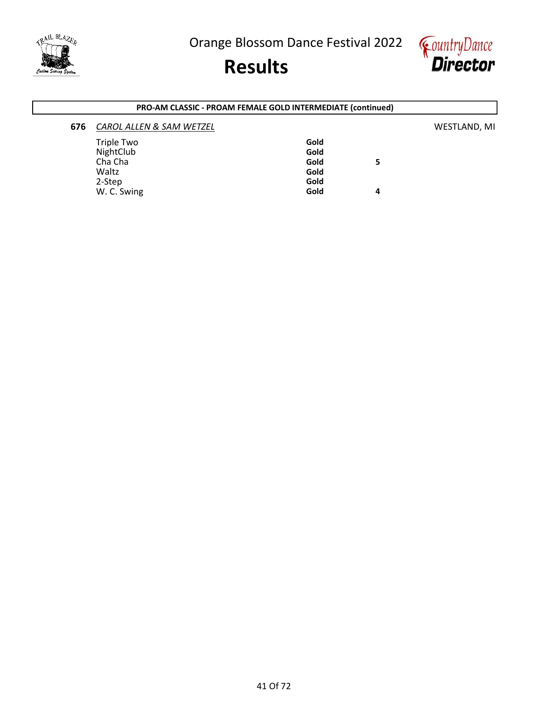

# Results



### PRO-AM CLASSIC - PROAM FEMALE GOLD INTERMEDIATE (continued)

| 676 | CAROL ALLEN & SAM WETZEL |      |   | WESTLAND, MI |
|-----|--------------------------|------|---|--------------|
|     | Triple Two               | Gold |   |              |
|     | NightClub                | Gold |   |              |
|     | Cha Cha                  | Gold | 5 |              |
|     | Waltz                    | Gold |   |              |
|     | 2-Step                   | Gold |   |              |
|     | W. C. Swing              | Gold | 4 |              |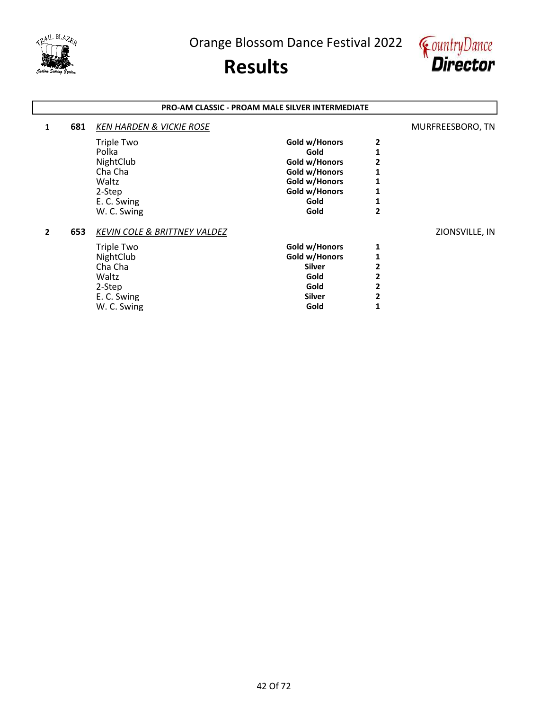

# Results



### PRO-AM CLASSIC - PROAM MALE SILVER INTERMEDIATE

### 1 681 KEN HARDEN & VICKIE ROSE NEWSTAND STREESBORD, TN Triple Two Gold w/Honors 2<br>Polka Gold 1 Polka and the contract of the Gold contract of the Gold contract of the Contract of the Contract of the Contract of the Contract of the Contract of the Contract of the Contract of the Contract of the Contract of the Contra NightClub Gold w/Honors 2 Cha Cha Gold w/Honors 1 Waltz Gold w/Honors 1 3-Sold w/Honors 1<br>3-Sold 1 E. C. Swing Cold Contact Collection Collection Collection Collection Collection Collection Collection Collection Collection Collection Collection Collection Collection Collection Collection Collection Collection Collection W. C. Swing 2 653 KEVIN COLE & BRITTNEY VALDEZ **AUGUST 2008** ZIONSVILLE, IN Triple Two **Gold w/Honors** 1<br>
NightClub **Gold w/Honors** 1 Gold w/Honors 1<br>Silver 2 Cha Cha Silver 2 Waltz **Contract Contract Contract Contract Contract Contract Contract Contract Contract Contract Contract Contract Contract Contract Contract Contract Contract Contract Contract Contract Contract Contract Contract Contract** 2-Step 2012 2013 2014 E. C. Swing 2<br>
W. C. Swing 2<br>
2<br>
Silver 2<br>
Gold
1 W. C. Swing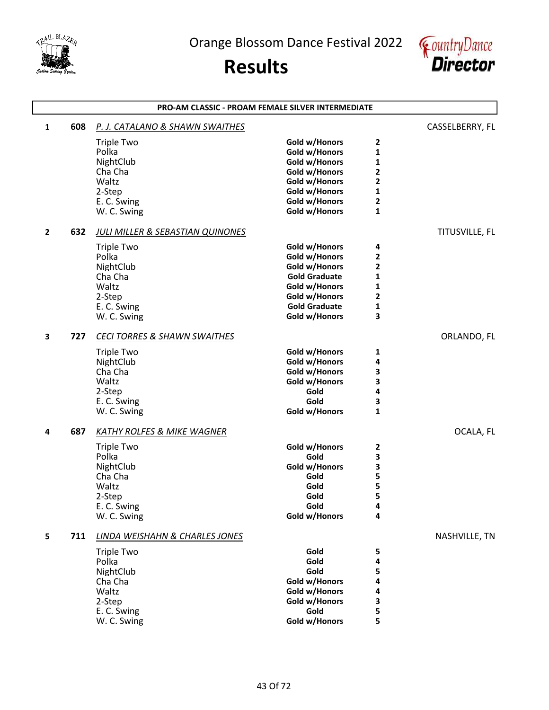RAIL BLAZEA

Orange Blossom Dance Festival 2022

# Results



### PRO-AM CLASSIC - PROAM FEMALE SILVER INTERMEDIATE

| 1              | 608 | P. J. CATALANO & SHAWN SWAITHES         |                      |              | CASSELBERRY, FL |
|----------------|-----|-----------------------------------------|----------------------|--------------|-----------------|
|                |     | <b>Triple Two</b>                       | Gold w/Honors        | 2            |                 |
|                |     | Polka                                   | Gold w/Honors        | $\mathbf 1$  |                 |
|                |     | NightClub                               | Gold w/Honors        | 1            |                 |
|                |     | Cha Cha                                 | Gold w/Honors        | 2            |                 |
|                |     | Waltz                                   | Gold w/Honors        | 2            |                 |
|                |     | 2-Step                                  | Gold w/Honors        | $\mathbf{1}$ |                 |
|                |     | E. C. Swing                             | Gold w/Honors        | $\mathbf{2}$ |                 |
|                |     | W. C. Swing                             | Gold w/Honors        | $\mathbf{1}$ |                 |
| $\overline{2}$ | 632 | JULI MILLER & SEBASTIAN QUINONES        |                      |              | TITUSVILLE, FL  |
|                |     | <b>Triple Two</b>                       | Gold w/Honors        | 4            |                 |
|                |     | Polka                                   | Gold w/Honors        | 2            |                 |
|                |     | NightClub                               | Gold w/Honors        | 2            |                 |
|                |     | Cha Cha                                 | <b>Gold Graduate</b> | 1            |                 |
|                |     | Waltz                                   | Gold w/Honors        | 1            |                 |
|                |     | 2-Step                                  | Gold w/Honors        | 2            |                 |
|                |     | E. C. Swing                             | <b>Gold Graduate</b> | 1            |                 |
|                |     | W. C. Swing                             | Gold w/Honors        | 3            |                 |
|                |     |                                         |                      |              |                 |
| 3              | 727 | <b>CECI TORRES &amp; SHAWN SWAITHES</b> |                      |              | ORLANDO, FL     |
|                |     | <b>Triple Two</b>                       | Gold w/Honors        | $\mathbf 1$  |                 |
|                |     | NightClub                               | Gold w/Honors        | 4            |                 |
|                |     | Cha Cha                                 | Gold w/Honors        | 3            |                 |
|                |     | Waltz                                   | Gold w/Honors        | 3            |                 |
|                |     | 2-Step                                  | Gold                 | 4            |                 |
|                |     | E. C. Swing                             | Gold                 | 3            |                 |
|                |     | W. C. Swing                             | Gold w/Honors        | $\mathbf{1}$ |                 |
| 4              | 687 | <b>KATHY ROLFES &amp; MIKE WAGNER</b>   |                      |              | OCALA, FL       |
|                |     | <b>Triple Two</b>                       | Gold w/Honors        | $\mathbf{2}$ |                 |
|                |     | Polka                                   | Gold                 | 3            |                 |
|                |     | NightClub                               | Gold w/Honors        | З            |                 |
|                |     | Cha Cha                                 | Gold                 | 5            |                 |
|                |     | Waltz                                   | Gold                 | 5            |                 |
|                |     | 2-Step                                  | Gold                 | 5            |                 |
|                |     | E. C. Swing                             | Gold                 | 4            |                 |
|                |     | W. C. Swing                             | Gold w/Honors        | 4            |                 |
| 5              | 711 | LINDA WEISHAHN & CHARLES JONES          |                      |              | NASHVILLE, TN   |
|                |     | <b>Triple Two</b>                       | Gold                 | 5            |                 |
|                |     | Polka                                   | Gold                 | 4            |                 |
|                |     | NightClub                               | Gold                 | 5            |                 |
|                |     | Cha Cha                                 | Gold w/Honors        | 4            |                 |
|                |     | Waltz                                   | Gold w/Honors        | 4            |                 |
|                |     | 2-Step                                  | Gold w/Honors        | 3            |                 |
|                |     | E. C. Swing                             | Gold                 | 5            |                 |
|                |     | W. C. Swing                             | Gold w/Honors        | 5            |                 |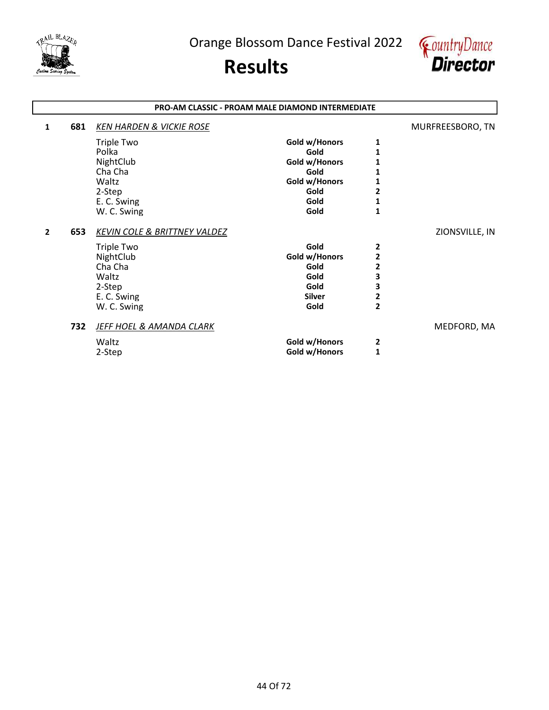

# Results



## 1 681 KEN HARDEN & VICKIE ROSE NEWSTAND STREESBORD, TN Triple Two **Gold w/Honors** 1<br>Polka **Gold 1** Polka and the contract of the Gold contract of the Gold contract of the Contract of the Contract of the Contract of the Contract of the Contract of the Contract of the Contract of the Contract of the Contract of the Contra NightClub Gold w/Honors 1<br>
Cha Cha **Gold** 1 Cha Cha<br>Waltz Waltz<br>
2-Step
2<br>
2-Step
2 2-Step and 2-Step and 2-Step and 2-Step and 2-Step and 2-Step and 2-Step and 2-Step and 2-Step and 2-Step and 2-Step and 2-Step and 2-Step and 2-Step and 2-Step and 2-Step and 2-Step and 2-Step and 2-Step and 2-Step and 2-E. C. Swing Gold 1 and 1 and 2 and 2 and 2 and 3 and 4 and 4 and 4 and 4 and 4 and 4 and 4 and 4 and 4 and 4 and 4 and 4 and 4 and 4 and 4 and 4 and 4 and 4 and 4 and 4 and 4 and 4 and 4 and 4 and 4 and 4 and 4 and 4 and 4 W. C. Swing 2 653 KEVIN COLE & BRITTNEY VALDEZ **AUGUST 2008** ZIONSVILLE, IN Triple Two Gold 2 Gold w/Honors 2<br>Gold 2 Cha Cha Gold 2 Waltz **3** 2-Step 3 E. C. Swing 2<br>
W. C. Swing 2<br>
2 W. C. Swing 732 JEFF HOEL & AMANDA CLARK MEDFORD, MA Waltz Gold w/Honors 2 Gold w/Honors 1 PRO-AM CLASSIC - PROAM MALE DIAMOND INTERMEDIATE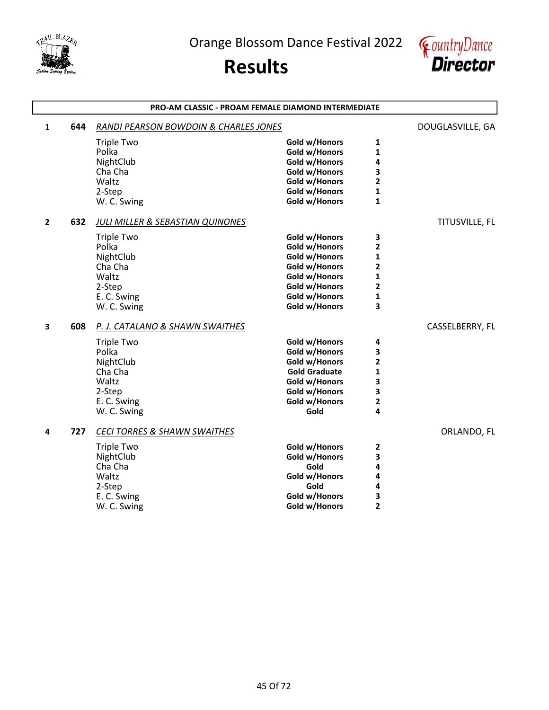

# Results



### PRO-AM CLASSIC - PROAM FEMALE DIAMOND INTERMEDIATE

| $\mathbf{1}$   | 644 | <b>RANDI PEARSON BOWDOIN &amp; CHARLES JONES</b> |                      | DOUGLASVILLE, GA |
|----------------|-----|--------------------------------------------------|----------------------|------------------|
|                |     | <b>Triple Two</b>                                | Gold w/Honors        | 1                |
|                |     | Polka                                            | Gold w/Honors        | 1                |
|                |     | NightClub                                        | Gold w/Honors        | 4                |
|                |     | Cha Cha                                          | Gold w/Honors        | 3                |
|                |     | Waltz                                            | Gold w/Honors        | $\mathbf{2}$     |
|                |     | 2-Step                                           | Gold w/Honors        | 1                |
|                |     | W. C. Swing                                      | Gold w/Honors        | 1                |
| $\overline{2}$ | 632 | <b>JULI MILLER &amp; SEBASTIAN QUINONES</b>      |                      | TITUSVILLE, FL   |
|                |     | <b>Triple Two</b>                                | Gold w/Honors        | 3                |
|                |     | Polka                                            | Gold w/Honors        | $\mathbf{2}$     |
|                |     | NightClub                                        | Gold w/Honors        | 1                |
|                |     | Cha Cha                                          | Gold w/Honors        | 2                |
|                |     | Waltz                                            | Gold w/Honors        | 1                |
|                |     | 2-Step                                           | Gold w/Honors        | 2                |
|                |     | E. C. Swing                                      | Gold w/Honors        | 1                |
|                |     | W. C. Swing                                      | Gold w/Honors        | 3                |
| 3              | 608 | P. J. CATALANO & SHAWN SWAITHES                  |                      | CASSELBERRY, FL  |
|                |     | <b>Triple Two</b>                                | Gold w/Honors        | 4                |
|                |     | Polka                                            | Gold w/Honors        | 3                |
|                |     | NightClub                                        | Gold w/Honors        | $\mathbf{2}$     |
|                |     | Cha Cha                                          | <b>Gold Graduate</b> | 1                |
|                |     | Waltz                                            | Gold w/Honors        | 3                |
|                |     | 2-Step                                           | Gold w/Honors        | 3                |
|                |     | E. C. Swing                                      | Gold w/Honors        | $\mathbf{2}$     |
|                |     | W. C. Swing                                      | Gold                 | 4                |
| 4              | 727 | <b>CECI TORRES &amp; SHAWN SWAITHES</b>          |                      | ORLANDO, FL      |
|                |     | <b>Triple Two</b>                                | Gold w/Honors        | 2                |
|                |     | NightClub                                        | Gold w/Honors        | 3                |
|                |     | Cha Cha                                          | Gold                 | 4                |
|                |     | Waltz                                            | Gold w/Honors        | 4                |
|                |     | 2-Step                                           | Gold                 | 4                |
|                |     | E. C. Swing                                      | Gold w/Honors        | 3                |
|                |     | W. C. Swing                                      | Gold w/Honors        | $\mathbf{2}$     |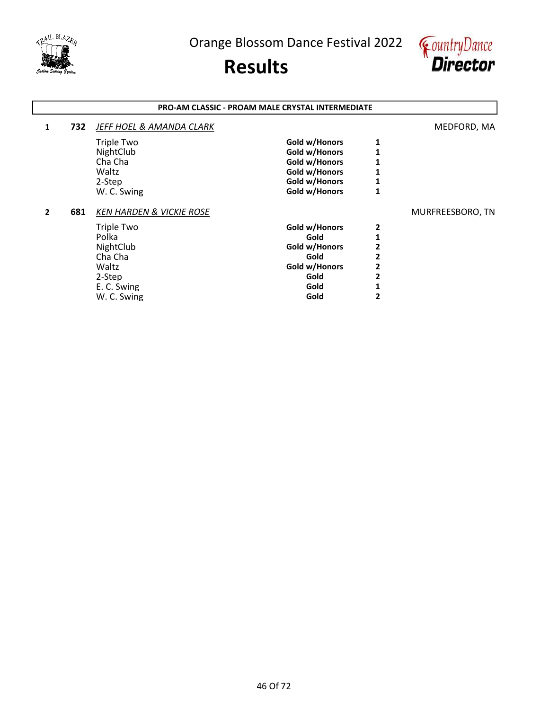

# Results



### PRO-AM CLASSIC - PROAM MALE CRYSTAL INTERMEDIATE

| 1 | 732 | JEFF HOEL & AMANDA CLARK            |               |   | MEDFORD, MA      |
|---|-----|-------------------------------------|---------------|---|------------------|
|   |     | <b>Triple Two</b>                   | Gold w/Honors | 1 |                  |
|   |     | NightClub                           | Gold w/Honors |   |                  |
|   |     | Cha Cha                             | Gold w/Honors |   |                  |
|   |     | Waltz                               | Gold w/Honors |   |                  |
|   |     | 2-Step                              | Gold w/Honors |   |                  |
|   |     | W. C. Swing                         | Gold w/Honors |   |                  |
| 2 | 681 | <b>KEN HARDEN &amp; VICKIE ROSE</b> |               |   | MURFREESBORO, TN |
|   |     | <b>Triple Two</b>                   | Gold w/Honors | 2 |                  |
|   |     | Polka                               | Gold          |   |                  |
|   |     | NightClub                           | Gold w/Honors |   |                  |
|   |     | Cha Cha                             | Gold          | 2 |                  |
|   |     | Waltz                               | Gold w/Honors | 2 |                  |
|   |     | 2-Step                              | Gold          | 2 |                  |
|   |     | E. C. Swing                         | Gold          |   |                  |
|   |     | W. C. Swing                         | Gold          |   |                  |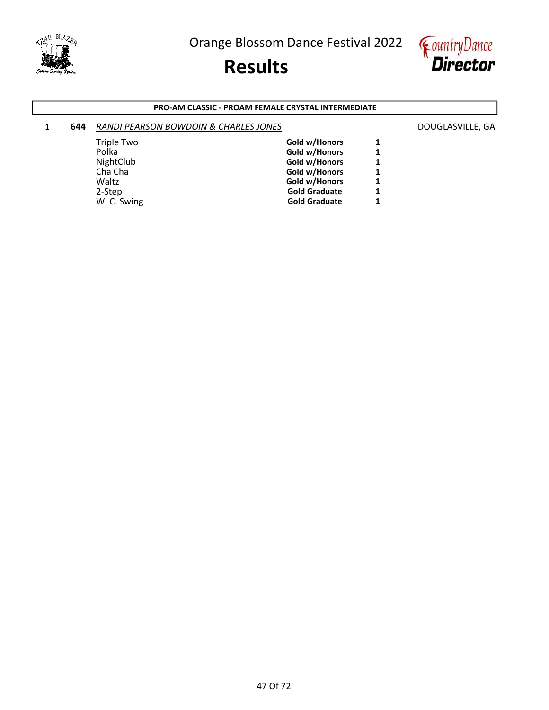



### PRO-AM CLASSIC - PROAM FEMALE CRYSTAL INTERMEDIATE

## 1 644 RANDI PEARSON BOWDOIN & CHARLES JONES 644 DOUGLASVILLE, GA

AIL BLAZED

| <b>Triple Two</b> | Gold w/Honors        | 1 |
|-------------------|----------------------|---|
| Polka             | Gold w/Honors        | 1 |
| NightClub         | Gold w/Honors        | 1 |
| Cha Cha           | Gold w/Honors        | 1 |
| Waltz             | Gold w/Honors        | 1 |
| 2-Step            | <b>Gold Graduate</b> | 1 |
| W. C. Swing       | <b>Gold Graduate</b> | 1 |
|                   |                      |   |

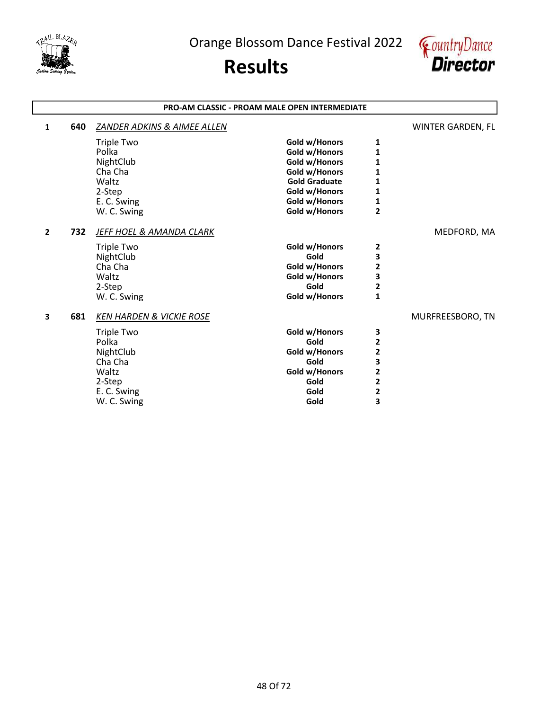

# Results



### PRO-AM CLASSIC - PROAM MALE OPEN INTERMEDIATE

| 1              | 640 | ZANDER ADKINS & AIMEE ALLEN         |                      |                         | WINTER GARDEN, FL |
|----------------|-----|-------------------------------------|----------------------|-------------------------|-------------------|
|                |     | <b>Triple Two</b>                   | Gold w/Honors        | 1                       |                   |
|                |     | Polka                               | Gold w/Honors        | 1                       |                   |
|                |     | NightClub                           | Gold w/Honors        | 1                       |                   |
|                |     | Cha Cha                             | Gold w/Honors        | 1                       |                   |
|                |     | Waltz                               | <b>Gold Graduate</b> | 1                       |                   |
|                |     | 2-Step                              | Gold w/Honors        | 1                       |                   |
|                |     | E. C. Swing                         | Gold w/Honors        | 1                       |                   |
|                |     | W. C. Swing                         | Gold w/Honors        | 2                       |                   |
| $\overline{2}$ | 732 | JEFF HOEL & AMANDA CLARK            |                      |                         | MEDFORD, MA       |
|                |     | <b>Triple Two</b>                   | Gold w/Honors        | 2                       |                   |
|                |     | NightClub                           | Gold                 | 3                       |                   |
|                |     | Cha Cha                             | Gold w/Honors        | $\overline{\mathbf{c}}$ |                   |
|                |     | Waltz                               | Gold w/Honors        | 3                       |                   |
|                |     | 2-Step                              | Gold                 | 2                       |                   |
|                |     | W. C. Swing                         | Gold w/Honors        | 1                       |                   |
| 3              | 681 | <b>KEN HARDEN &amp; VICKIE ROSE</b> |                      |                         | MURFREESBORO, TN  |
|                |     | <b>Triple Two</b>                   | Gold w/Honors        | 3                       |                   |
|                |     | Polka                               | Gold                 | 2                       |                   |
|                |     | NightClub                           | Gold w/Honors        | 2                       |                   |
|                |     | Cha Cha                             | Gold                 | 3                       |                   |
|                |     | Waltz                               | Gold w/Honors        | 2                       |                   |
|                |     | 2-Step                              | Gold                 | 2                       |                   |
|                |     | E. C. Swing                         | Gold                 | 2                       |                   |
|                |     | W. C. Swing                         | Gold                 | 3                       |                   |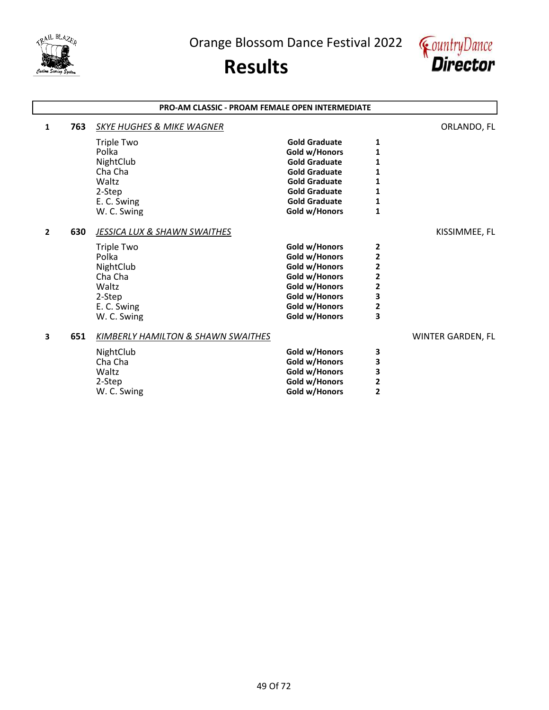

# Results



PRO-AM CLASSIC - PROAM FEMALE OPEN INTERMEDIATE

| 1              | 763 | <b>SKYE HUGHES &amp; MIKE WAGNER</b> |                      |   | ORLANDO, FL       |
|----------------|-----|--------------------------------------|----------------------|---|-------------------|
|                |     | <b>Triple Two</b>                    | <b>Gold Graduate</b> | 1 |                   |
|                |     | Polka                                | Gold w/Honors        | 1 |                   |
|                |     | NightClub                            | <b>Gold Graduate</b> | 1 |                   |
|                |     | Cha Cha                              | <b>Gold Graduate</b> | 1 |                   |
|                |     | Waltz                                | <b>Gold Graduate</b> | 1 |                   |
|                |     | 2-Step                               | <b>Gold Graduate</b> | 1 |                   |
|                |     | E. C. Swing                          | <b>Gold Graduate</b> | 1 |                   |
|                |     | W. C. Swing                          | Gold w/Honors        | 1 |                   |
| $\overline{2}$ | 630 | JESSICA LUX & SHAWN SWAITHES         |                      |   | KISSIMMEE, FL     |
|                |     | Triple Two                           | Gold w/Honors        | 2 |                   |
|                |     | Polka                                | Gold w/Honors        | 2 |                   |
|                |     | NightClub                            | Gold w/Honors        | 2 |                   |
|                |     | Cha Cha                              | Gold w/Honors        | 2 |                   |
|                |     | Waltz                                | Gold w/Honors        | 2 |                   |
|                |     | 2-Step                               | Gold w/Honors        | 3 |                   |
|                |     | E. C. Swing                          | Gold w/Honors        | 2 |                   |
|                |     | W. C. Swing                          | Gold w/Honors        | 3 |                   |
| 3              | 651 | KIMBERLY HAMILTON & SHAWN SWAITHES   |                      |   | WINTER GARDEN, FL |
|                |     | NightClub                            | Gold w/Honors        | 3 |                   |
|                |     | Cha Cha                              | Gold w/Honors        | 3 |                   |
|                |     | Waltz                                | Gold w/Honors        | 3 |                   |
|                |     | 2-Step                               | Gold w/Honors        | 2 |                   |
|                |     | W. C. Swing                          | Gold w/Honors        | 2 |                   |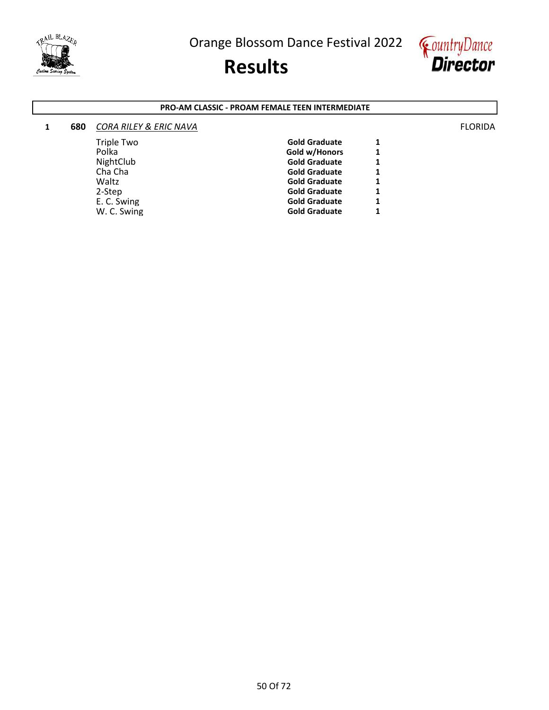

# Results



### PRO-AM CLASSIC - PROAM FEMALE TEEN INTERMEDIATE

## 1 680 CORA RILEY & ERIC NAVA FLORIDA

| <b>Triple Two</b> | <b>Gold Graduate</b> | 1 |
|-------------------|----------------------|---|
| Polka             | Gold w/Honors        | 1 |
| NightClub         | <b>Gold Graduate</b> | 1 |
| Cha Cha           | <b>Gold Graduate</b> | 1 |
| Waltz             | <b>Gold Graduate</b> | 1 |
| 2-Step            | <b>Gold Graduate</b> | 1 |
| E. C. Swing       | <b>Gold Graduate</b> | 1 |
| W. C. Swing       | <b>Gold Graduate</b> |   |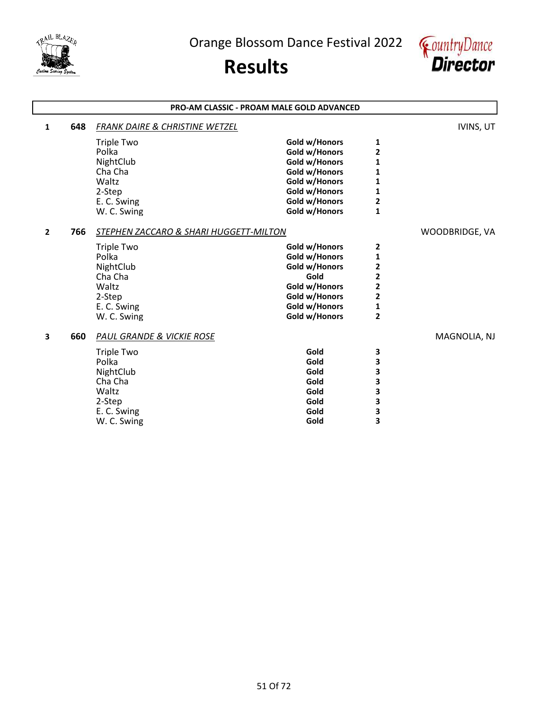

# Results



### 1 648 FRANK DAIRE & CHRISTINE WETZEL **IVING ALL AND THE SET ARE ARRIVING WETZEL** Triple Two **Gold w/Honors** 1<br>Polka **Police College Cold w/Honors** 2 Polka Gold w/Honors 2 NightClub Gold w/Honors 1 Cha Cha Gold w/Honors 1 Waltz Gold w/Honors 1 2-Step **Gold w/Honors** 1<br>
E. C. Swing **E. C. Swing COLL COMENT COLL COMENT COLL COMENT COMENT COMENT COMENT COMENT COMENT COMENT COMENT COMENT COMENT COMENT COMENT COMENT COMENT COMENT COMENT COMENT COMENT COMENT COMENT CO** E. C. Swing Carrier Collection Collection Collection Collection Collection Collection Collection Collection Collection Collection Collection Collection Collection Collection Collection Collection Collection Collection Coll Gold w/Honors 2 766 STEPHEN ZACCARO & SHARI HUGGETT-MILTON WOODBRIDGE, VA Triple Two **Gold w/Honors** 2<br>Polka **Police Cold With Cold w/Honors** 2 Polka **Gold w/Honors** 1<br>
NightClub **Gold w/Honors** 2 Gold w/Honors Cha Cha Gold 2 Waltz Gold w/Honors 2 2-Step **Gold w/Honors** 2<br>
E. C. Swing **COLOUT COLOUT COLOUT COLOUT COLOUT COLOUT COLOUT 2** Gold w/Honors 1<br>Gold w/Honors 2 W. C. Swing Gold w/Honors 3 660 PAUL GRANDE & VICKIE ROSE MAGNOLIA, NJ Triple Two Gold 3 Polka and 3 and 3 and 3 and 3 and 3 and 3 and 3 and 3 and 3 and 3 and 3 and 3 and 3 and 3 and 3 and 3 and 3 and 3 and 3 and 3 and 3 and 3 and 3 and 3 and 3 and 3 and 3 and 3 and 3 and 3 and 3 and 3 and 3 and 3 and 3 and 3 NightClub 3<br>Cha Cha 3 and 2011 11 and 2012 12:00 12:00 12:00 12:00 12:00 12:00 12:00 12:00 13:00 13:00 13:00 13:00 13:00 13 Cha Cha **Gold** 3 Waltz **3** 2-Step 3 E. C. Swing 3 W. C. Swing 3 PRO-AM CLASSIC - PROAM MALE GOLD ADVANCED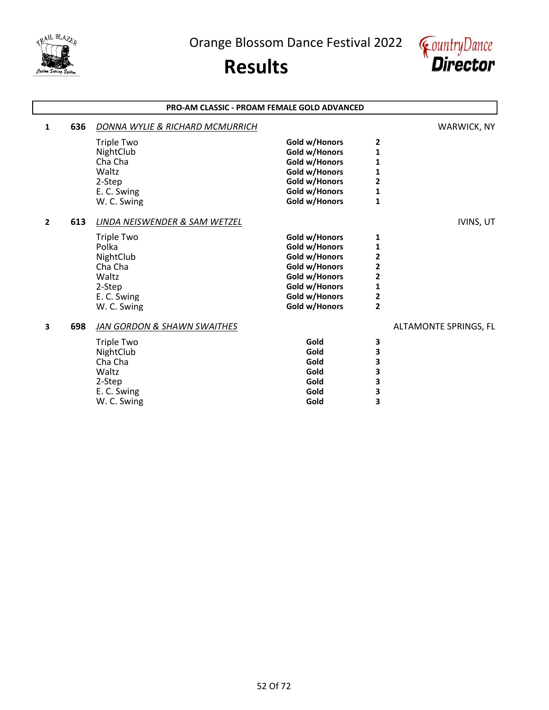

# Results



### PRO-AM CLASSIC - PROAM FEMALE GOLD ADVANCED

| 1              | 636 | DONNA WYLIE & RICHARD MCMURRICH        |               |                | WARWICK, NY           |
|----------------|-----|----------------------------------------|---------------|----------------|-----------------------|
|                |     | <b>Triple Two</b>                      | Gold w/Honors | 2              |                       |
|                |     | NightClub                              | Gold w/Honors | 1              |                       |
|                |     | Cha Cha                                | Gold w/Honors | 1              |                       |
|                |     | Waltz                                  | Gold w/Honors | 1              |                       |
|                |     | 2-Step                                 | Gold w/Honors | 2              |                       |
|                |     | E. C. Swing                            | Gold w/Honors | 1              |                       |
|                |     | W. C. Swing                            | Gold w/Honors | 1              |                       |
| $\overline{2}$ | 613 | LINDA NEISWENDER & SAM WETZEL          |               |                | IVINS, UT             |
|                |     | <b>Triple Two</b>                      | Gold w/Honors | 1              |                       |
|                |     | Polka                                  | Gold w/Honors | 1              |                       |
|                |     | NightClub                              | Gold w/Honors | 2              |                       |
|                |     | Cha Cha                                | Gold w/Honors | $\overline{2}$ |                       |
|                |     | Waltz                                  | Gold w/Honors | 2              |                       |
|                |     | 2-Step                                 | Gold w/Honors | 1              |                       |
|                |     | E. C. Swing                            | Gold w/Honors | 2              |                       |
|                |     | W. C. Swing                            | Gold w/Honors | $\overline{2}$ |                       |
| 3              | 698 | <b>JAN GORDON &amp; SHAWN SWAITHES</b> |               |                | ALTAMONTE SPRINGS, FL |
|                |     | <b>Triple Two</b>                      | Gold          | 3              |                       |
|                |     | NightClub                              | Gold          | 3              |                       |
|                |     | Cha Cha                                | Gold          | 3              |                       |
|                |     | Waltz                                  | Gold          | 3              |                       |
|                |     | 2-Step                                 | Gold          | 3              |                       |
|                |     | E. C. Swing                            | Gold          | 3              |                       |
|                |     | W. C. Swing                            | Gold          | 3              |                       |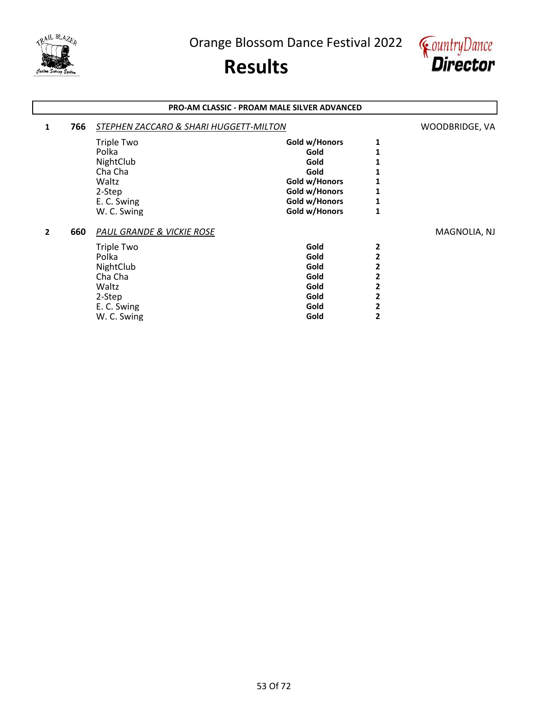





#### PRO-AM CLASSIC - PROAM MALE SILVER ADVANCED

### 1 766 STEPHEN ZACCARO & SHARI HUGGETT-MILTON WOODBRIDGE, VA Triple Two Gold w/Honors 1<br>Polka Gold 1 Polka and the contract of the Gold contract of the Gold contract of the Contract of the Contract of the Contract of the Contract of the Contract of the Contract of the Contract of the Contract of the Contract of the Contra NightClub and 1 and 1 and 1 and 1 and 1 and 1 and 1 and 1 and 1 and 1 and 1 and 1 and 1 and 1 and 1 and 1 and 1 and 1 and 1 and 1 and 1 and 1 and 1 and 1 and 1 and 1 and 1 and 1 and 1 and 1 and 1 and 1 and 1 and 1 and 1 an Cha Cha Gold 1 Waltz Gold w/Honors 1 2-Step Gold w/Honors 1<br>
2. C. Swing Cold and Gold w/Honors 1 E. C. Swing Gold w/Honors 1<br>
W. C. Swing Gold w/Honors 1 Gold w/Honors 2 660 PAUL GRANDE & VICKIE ROSE MAGNOLIA, NJ Triple Two Cold 2<br>Polka 2 Polka **College College College College College College College College College College College College College** NightClub and 2 and 2 and 2 and 2 and 2 and 2 and 2 and 2 and 2 and 2 and 2 and 2 and 2 and 2 and 2 and 2 and 2 and 2 and 2 and 2 and 2 and 2 and 2 and 2 and 2 and 2 and 2 and 2 and 2 and 2 and 2 and 2 and 2 and 2 and 2 an Cha Cha Gold 2 Waltz **Contract Contract Contract Contract Contract Contract Contract Contract Contract Contract Contract Contract Contract Contract Contract Contract Contract Contract Contract Contract Contract Contract Contract Contract** 2-Step and 2-Step and 2-Step and 2-Step and 2-Step and 2-Step and 2-Step and 2-Step and 2-Step and 2-Step and 2-Step and 2-Step and 2-Step and 2-Step and 2-Step and 2-Step and 2-Step and 2-Step and 2-Step and 2-Step and 2-E. C. Swing Carried Cold Cold Carried Cold Carried Cold Carried Cold Carried Cold Carried Cold Carried Cold Ca<br>
2 W. C. Swing

#### 53 Of 72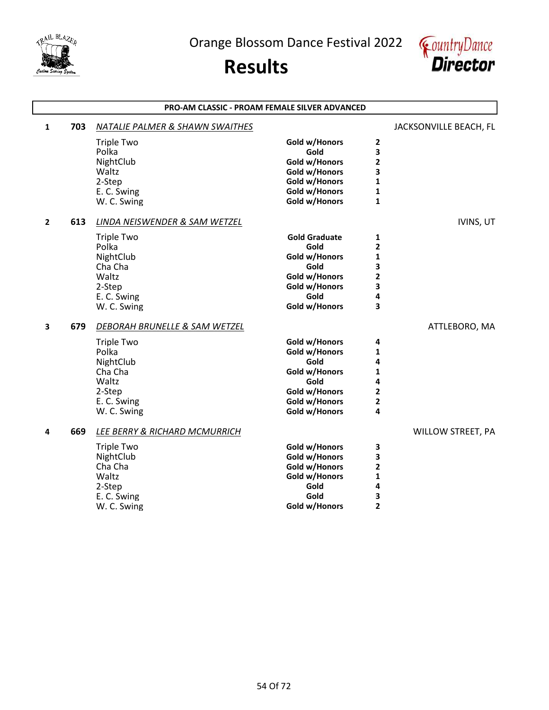

# Results



### PRO-AM CLASSIC - PROAM FEMALE SILVER ADVANCED

| $\mathbf{1}$   | 703 | NATALIE PALMER & SHAWN SWAITHES          |                      |                         | JACKSONVILLE BEACH, FL   |
|----------------|-----|------------------------------------------|----------------------|-------------------------|--------------------------|
|                |     | <b>Triple Two</b>                        | Gold w/Honors        | 2                       |                          |
|                |     | Polka                                    | Gold                 | 3                       |                          |
|                |     | NightClub                                | Gold w/Honors        | 2                       |                          |
|                |     | Waltz                                    | Gold w/Honors        | 3                       |                          |
|                |     | 2-Step                                   | Gold w/Honors        | 1                       |                          |
|                |     | E. C. Swing                              | Gold w/Honors        | 1                       |                          |
|                |     | W. C. Swing                              | Gold w/Honors        | $\mathbf{1}$            |                          |
| $\overline{2}$ | 613 | LINDA NEISWENDER & SAM WETZEL            |                      |                         | IVINS, UT                |
|                |     | <b>Triple Two</b>                        | <b>Gold Graduate</b> | 1                       |                          |
|                |     | Polka                                    | Gold                 | $\overline{2}$          |                          |
|                |     | NightClub                                | Gold w/Honors        | 1                       |                          |
|                |     | Cha Cha                                  | Gold                 | 3                       |                          |
|                |     | Waltz                                    | Gold w/Honors        | 2                       |                          |
|                |     | 2-Step                                   | Gold w/Honors        | 3                       |                          |
|                |     | E. C. Swing                              | Gold                 | 4                       |                          |
|                |     | W. C. Swing                              | Gold w/Honors        | 3                       |                          |
| 3              | 679 | DEBORAH BRUNELLE & SAM WETZEL            |                      |                         | ATTLEBORO, MA            |
|                |     | <b>Triple Two</b>                        | Gold w/Honors        | 4                       |                          |
|                |     | Polka                                    | Gold w/Honors        | 1                       |                          |
|                |     | NightClub                                | Gold                 | 4                       |                          |
|                |     | Cha Cha                                  | Gold w/Honors        | 1                       |                          |
|                |     | Waltz                                    | Gold                 | 4                       |                          |
|                |     | 2-Step                                   | Gold w/Honors        | 2                       |                          |
|                |     | E. C. Swing                              | Gold w/Honors        | 2                       |                          |
|                |     | W. C. Swing                              | Gold w/Honors        | 4                       |                          |
| 4              | 669 | <b>LEE BERRY &amp; RICHARD MCMURRICH</b> |                      |                         | <b>WILLOW STREET, PA</b> |
|                |     | <b>Triple Two</b>                        | Gold w/Honors        | 3                       |                          |
|                |     | NightClub                                | Gold w/Honors        | 3                       |                          |
|                |     | Cha Cha                                  | Gold w/Honors        | $\overline{\mathbf{c}}$ |                          |
|                |     | Waltz                                    | Gold w/Honors        | 1                       |                          |
|                |     | 2-Step                                   | Gold                 | 4                       |                          |
|                |     | E. C. Swing                              | Gold                 | 3                       |                          |
|                |     |                                          |                      |                         |                          |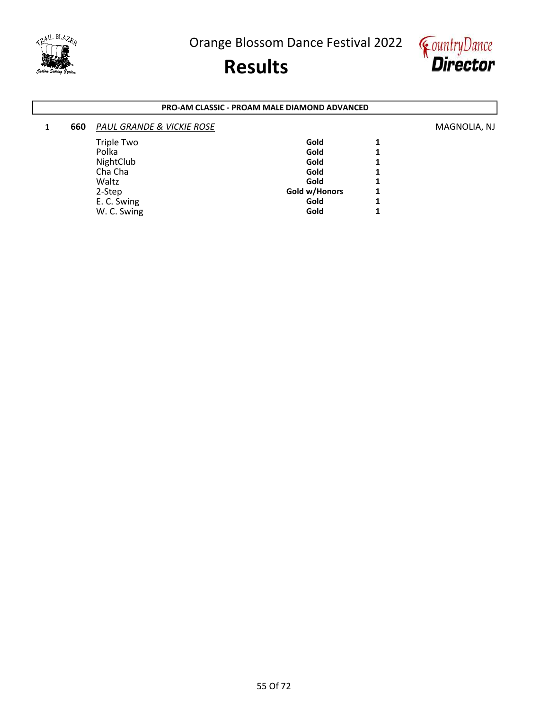

W. C. Swing

# Results



### PRO-AM CLASSIC - PROAM MALE DIAMOND ADVANCED

### 1 660 PAUL GRANDE & VICKIE ROSE MAGNOLIA, NJ Triple Two Gold 1<br>Polka 1 Polka and the contract of the Gold contract of the Gold contract of the Contract of the Contract of the Contract of the Contract of the Contract of the Contract of the Contract of the Contract of the Contract of the Contra NightClub and 1 and 1 and 1 and 1 and 1 and 1 and 1 and 1 and 1 and 1 and 1 and 1 and 1 and 1 and 1 and 1 and 1 and 1 and 1 and 1 and 1 and 1 and 1 and 1 and 1 and 1 and 1 and 1 and 1 and 1 and 1 and 1 and 1 and 1 and 1 an Cha Cha Gold 1 Waltz **Contact Contact Contact Contact Contact Contact Contact Contact Contact Contact Contact Contact Contact Contact Contact Contact Contact Contact Contact Contact Contact Contact Contact Contact Contact Contact Contact** 2-Step **Gold w/Honors** 1<br>
E. C. Swing **C. C. Swing Collection Collection Collection** Collection Collection Collection Collection Collection Collection Collection Collection Collection Collection Collection Collection Colle E. C. Swing Gold 1 and 1 and 1 and 1 and 1 and 1 and 1 and 1 and 1 and 1 and 1 and 1 and 1 and 1 and 1 and 1 and 1 and 1 and 1 and 1 and 1 and 1 and 1 and 1 and 1 and 1 and 1 and 1 and 1 and 1 and 1 and 1 and 1 and 1 and 1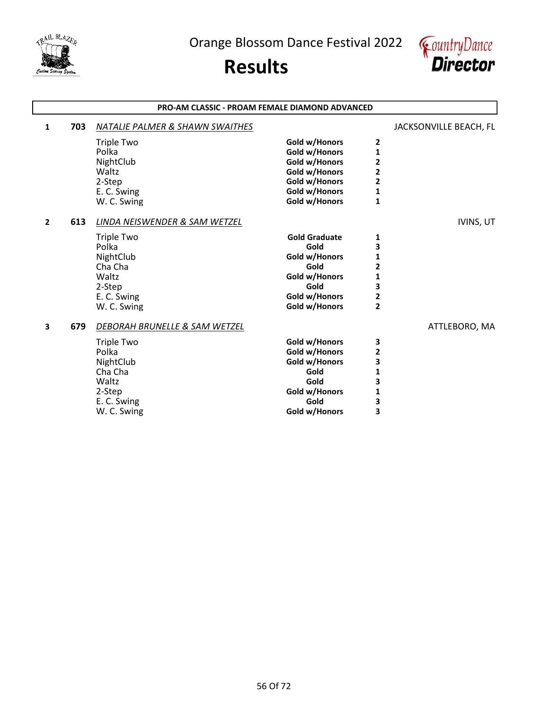

# Results



### PRO-AM CLASSIC - PROAM FEMALE DIAMOND ADVANCED

| 1              | 703 | NATALIE PALMER & SHAWN SWAITHES |                      |                | JACKSONVILLE BEACH, FL |
|----------------|-----|---------------------------------|----------------------|----------------|------------------------|
|                |     | <b>Triple Two</b>               | Gold w/Honors        | 2              |                        |
|                |     | Polka                           | Gold w/Honors        | 1              |                        |
|                |     | NightClub                       | Gold w/Honors        | 2              |                        |
|                |     | Waltz                           | Gold w/Honors        | 2              |                        |
|                |     | 2-Step                          | Gold w/Honors        | 2              |                        |
|                |     | E. C. Swing                     | Gold w/Honors        | 1              |                        |
|                |     | W. C. Swing                     | Gold w/Honors        | 1              |                        |
| $\overline{2}$ | 613 | LINDA NEISWENDER & SAM WETZEL   |                      |                | IVINS, UT              |
|                |     | <b>Triple Two</b>               | <b>Gold Graduate</b> | 1              |                        |
|                |     | Polka                           | Gold                 | 3              |                        |
|                |     | NightClub                       | Gold w/Honors        | 1              |                        |
|                |     | Cha Cha                         | Gold                 | 2              |                        |
|                |     | Waltz                           | Gold w/Honors        | 1              |                        |
|                |     | 2-Step                          | Gold                 | 3              |                        |
|                |     | E. C. Swing                     | Gold w/Honors        | 2              |                        |
|                |     | W. C. Swing                     | Gold w/Honors        | $\overline{2}$ |                        |
| 3              | 679 | DEBORAH BRUNELLE & SAM WETZEL   |                      |                | ATTLEBORO, MA          |
|                |     | <b>Triple Two</b>               | Gold w/Honors        | З              |                        |
|                |     | Polka                           | Gold w/Honors        | 2              |                        |
|                |     | NightClub                       | Gold w/Honors        | З              |                        |
|                |     | Cha Cha                         | Gold                 | 1              |                        |
|                |     | Waltz                           | Gold                 | 3              |                        |
|                |     | 2-Step                          | Gold w/Honors        | 1              |                        |
|                |     | E. C. Swing                     | Gold                 | 3              |                        |
|                |     | W. C. Swing                     | Gold w/Honors        | 3              |                        |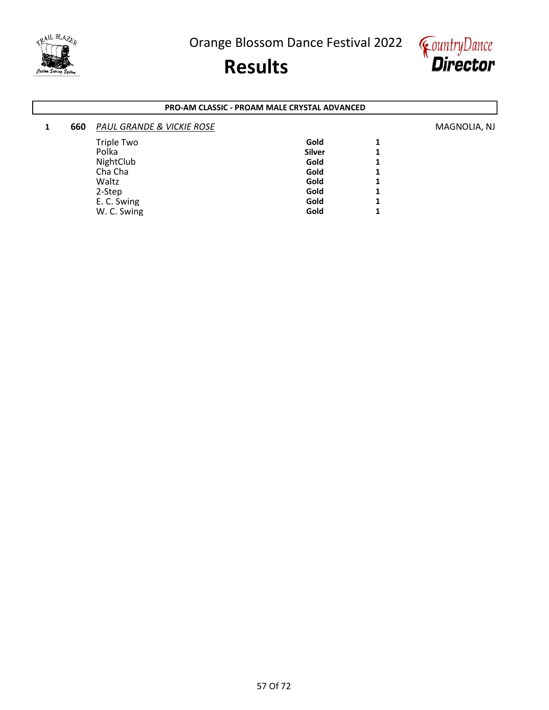

# Results



### PRO-AM CLASSIC - PROAM MALE CRYSTAL ADVANCED

| 660 | <b>PAUL GRANDE &amp; VICKIE ROSE</b> |               | MAGNOLIA, NJ |
|-----|--------------------------------------|---------------|--------------|
|     | <b>Triple Two</b>                    | Gold          |              |
|     | Polka                                | <b>Silver</b> |              |
|     | NightClub                            | Gold          |              |
|     | Cha Cha                              | Gold          |              |
|     | Waltz                                | Gold          |              |
|     | 2-Step                               | Gold          |              |
|     | E. C. Swing                          | Gold          |              |
|     | W. C. Swing                          | Gold          |              |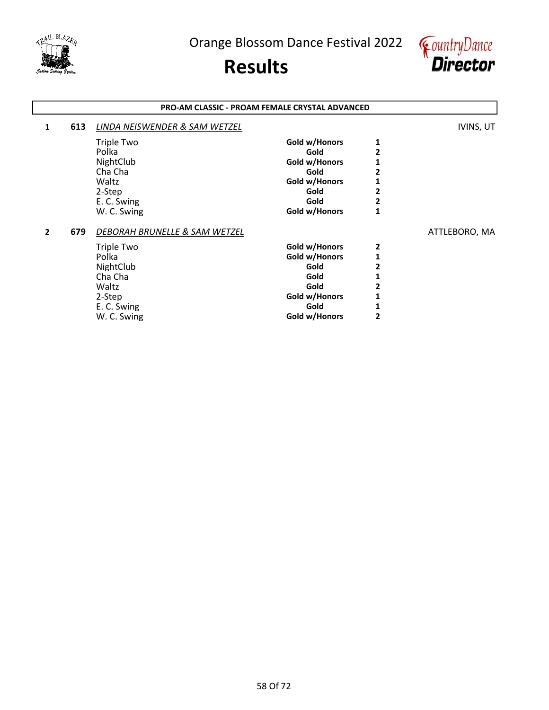



#### PRO-AM CLASSIC - PROAM FEMALE CRYSTAL ADVANCED

### 1 613 LINDA NEISWENDER & SAM WETZEL **IVINS, UT** IVINS, UT Triple Two Gold w/Honors 1<br>Polka **Gold 2** Polka **College College College College College College College College College College College College College** NightClub Gold w/Honors 1<br>
Cha Cha **Gold** 2 Cha Cha Gold 2 Waltz Gold w/Honors 1 2-Step and 2-Step and 2-Step and 2-Step and 2-Step and 2-Step and 2-Step and 2-Step and 2-Step and 2-Step and 2-Step and 2-Step and 2-Step and 2-Step and 2-Step and 2-Step and 2-Step and 2-Step and 2-Step and 2-Step and 2-E. C. Swing Gold 2<br>
W. C. Swing Gold Collection Collection Collection Collection Collection Collection Collection Collection Collection Collection Collection Collection Collection Collection Collection Collection Collectio Gold w/Honors 2 679 DEBORAH BRUNELLE & SAM WETZEL ATTLEBORO, MA Triple Two **Gold w/Honors** 2<br>Polka **2** Cold w/Honors 2 Gold w/Honors 1<br>Gold 2 NightClub Gold<br>Cha Cha 2002 - Cha Cha Cha 2004 - Cha Cha 2004 - Cha 2004 - Cha 2004 - Cha 2004 - Cha 2004 - Cha 2004<br>Cha 2004 - Cha 2006 - Cha 2006 - Cha 2006 - Cha 2006 - Cha 2006 - Cha 2006 - Cha 2006 - Cha 2006 - Cha 20 Cha Cha Gold 1 Waltz **Contract Contract Contract Contract Contract Contract Contract Contract Contract Contract Contract Contract Contract Contract Contract Contract Contract Contract Contract Contract Contract Contract Contract Contract** 2-Step Gold w/Honors 1<br>
E. C. Swing Gold C. C. Swing Gold 1 E. C. Swing Gold 1<br>
W. C. Swing Gold Collection Collection Collection Collection Collection Collection Collection Collection Collection Collection Collection Collection Collection Collection Collection Collection Collectio Gold w/Honors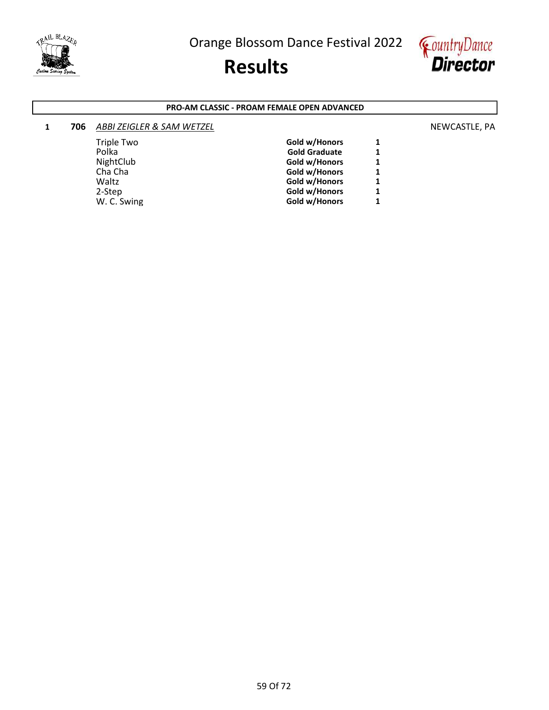





### PRO-AM CLASSIC - PROAM FEMALE OPEN ADVANCED

## 1 706 ABBI ZEIGLER & SAM WETZEL NEWCASTLE, PA

### Triple Two **Gold w/Honors** 1<br>Polka **1 Gold Graduate** 1 Polka **Gold Graduate** 1<br>
NightClub **Collection Collection Cold Graduate** 1 NightClub Gold w/Honors 1<br>
Cha Cha **Gold w/Honors** 1 Cha Cha Gold w/Honors 1 Waltz Gold w/Honors 1 2-Step **Gold w/Honors** 1<br>
W. C. Swing **Collection Collection Collection Collection** Gold w/Honors 1 Gold w/Honors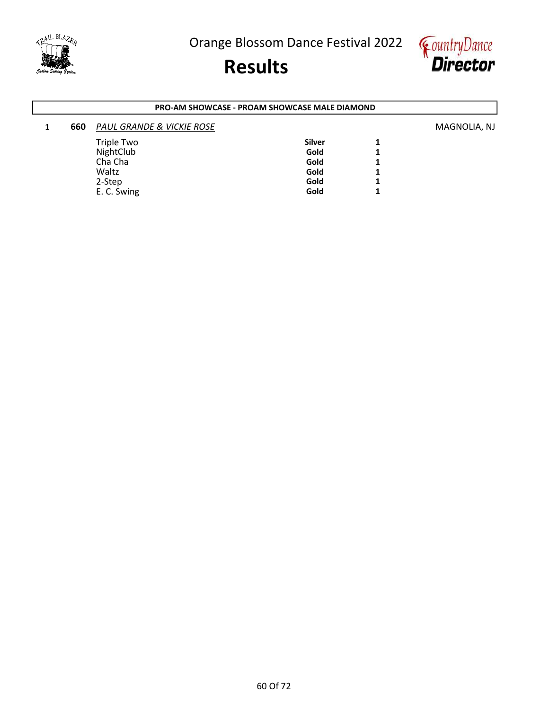

# Results



### PRO-AM SHOWCASE - PROAM SHOWCASE MALE DIAMOND

| 660 | <b>PAUL GRANDE &amp; VICKIE ROSE</b> |        |  |  |  |
|-----|--------------------------------------|--------|--|--|--|
|     | Triple Two                           | Silver |  |  |  |
|     | NightClub                            | Gold   |  |  |  |
|     | Cha Cha                              | Gold   |  |  |  |
|     | Waltz                                | Gold   |  |  |  |
|     | 2-Step                               | Gold   |  |  |  |
|     | E. C. Swing                          | Gold   |  |  |  |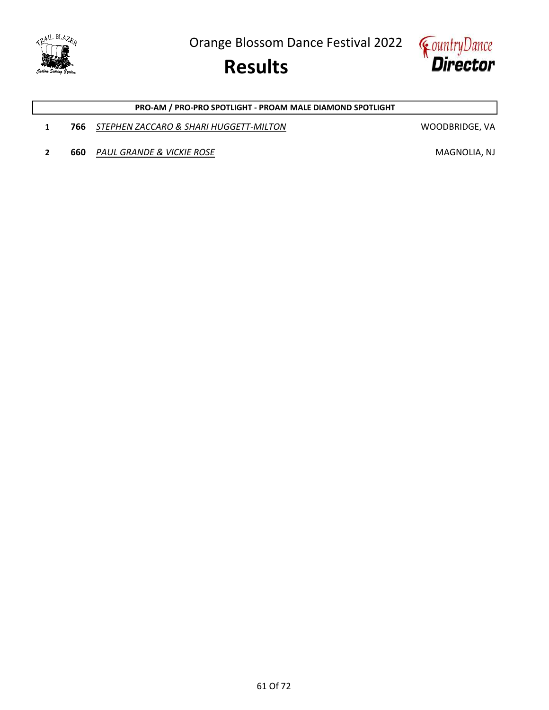



### PRO-AM / PRO-PRO SPOTLIGHT - PROAM MALE DIAMOND SPOTLIGHT

- 1 766 STEPHEN ZACCARO & SHARI HUGGETT-MILTON NOOD BRIDGE, VA
- 2 660 PAUL GRANDE & VICKIE ROSE MAGNOLIA, NJ

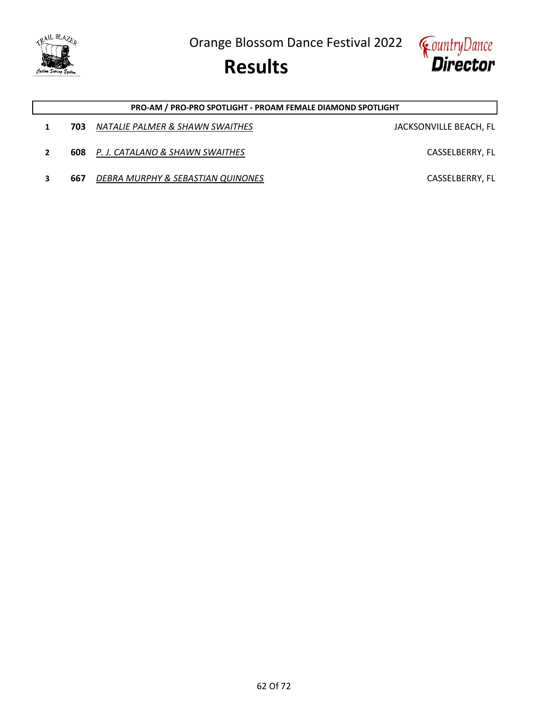





### PRO-AM / PRO-PRO SPOTLIGHT - PROAM FEMALE DIAMOND SPOTLIGHT

1 703 NATALIE PALMER & SHAWN SWAITHES SALL CONTROLLERS AND ACKSONVILLE BEACH, FL

- 2 608 P. J. CATALANO & SHAWN SWAITHES CASSELBERRY, FL
- 3 667 DEBRA MURPHY & SEBASTIAN QUINONES CASSELBERRY, FL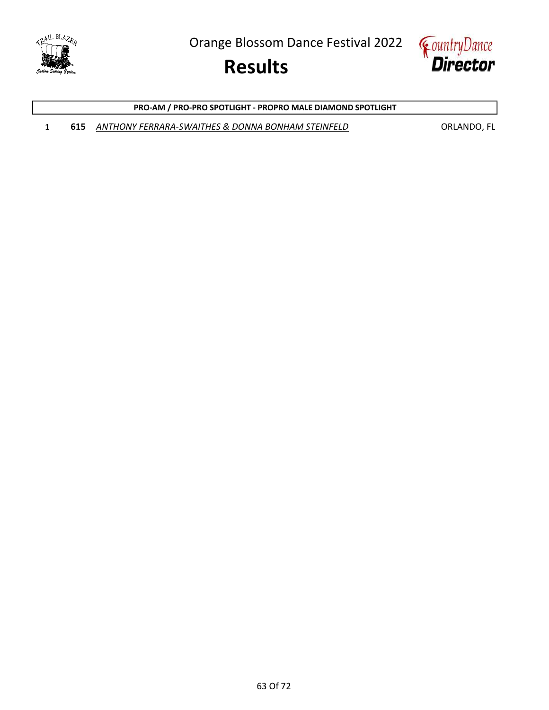





PRO-AM / PRO-PRO SPOTLIGHT - PROPRO MALE DIAMOND SPOTLIGHT

1 615 ANTHONY FERRARA-SWAITHES & DONNA BONHAM STEINFELD ORLANDO, FL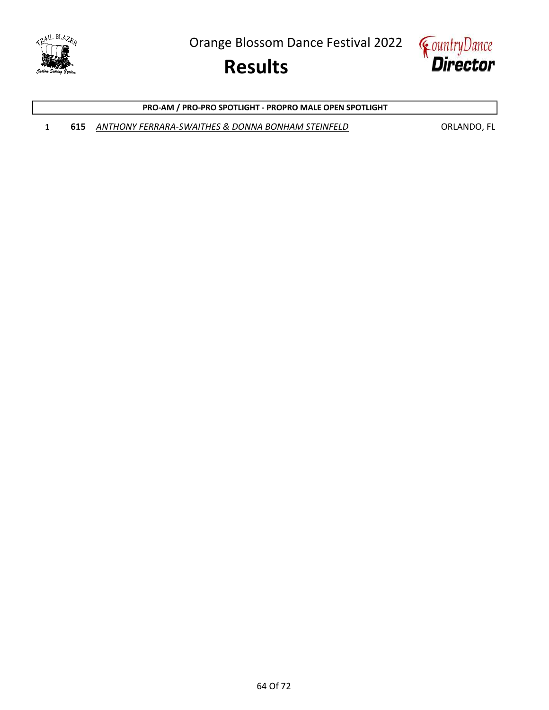







PRO-AM / PRO-PRO SPOTLIGHT - PROPRO MALE OPEN SPOTLIGHT

1 615 ANTHONY FERRARA-SWAITHES & DONNA BONHAM STEINFELD ORLANDO, FL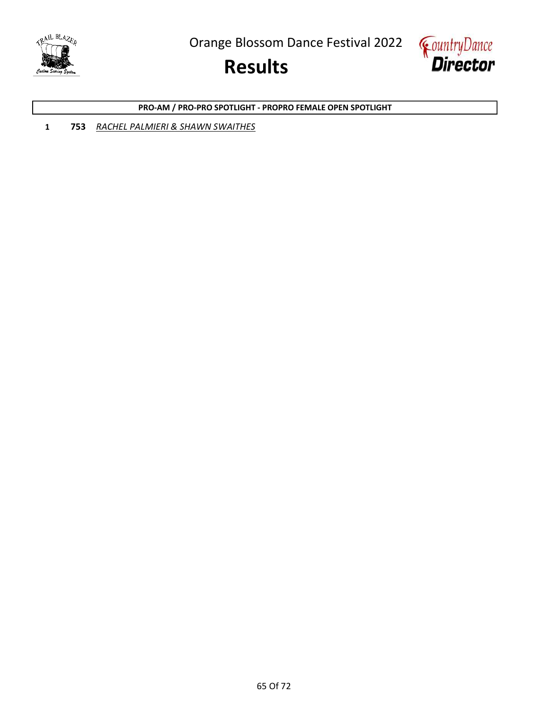





PRO-AM / PRO-PRO SPOTLIGHT - PROPRO FEMALE OPEN SPOTLIGHT

1 753 RACHEL PALMIERI & SHAWN SWAITHES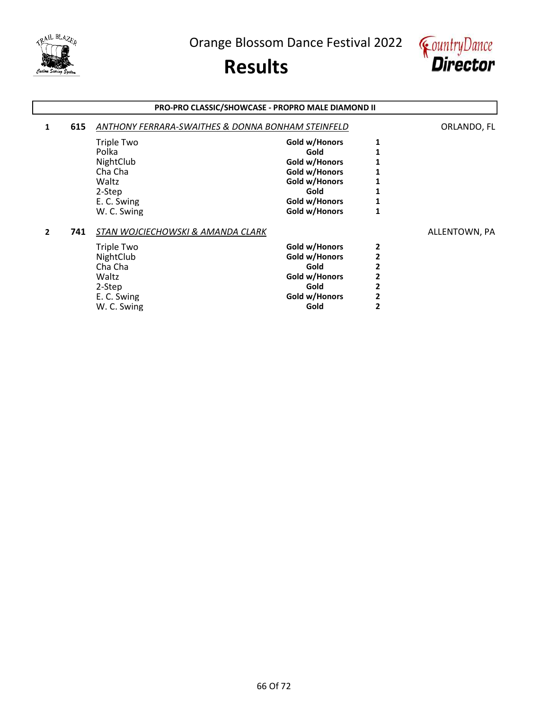

# Results



### PRO-PRO CLASSIC/SHOWCASE - PROPRO MALE DIAMOND II

| 1 | 615 | ANTHONY FERRARA-SWAITHES & DONNA BONHAM STEINFELD |               |   | ORLANDO, FL   |
|---|-----|---------------------------------------------------|---------------|---|---------------|
|   |     | Triple Two                                        | Gold w/Honors | 1 |               |
|   |     | Polka                                             | Gold          |   |               |
|   |     | NightClub                                         | Gold w/Honors |   |               |
|   |     | Cha Cha                                           | Gold w/Honors |   |               |
|   |     | Waltz                                             | Gold w/Honors |   |               |
|   |     | 2-Step                                            | Gold          |   |               |
|   |     | E. C. Swing                                       | Gold w/Honors |   |               |
|   |     | W. C. Swing                                       | Gold w/Honors |   |               |
| 2 | 741 | STAN WOJCIECHOWSKI & AMANDA CLARK                 |               |   | ALLENTOWN, PA |
|   |     | Triple Two                                        | Gold w/Honors | 2 |               |
|   |     | NightClub                                         | Gold w/Honors |   |               |
|   |     | Cha Cha                                           | Gold          |   |               |
|   |     | Waltz                                             | Gold w/Honors |   |               |
|   |     | 2-Step                                            | Gold          |   |               |
|   |     | E. C. Swing                                       | Gold w/Honors |   |               |
|   |     | W. C. Swing                                       | Gold          |   |               |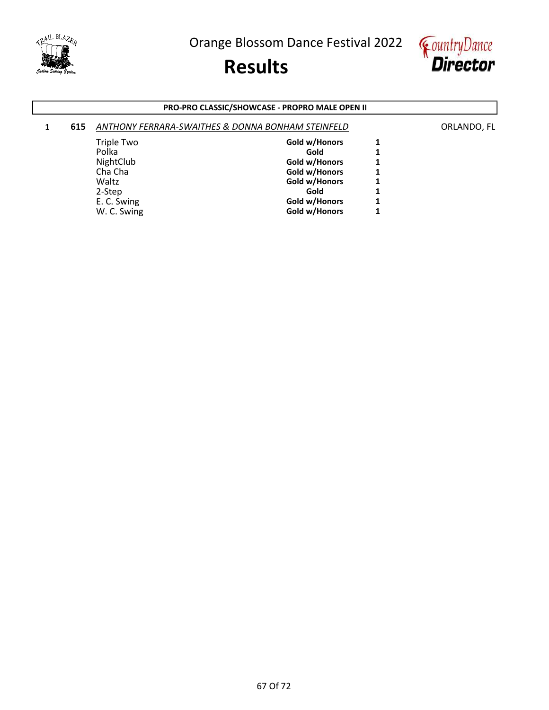



### PRO-PRO CLASSIC/SHOWCASE - PROPRO MALE OPEN II

### 1 615 ANTHONY FERRARA-SWAITHES & DONNA BONHAM STEINFELD **CRLANDO, FL** Triple Two Gold w/Honors 1<br>Polka Gold 1 Polka and the contract of the Gold contract of the Gold contract of the Contract of the Contract of the Contract of the Contract of the Contract of the Contract of the Contract of the Contract of the Contract of the Contra NightClub Gold w/Honors 1<br>
Cha Cha **Gold w/Honors** 1 Cha Cha Gold w/Honors 1 Waltz Gold w/Honors 1 2-Step and 1 and 2012 1 and 2014 1 and 2014 1 and 2014 1 and 2014 1 and 2014 1 and 2014 1 and 2014 1 and 2014 1 E. C. Swing Gold w/Honors 1<br>
W. C. Swing Gold w/Honors 1 Gold w/Honors

AIL BLAZEA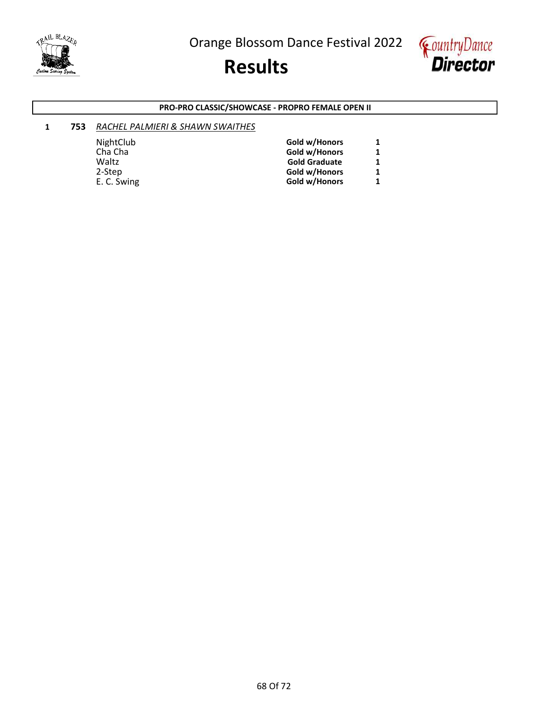





### PRO-PRO CLASSIC/SHOWCASE - PROPRO FEMALE OPEN II

### 1 753 RACHEL PALMIERI & SHAWN SWAITHES

| NightClub   | Gold w/Honors        |   |
|-------------|----------------------|---|
| Cha Cha     | Gold w/Honors        |   |
| Waltz       | <b>Gold Graduate</b> |   |
| 2-Step      | Gold w/Honors        | 1 |
| E. C. Swing | Gold w/Honors        |   |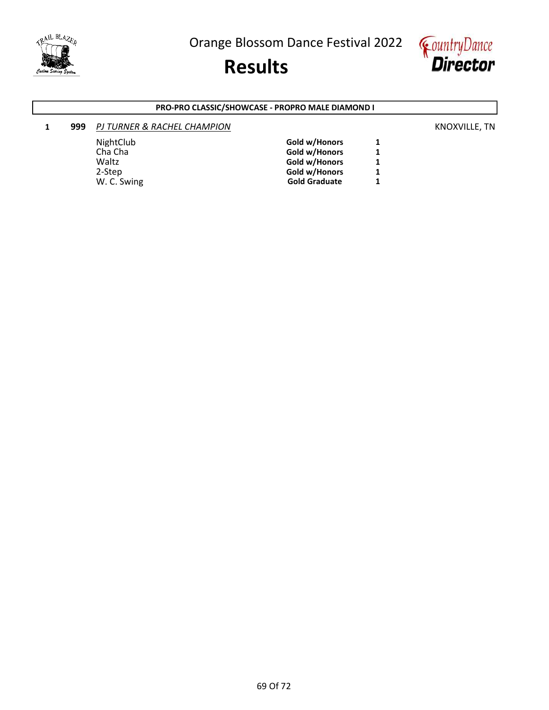





### PRO-PRO CLASSIC/SHOWCASE - PROPRO MALE DIAMOND I

## 1 999 PJ TURNER & RACHEL CHAMPION **And CHAMPION** KNOXVILLE, TN

### NightClub Gold w/Honors 1 Cha Cha Gold w/Honors 1 Waltz Gold w/Honors 1 2-Step **Gold w/Honors** 1<br>
2. W. C. Swing **COLOUT COLOUT COLOUT COLOUT COLOUT COLOUT COLOUT 1 Gold Graduate**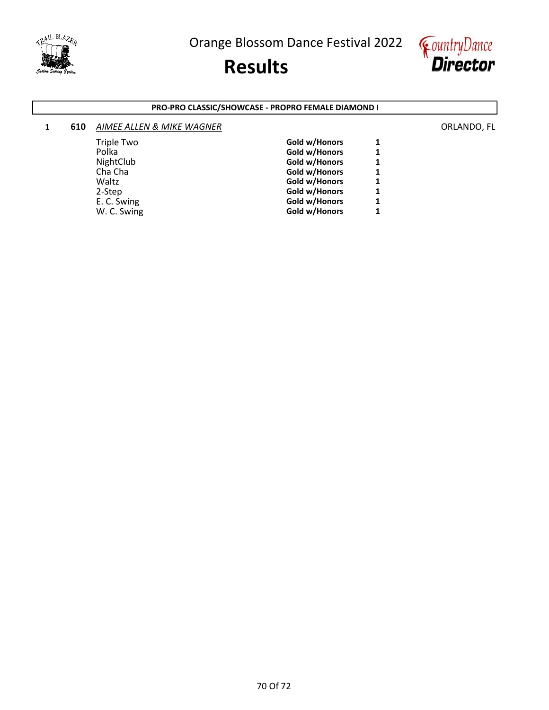

# Results



### PRO-PRO CLASSIC/SHOWCASE - PROPRO FEMALE DIAMOND I

# 1 610 AIMEE ALLEN & MIKE WAGNER CONTROLLER SERVICE STATES AND ASSESSED AT A CONTROL ORLANDO, FL

| Triple Two  | Gold w/Honors | 1 |
|-------------|---------------|---|
| Polka       | Gold w/Honors | 1 |
| NightClub   | Gold w/Honors | 1 |
| Cha Cha     | Gold w/Honors | 1 |
| Waltz       | Gold w/Honors | 1 |
| 2-Step      | Gold w/Honors | 1 |
| E. C. Swing | Gold w/Honors | 1 |
| W. C. Swing | Gold w/Honors | 1 |
|             |               |   |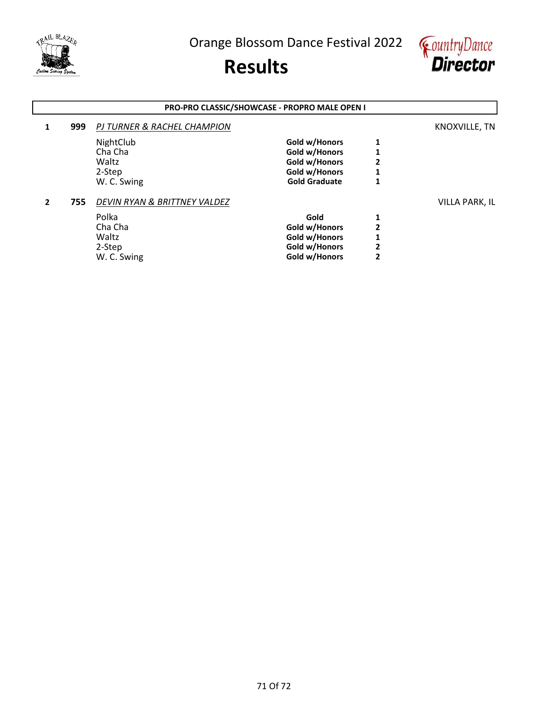

# Results



|              |     |                              | PRO-PRO CLASSIC/SHOWCASE - PROPRO MALE OPEN I |   |                |
|--------------|-----|------------------------------|-----------------------------------------------|---|----------------|
| 1            | 999 | PJ TURNER & RACHEL CHAMPION  |                                               |   | KNOXVILLE, TN  |
|              |     | NightClub                    | Gold w/Honors                                 | 1 |                |
|              |     | Cha Cha                      | Gold w/Honors                                 |   |                |
|              |     | Waltz                        | Gold w/Honors                                 | 2 |                |
|              |     | 2-Step                       | Gold w/Honors                                 |   |                |
|              |     | W. C. Swing                  | <b>Gold Graduate</b>                          |   |                |
| $\mathbf{2}$ | 755 | DEVIN RYAN & BRITTNEY VALDEZ |                                               |   | VILLA PARK, IL |
|              |     | Polka                        | Gold                                          | 1 |                |
|              |     | Cha Cha                      | Gold w/Honors                                 | 2 |                |
|              |     | Waltz                        | Gold w/Honors                                 |   |                |
|              |     | 2-Step                       | Gold w/Honors                                 | 2 |                |
|              |     | W. C. Swing                  | Gold w/Honors                                 | 2 |                |